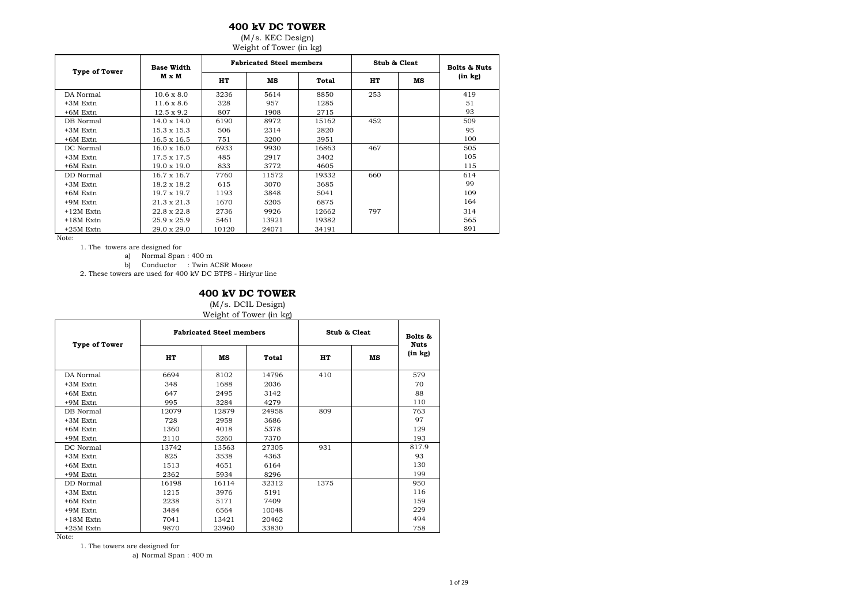## **400 kV DC TOWER**

#### (M/s. KEC Design) Weight of Tower (in kg)

|                      | ັ                  |       |                                 |       |              |    |                         |  |  |  |  |  |
|----------------------|--------------------|-------|---------------------------------|-------|--------------|----|-------------------------|--|--|--|--|--|
| <b>Type of Tower</b> | <b>Base Width</b>  |       | <b>Fabricated Steel members</b> |       | Stub & Cleat |    | <b>Bolts &amp; Nuts</b> |  |  |  |  |  |
|                      | M x M              | HT    | MS                              | Total | HT           | мs | $(in \; kg)$            |  |  |  |  |  |
| DA Normal            | $10.6 \times 8.0$  | 3236  | 5614                            | 8850  | 253          |    | 419                     |  |  |  |  |  |
| $+3M$ Extn           | $11.6 \times 8.6$  | 328   | 957                             | 1285  |              |    | 51                      |  |  |  |  |  |
| $+6M$ Extn           | $12.5 \times 9.2$  | 807   | 1908                            | 2715  |              |    | 93                      |  |  |  |  |  |
| DB Normal            | $14.0 \times 14.0$ | 6190  | 8972                            | 15162 | 452          |    | 509                     |  |  |  |  |  |
| $+3M$ Extn           | $15.3 \times 15.3$ | 506   | 2314                            | 2820  |              |    | 95                      |  |  |  |  |  |
| $+6M$ Extn           | $16.5 \times 16.5$ | 751   | 3200                            | 3951  |              |    | 100                     |  |  |  |  |  |
| DC Normal            | $16.0 \times 16.0$ | 6933  | 9930                            | 16863 | 467          |    | 505                     |  |  |  |  |  |
| $+3M$ Extn           | $17.5 \times 17.5$ | 485   | 2917                            | 3402  |              |    | 105                     |  |  |  |  |  |
| $+6M$ Extn           | $19.0 \times 19.0$ | 833   | 3772                            | 4605  |              |    | 115                     |  |  |  |  |  |
| DD Normal            | $16.7 \times 16.7$ | 7760  | 11572                           | 19332 | 660          |    | 614                     |  |  |  |  |  |
| $+3M$ Extn           | 18.2 x 18.2        | 615   | 3070                            | 3685  |              |    | 99                      |  |  |  |  |  |
| $+6M$ Extn           | 19.7 x 19.7        | 1193  | 3848                            | 5041  |              |    | 109                     |  |  |  |  |  |
| +9M Extn             | $21.3 \times 21.3$ | 1670  | 5205                            | 6875  |              |    | 164                     |  |  |  |  |  |
| $+12M$ Extn          | 22.8 x 22.8        | 2736  | 9926                            | 12662 | 797          |    | 314                     |  |  |  |  |  |
| $+18M$ Extn          | 25.9 x 25.9        | 5461  | 13921                           | 19382 |              |    | 565                     |  |  |  |  |  |
| $+25M$ Extn          | $29.0 \times 29.0$ | 10120 | 24071                           | 34191 |              |    | 891                     |  |  |  |  |  |

Note:

1. The towers are designed for

a) Normal Span : 400 m

b) Conductor : Twin ACSR Moose

2. These towers are used for 400 kV DC BTPS - Hiriyur line

#### **400 kV DC TOWER**

(M/s. DCIL Design) Weight of Tower (in kg)

|               |       | <b>Fabricated Steel members</b> |       | Stub & Cleat |    | Bolts &                     |
|---------------|-------|---------------------------------|-------|--------------|----|-----------------------------|
| Type of Tower | HT    | мs                              | Total | HT           | мs | <b>Nuts</b><br>$(in \; kg)$ |
| DA Normal     | 6694  | 8102                            | 14796 | 410          |    | 579                         |
| +3M Extn      | 348   | 1688                            | 2036  |              |    | 70                          |
| $+6M$ Extn    | 647   | 2495                            | 3142  |              |    | 88                          |
| $+9M$ Extn    | 995   | 3284                            | 4279  |              |    | 110                         |
| DB Normal     | 12079 | 12879                           | 24958 | 809          |    | 763                         |
| $+3M$ Extn    | 728   | 2958                            | 3686  |              |    | 97                          |
| $+6M$ Extn    | 1360  | 4018                            | 5378  |              |    | 129                         |
| $+9M$ Extn    | 2110  | 5260                            | 7370  |              |    | 193                         |
| DC Normal     | 13742 | 13563                           | 27305 | 931          |    | 817.9                       |
| $+3M$ Extn    | 825   | 3538                            | 4363  |              |    | 93                          |
| $+6M$ Extn    | 1513  | 4651                            | 6164  |              |    | 130                         |
| $+9M$ Extn    | 2362  | 5934                            | 8296  |              |    | 199                         |
| DD Normal     | 16198 | 16114                           | 32312 | 1375         |    | 950                         |
| $+3M$ Extn    | 1215  | 3976                            | 5191  |              |    | 116                         |
| $+6M$ Extn    | 2238  | 5171                            | 7409  |              |    | 159                         |
| $+9M$ Extn    | 3484  | 6564                            | 10048 |              |    | 229                         |
| $+18M$ Extn   | 7041  | 13421                           | 20462 |              |    | 494                         |
| $+25M$ Extn   | 9870  | 23960                           | 33830 |              |    | 758                         |

Note:

1. The towers are designed for

a) Normal Span : 400 m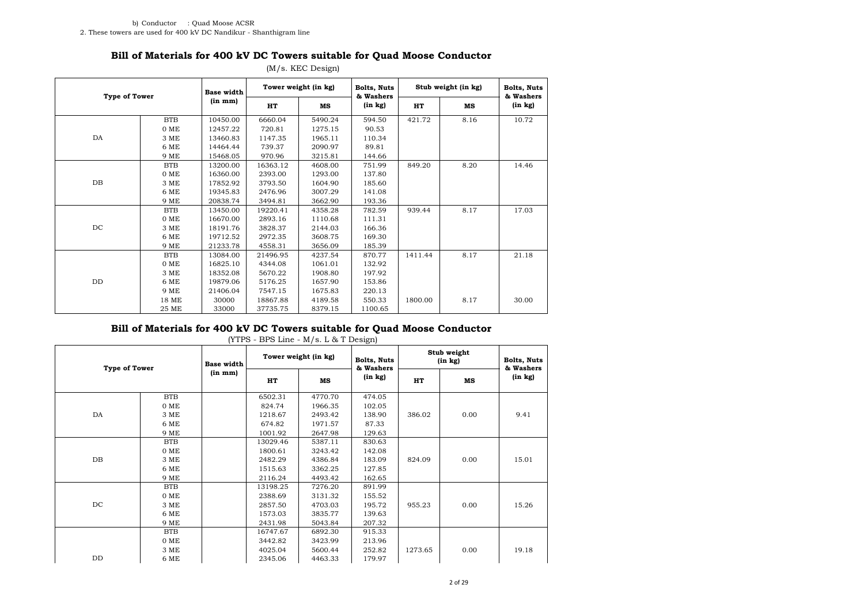## **Bill of Materials for 400 kV DC Towers suitable for Quad Moose Conductor**

|                      |            | <b>Base width</b>    |          | Tower weight (in kg) | Bolts, Nuts          |         | Stub weight (in kg) | Bolts, Nuts          |  |
|----------------------|------------|----------------------|----------|----------------------|----------------------|---------|---------------------|----------------------|--|
| <b>Type of Tower</b> |            | (in m <sub>m</sub> ) | HT       | MS                   | & Washers<br>(in kg) | HT      | MS                  | & Washers<br>(in kg) |  |
|                      | <b>BTB</b> | 10450.00             | 6660.04  | 5490.24              | 594.50               | 421.72  | 8.16                | 10.72                |  |
|                      | 0 ME       | 12457.22             | 720.81   | 1275.15              | 90.53                |         |                     |                      |  |
| DA                   | 3 ME       | 13460.83             | 1147.35  | 1965.11              | 110.34               |         |                     |                      |  |
|                      | 6 ME       | 14464.44             | 739.37   | 2090.97              | 89.81                |         |                     |                      |  |
|                      | 9 ME       | 15468.05             | 970.96   | 3215.81              | 144.66               |         |                     |                      |  |
|                      | <b>BTB</b> | 13200.00             | 16363.12 | 4608.00              | 751.99               | 849.20  | 8.20                | 14.46                |  |
|                      | 0 ME       | 16360.00             | 2393.00  | 1293.00              | 137.80               |         |                     |                      |  |
| $DB$                 | 3 ME       | 17852.92             | 3793.50  | 1604.90              | 185.60               |         |                     |                      |  |
|                      | 6 ME       | 19345.83             | 2476.96  | 3007.29              | 141.08               |         |                     |                      |  |
|                      | 9 ME       | 20838.74             | 3494.81  | 3662.90              | 193.36               |         |                     |                      |  |
|                      | <b>BTB</b> | 13450.00             | 19220.41 | 4358.28              | 782.59               | 939.44  | 8.17                | 17.03                |  |
|                      | 0 ME       | 16670.00             | 2893.16  | 1110.68              | 111.31               |         |                     |                      |  |
| DC                   | 3 ME       | 18191.76             | 3828.37  | 2144.03              | 166.36               |         |                     |                      |  |
|                      | 6 ME       | 19712.52             | 2972.35  | 3608.75              | 169.30               |         |                     |                      |  |
|                      | 9 ME       | 21233.78             | 4558.31  | 3656.09              | 185.39               |         |                     |                      |  |
|                      | <b>BTB</b> | 13084.00             | 21496.95 | 4237.54              | 870.77               | 1411.44 | 8.17                | 21.18                |  |
|                      | 0 ME       | 16825.10             | 4344.08  | 1061.01              | 132.92               |         |                     |                      |  |
|                      | 3 ME       | 18352.08             | 5670.22  | 1908.80              | 197.92               |         |                     |                      |  |
| DD                   | 6 ME       | 19879.06             | 5176.25  | 1657.90              | 153.86               |         |                     |                      |  |
|                      | 9 ME       | 21406.04             | 7547.15  | 1675.83              | 220.13               |         |                     |                      |  |
|                      | 18 ME      | 30000                | 18867.88 | 4189.58              | 550.33               | 1800.00 | 8.17                | 30.00                |  |
|                      | 25 ME      | 33000                | 37735.75 | 8379.15              | 1100.65              |         |                     |                      |  |

#### (M/s. KEC Design)

# **Bill of Materials for 400 kV DC Towers suitable for Quad Moose Conductor**

| <b>Type of Tower</b> |            | <b>Base width</b>    | Tower weight (in kg) |         | <b>Bolts, Nuts</b><br>& Washers |         | Stub weight<br>(in kg) | Bolts, Nuts<br>& Washers |
|----------------------|------------|----------------------|----------------------|---------|---------------------------------|---------|------------------------|--------------------------|
|                      |            | (in m <sub>m</sub> ) | HT                   | мs      | (in kg)                         | HT      | мs                     | (in kg)                  |
|                      | <b>BTB</b> |                      | 6502.31              | 4770.70 | 474.05                          |         |                        |                          |
|                      | 0 ME       |                      | 824.74               | 1966.35 | 102.05                          |         |                        |                          |
| DA                   | 3 ME       |                      | 1218.67              | 2493.42 | 138.90                          | 386.02  | 0.00                   | 9.41                     |
|                      | 6 ME       |                      | 674.82               | 1971.57 | 87.33                           |         |                        |                          |
|                      | 9 ME       |                      | 1001.92              | 2647.98 | 129.63                          |         |                        |                          |
|                      | <b>BTB</b> |                      | 13029.46             | 5387.11 | 830.63                          |         |                        |                          |
|                      | 0 ME       |                      | 1800.61              | 3243.42 | 142.08                          |         |                        |                          |
| $DB$                 | 3 ME       |                      | 2482.29              | 4386.84 | 183.09                          | 824.09  | 0.00                   | 15.01                    |
|                      | 6 ME       |                      | 1515.63              | 3362.25 | 127.85                          |         |                        |                          |
|                      | 9 ME       |                      | 2116.24              | 4493.42 | 162.65                          |         |                        |                          |
|                      | <b>BTB</b> |                      | 13198.25             | 7276.20 | 891.99                          |         |                        |                          |
|                      | $0$ ME     |                      | 2388.69              | 3131.32 | 155.52                          |         |                        |                          |
| DC                   | 3 ME       |                      | 2857.50              | 4703.03 | 195.72                          | 955.23  | 0.00                   | 15.26                    |
|                      | 6 ME       |                      | 1573.03              | 3835.77 | 139.63                          |         |                        |                          |
|                      | 9 ME       |                      | 2431.98              | 5043.84 | 207.32                          |         |                        |                          |
|                      | <b>BTB</b> |                      | 16747.67             | 6892.30 | 915.33                          |         |                        |                          |
|                      | $0$ ME     |                      | 3442.82              | 3423.99 | 213.96                          |         |                        |                          |
|                      | 3 ME       |                      | 4025.04              | 5600.44 | 252.82                          | 1273.65 | 0.00                   | 19.18                    |
| DD                   | 6 ME       |                      | 2345.06              | 4463.33 | 179.97                          |         |                        |                          |

(YTPS - BPS Line - M/s. L & T Design)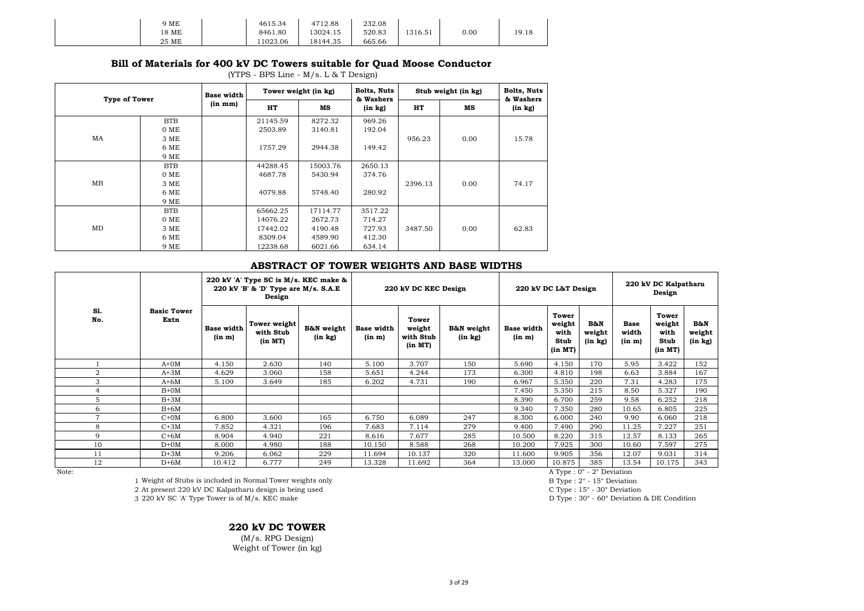| 9 ME  | 4615.34  | 4712.88  | 232.08 |         |           |       |
|-------|----------|----------|--------|---------|-----------|-------|
| 18 ME | 8461.80  | 13024.15 | 520.83 | 1316.51 | $_{0.00}$ | 19.18 |
| 25 ME | 11023.06 | 18144.35 | 665.66 |         |           |       |

#### **Bill of Materials for 400 kV DC Towers suitable for Quad Moose Conductor**

(YTPS - BPS Line - M/s. L & T Design)

|    | <b>Type of Tower</b> |                      |          | Tower weight (in kg) | Bolts, Nuts<br>& Washers |         | Stub weight (in kg) | Bolts, Nuts<br>& Washers |
|----|----------------------|----------------------|----------|----------------------|--------------------------|---------|---------------------|--------------------------|
|    |                      | (in m <sub>m</sub> ) | HT       | мs                   | $(in \; kg)$             | HT      | MS                  | (in kg)                  |
|    | <b>BTB</b>           |                      | 21145.59 | 8272.32              | 969.26                   |         |                     |                          |
|    | $0$ ME               |                      | 2503.89  | 3140.81              | 192.04                   |         |                     |                          |
| MA | 3 ME                 |                      |          |                      |                          | 956.23  | 0.00                | 15.78                    |
|    | 6 ME                 |                      | 1757.29  | 2944.38              | 149.42                   |         |                     |                          |
|    | 9 ME                 |                      |          |                      |                          |         | 0.00<br>0.00        |                          |
|    | <b>BTB</b>           |                      | 44288.45 | 15003.76             | 2650.13                  |         |                     |                          |
|    | $0$ ME               |                      | 4687.78  | 5430.94              | 374.76                   |         |                     |                          |
| MB | 3 ME                 |                      |          |                      |                          | 2396.13 |                     | 74.17                    |
|    | 6 ME                 |                      | 4079.88  | 5748.40              | 280.92                   |         |                     |                          |
|    | 9 ME                 |                      |          |                      |                          |         |                     |                          |
|    | <b>BTB</b>           |                      | 65662.25 | 17114.77             | 3517.22                  |         |                     |                          |
|    | $0$ ME               |                      | 14076.22 | 2672.73              | 714.27                   |         |                     |                          |
| MD | 3 ME                 |                      | 17442.02 | 4190.48              | 727.93                   | 3487.50 |                     | 62.83                    |
|    | 6 ME                 |                      | 8309.04  | 4589.90              | 412.30                   |         |                     |                          |
|    | 9 ME                 |                      | 12238.68 | 6021.66              | 634.14                   |         |                     |                          |

#### **ABSTRACT OF TOWER WEIGHTS AND BASE WIDTHS**

|                |                            | 220 kV 'A' Type SC is M/s. KEC make &<br>220 kV 'B' & 'D' Type are M/s. S.A.E<br>Design |                                      |                       | 220 kV DC KEC Design        |                                         |                       |                             | 220 kV DC L&T Design                       |                                     | 220 kV DC Kalpatharu<br>Design |                                            |                                     |
|----------------|----------------------------|-----------------------------------------------------------------------------------------|--------------------------------------|-----------------------|-----------------------------|-----------------------------------------|-----------------------|-----------------------------|--------------------------------------------|-------------------------------------|--------------------------------|--------------------------------------------|-------------------------------------|
| S1.<br>No.     | <b>Basic Tower</b><br>Extn | <b>Base width</b><br>(in m)                                                             | Tower weight<br>with Stub<br>(in MT) | B&N weight<br>(in kg) | <b>Base width</b><br>(in m) | Tower<br>weight<br>with Stub<br>(in MT) | B&N weight<br>(in kg) | <b>Base width</b><br>(in m) | Tower<br>weight<br>with<br>Stub<br>(in MT) | <b>B&amp;N</b><br>weight<br>(in kg) | <b>Base</b><br>width<br>(in m) | Tower<br>weight<br>with<br>Stub<br>(in MT) | <b>B&amp;N</b><br>weight<br>(in kg) |
|                | $A+OM$                     | 4.150                                                                                   | 2.630                                | 140                   | 5.100                       | 3.707                                   | 150                   | 5.690                       | 4.150                                      | 170                                 | 5.95                           | 3.422                                      | 152                                 |
| $\overline{2}$ | $A+3M$                     | 4.629                                                                                   | 3.060                                | 158                   | 5.651                       | 4.244                                   | 173                   | 6.300                       | 4.810                                      | 198                                 | 6.63                           | 3.884                                      | 167                                 |
| 3              | $A+6M$                     | 5.109                                                                                   | 3.649                                | 185                   | 6.202                       | 4.731                                   | 190                   | 6.967                       | 5.350                                      | 220                                 | 7.31                           | 4.283                                      | 175                                 |
| $\overline{4}$ | $B+OM$                     |                                                                                         |                                      |                       |                             |                                         |                       | 7.450                       | 5.350                                      | 215                                 | 8.50                           | 5.327                                      | 190                                 |
| 5              | $B+3M$                     |                                                                                         |                                      |                       |                             |                                         |                       | 8.390                       | 6.700                                      | 259                                 | 9.58                           | 6.252                                      | 218                                 |
| 6              | $B+6M$                     |                                                                                         |                                      |                       |                             |                                         |                       | 9.340                       | 7.350                                      | 280                                 | 10.65                          | 6.805                                      | 225                                 |
| $\overline{7}$ | $C+OM$                     | 6.800                                                                                   | 3.600                                | 165                   | 6.750                       | 6.089                                   | 247                   | 8.300                       | 6.000                                      | 240                                 | 9.90                           | 6.060                                      | 218                                 |
| 8              | $C+3M$                     | 7.852                                                                                   | 4.321                                | 196                   | 7.683                       | 7.114                                   | 279                   | 9.400                       | 7.490                                      | 290                                 | 11.25                          | 7.227                                      | 251                                 |
| 9              | $C+6M$                     | 8.904                                                                                   | 4.940                                | 221                   | 8.616                       | 7.677                                   | 285                   | 10.500                      | 8.220                                      | 315                                 | 12.57                          | 8.133                                      | 265                                 |
| 10             | $D+OM$                     | 8.000                                                                                   | 4.980                                | 188                   | 10.150                      | 8.588                                   | 268                   | 10.200                      | 7.925                                      | 300                                 | 10.60                          | 7.597                                      | 275                                 |
| 11             | $D+3M$                     | 9.206                                                                                   | 6.062                                | 229                   | 11.694                      | 10.137                                  | 320                   | 11.600                      | 9.905                                      | 356                                 | 12.07                          | 9.031                                      | 314                                 |
| 12             | $D+6M$                     | 10.412                                                                                  | 6.777                                | 249                   | 13.328                      | 11.692                                  | 364                   | 13.000                      | 10.875                                     | 385                                 | 13.54                          | 10.175                                     | 343                                 |

Note:<br>
1 Weight of Stubs is included in Normal Tower weights only<br>
1 Weight of Stubs is included in Normal Tower weights only<br>
1 Weight of Stubs is included in Normal Tower weights only<br>
1 Weight of Stubs is included in No

3 220 kV SC 'A' Type Tower is of M/s. KEC make

**220 kV DC TOWER**  (M/s. RPG Design) Weight of Tower (in kg)

1 Weight of Stubs is included in Normal Tower weights only and the study of the Study of B Type : 2° - 15° Deviation<br>
2 At present 220 kV DC Kalpatharu design is being used C Type : 15° - 30° Deviation 2 At present 220 kV DC Kalpatharu design is being used C Type : 15° - 30° Deviation<br>
2 At present 220 kV SC 'A' Type Tower is of M/s. KEC make C make C Type : 30° - 60° Deviation & DE Condition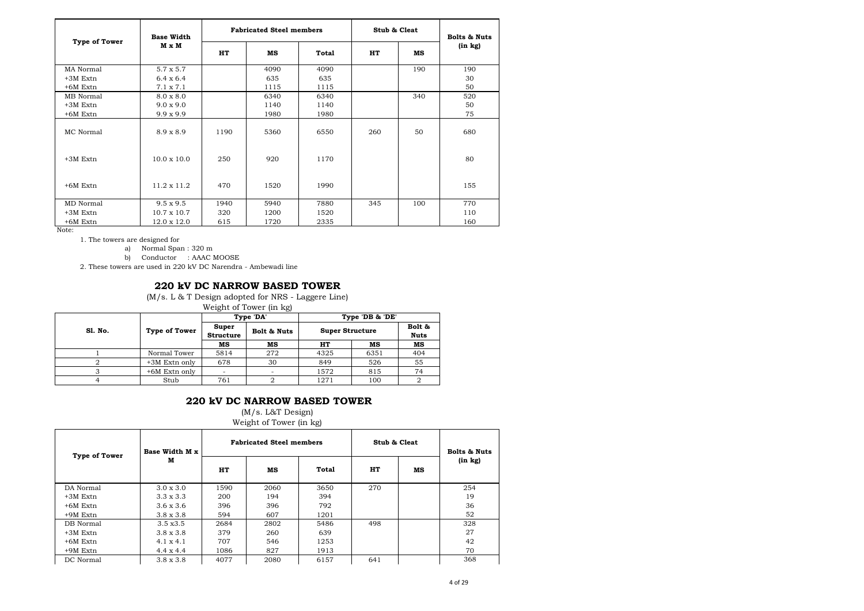| Type of Tower | <b>Base Width</b>  |      | <b>Fabricated Steel members</b> |       | Stub & Cleat |     | <b>Bolts &amp; Nuts</b> |
|---------------|--------------------|------|---------------------------------|-------|--------------|-----|-------------------------|
|               | M x M              | HT   | мs                              | Total | HT           | мs  | (in kg)                 |
| MA Normal     | $5.7 \times 5.7$   |      | 4090                            | 4090  |              | 190 | 190                     |
| $+3M$ Extn    | $6.4 \times 6.4$   |      | 635                             | 635   |              |     | 30                      |
| $+6M$ Extn    | $7.1 \times 7.1$   |      | 1115                            | 1115  |              |     | 50                      |
| MB Normal     | $8.0 \times 8.0$   |      | 6340                            | 6340  |              | 340 | 520                     |
| $+3M$ Extn    | $9.0 \times 9.0$   |      | 1140                            | 1140  |              |     | 50                      |
| $+6M$ Extn    | $9.9 \times 9.9$   |      | 1980                            | 1980  |              |     | 75                      |
| MC Normal     | $8.9 \times 8.9$   | 1190 | 5360                            | 6550  | 260          | 50  | 680                     |
| $+3M$ Extn    | $10.0 \times 10.0$ | 250  | 920                             | 1170  |              |     | 80                      |
| $+6M$ Extn    | $11.2 \times 11.2$ | 470  | 1520                            | 1990  |              |     | 155                     |
| MD Normal     | $9.5 \times 9.5$   | 1940 | 5940                            | 7880  | 345          | 100 | 770                     |
| $+3M$ Extn    | $10.7 \times 10.7$ | 320  | 1200                            | 1520  |              |     | 110                     |
| $+6M$ Extn    | $12.0 \times 12.0$ | 615  | 1720                            | 2335  |              |     | 160                     |

1. The towers are designed for

a) Normal Span : 320 m

b) Conductor : AAAC MOOSE

2. These towers are used in 220 kV DC Narendra - Ambewadi line

#### **220 kV DC NARROW BASED TOWER**

(M/s. L & T Design adopted for NRS - Laggere Line)

Weight of Tower (in kg)

|         |               |                           | Type 'DA'   |                        | Type 'DB & 'DE' |                       |
|---------|---------------|---------------------------|-------------|------------------------|-----------------|-----------------------|
| Sl. No. | Type of Tower | Super<br><b>Structure</b> | Bolt & Nuts | <b>Super Structure</b> |                 | Bolt &<br><b>Nuts</b> |
|         |               | мs                        | мs          | HT                     | мs              | MS                    |
|         | Normal Tower  | 5814                      | 272         | 4325                   | 6351            | 404                   |
|         | +3M Extn only | 678                       | 30          | 849                    | 526             | 55                    |
|         | +6M Extn only | $\overline{\phantom{a}}$  |             | 1572                   | 815             | 74                    |
|         | Stub          | 761                       |             | 1271                   | 100             |                       |

### **220 kV DC NARROW BASED TOWER**

#### (M/s. L&T Design) Weight of Tower (in kg)

| <b>Type of Tower</b> | Base Width M x   | <b>Fabricated Steel members</b> |      |       | Stub & Cleat |    | <b>Bolts &amp; Nuts</b> |
|----------------------|------------------|---------------------------------|------|-------|--------------|----|-------------------------|
|                      | м                | HT                              | мs   | Total | HT           | мs | (in kg)                 |
| DA Normal            | $3.0 \times 3.0$ | 1590                            | 2060 | 3650  | 270          |    | 254                     |
| $+3M$ Extn           | $3.3 \times 3.3$ | 200                             | 194  | 394   |              |    | 19                      |
| $+6M$ Extn           | $3.6 \times 3.6$ | 396                             | 396  | 792   |              |    | 36                      |
| $+9M$ Extn           | $3.8 \times 3.8$ | 594                             | 607  | 1201  |              |    | 52                      |
| DB Normal            | $3.5 \times 3.5$ | 2684                            | 2802 | 5486  | 498          |    | 328                     |
| +3M Extn             | $3.8 \times 3.8$ | 379                             | 260  | 639   |              |    | 27                      |
| $+6M$ Extn           | $4.1 \times 4.1$ | 707                             | 546  | 1253  |              |    | 42                      |
| $+9M$ Extn           | $4.4 \times 4.4$ | 1086                            | 827  | 1913  |              |    | 70                      |
| DC Normal            | $3.8 \times 3.8$ | 4077                            | 2080 | 6157  | 641          |    | 368                     |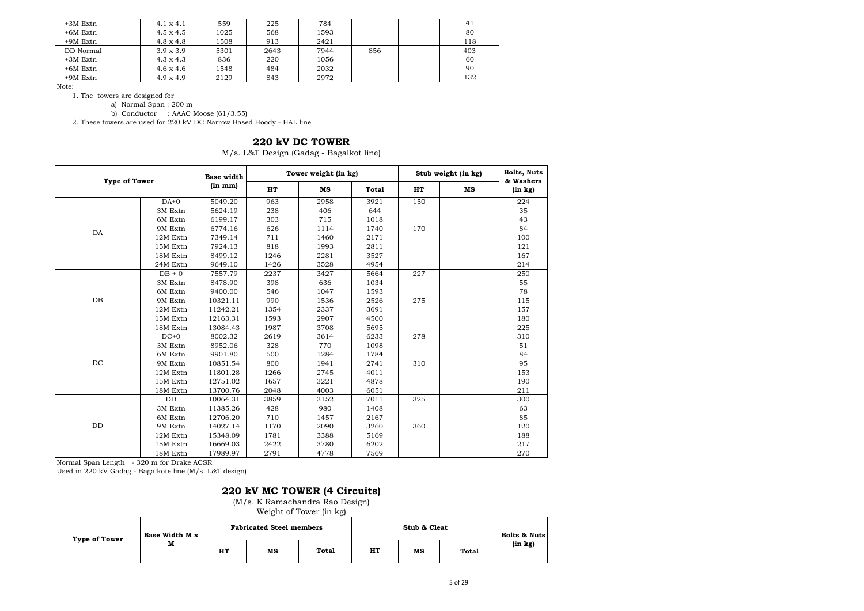| $+3M$ Extn | $4.1 \times 4.1$ | 559  | 225  | 784  |     | 41  |
|------------|------------------|------|------|------|-----|-----|
| $+6M$ Extn | $4.5 \times 4.5$ | 1025 | 568  | 1593 |     | 80  |
| $+9M$ Extn | $4.8 \times 4.8$ | 1508 | 913  | 2421 |     | 118 |
| DD Normal  | $3.9 \times 3.9$ | 5301 | 2643 | 7944 | 856 | 403 |
| $+3M$ Extn | $4.3 \times 4.3$ | 836  | 220  | 1056 |     | 60  |
| $+6M$ Extn | $4.6 \times 4.6$ | 1548 | 484  | 2032 |     | 90  |
| $+9M$ Extn | $4.9 \times 4.9$ | 2129 | 843  | 2972 |     | 132 |

1. The towers are designed for

a) Normal Span : 200 m

b) Conductor : AAAC Moose  $(61/3.55)$ 

2. These towers are used for 220 kV DC Narrow Based Hoody - HAL line

## **220 kV DC TOWER**

M/s. L&T Design (Gadag - Bagalkot line)

| <b>Type of Tower</b> |           | <b>Base width</b>    |      | Tower weight (in kg) |       |     | Stub weight (in kg) | <b>Bolts, Nuts</b><br>& Washers |
|----------------------|-----------|----------------------|------|----------------------|-------|-----|---------------------|---------------------------------|
|                      |           | (in m <sub>m</sub> ) | HT   | MS                   | Total | HT  | MS                  | (in kg)                         |
|                      | $DA+0$    | 5049.20              | 963  | 2958                 | 3921  | 150 |                     | 224                             |
|                      | 3M Extn   | 5624.19              | 238  | 406                  | 644   |     |                     | 35                              |
|                      | 6M Extn   | 6199.17              | 303  | 715                  | 1018  |     |                     | 43                              |
| DA                   | 9M Extn   | 6774.16              | 626  | 1114                 | 1740  | 170 |                     | 84                              |
|                      | 12M Extn  | 7349.14              | 711  | 1460                 | 2171  |     |                     | 100                             |
|                      | 15M Extn  | 7924.13              | 818  | 1993                 | 2811  |     |                     | 121                             |
|                      | 18M Extn  | 8499.12              | 1246 | 2281                 | 3527  |     |                     | 167                             |
|                      | 24M Extn  | 9649.10              | 1426 | 3528                 | 4954  |     |                     | 214                             |
|                      | $DB + 0$  | 7557.79              | 2237 | 3427                 | 5664  | 227 |                     | 250                             |
|                      | 3M Extn   | 8478.90              | 398  | 636                  | 1034  |     |                     | 55                              |
|                      | 6M Extn   | 9400.00              | 546  | 1047                 | 1593  |     |                     | 78                              |
| DB                   | 9M Extn   | 10321.11             | 990  | 1536                 | 2526  | 275 |                     | 115                             |
|                      | 12M Extn  | 11242.21             | 1354 | 2337                 | 3691  |     |                     | 157                             |
|                      | 15M Extn  | 12163.31             | 1593 | 2907                 | 4500  |     |                     | 180                             |
|                      | 18M Extn  | 13084.43             | 1987 | 3708                 | 5695  |     |                     | 225                             |
|                      | $DC+0$    | 8002.32              | 2619 | 3614                 | 6233  | 278 |                     | 310                             |
|                      | 3M Extn   | 8952.06              | 328  | 770                  | 1098  |     |                     | 51                              |
|                      | 6M Extn   | 9901.80              | 500  | 1284                 | 1784  |     |                     | 84                              |
| DC                   | 9M Extn   | 10851.54             | 800  | 1941                 | 2741  | 310 |                     | 95                              |
|                      | 12M Extn  | 11801.28             | 1266 | 2745                 | 4011  |     |                     | 153                             |
|                      | 15M Extn  | 12751.02             | 1657 | 3221                 | 4878  |     |                     | 190                             |
|                      | 18M Extn  | 13700.76             | 2048 | 4003                 | 6051  |     |                     | 211                             |
|                      | $\rm{DD}$ | 10064.31             | 3859 | 3152                 | 7011  | 325 |                     | 300                             |
|                      | 3M Extn   | 11385.26             | 428  | 980                  | 1408  |     |                     | 63                              |
|                      | 6M Extn   | 12706.20             | 710  | 1457                 | 2167  |     |                     | 85                              |
| $\rm{DD}$            | 9M Extn   | 14027.14             | 1170 | 2090                 | 3260  | 360 |                     | 120                             |
|                      | 12M Extn  | 15348.09             | 1781 | 3388                 | 5169  |     |                     | 188                             |
|                      | 15M Extn  | 16669.03             | 2422 | 3780                 | 6202  |     |                     | 217                             |
|                      | 18M Extn  | 17989.97             | 2791 | 4778                 | 7569  |     |                     | 270                             |

Normal Span Length - 320 m for Drake ACSR

Used in 220 kV Gadag - Bagalkote line (M/s. L&T design)

## **220 kV MC TOWER (4 Circuits)**

(M/s. K Ramachandra Rao Design)

Weight of Tower (in kg)

| Type of Tower | Base Width M x |    | <b>Fabricated Steel members</b> |       |    | <b>Bolts &amp; Nuts</b> |       |
|---------------|----------------|----|---------------------------------|-------|----|-------------------------|-------|
|               | м              | HT | MS                              | Total | HТ | мs                      | Total |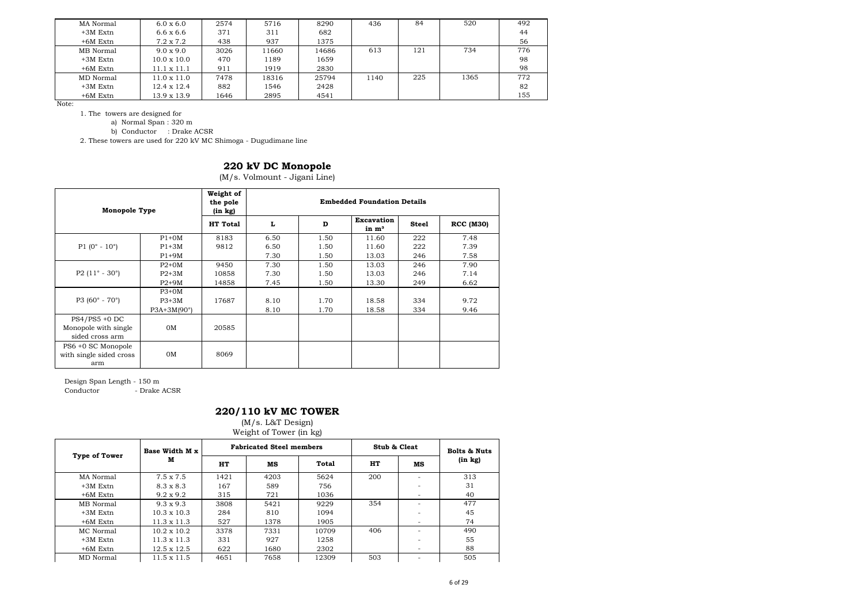| MA Normal  | $6.0 \times 6.0$   | 2574 | 5716  | 8290  | 436  | 84  | 520  | 492 |
|------------|--------------------|------|-------|-------|------|-----|------|-----|
| $+3M$ Extn | $6.6 \times 6.6$   | 371  | 311   | 682   |      |     |      | 44  |
| $+6M$ Extn | $7.2 \times 7.2$   | 438  | 937   | 1375  |      |     |      | 56  |
| MB Normal  | $9.0 \times 9.0$   | 3026 | 11660 | 14686 | 613  | 121 | 734  | 776 |
| $+3M$ Extn | $10.0 \times 10.0$ | 470  | 1189  | 1659  |      |     |      | 98  |
| $+6M$ Extn | $11.1 \times 11.1$ | 911  | 1919  | 2830  |      |     |      | 98  |
| MD Normal  | $11.0 \times 11.0$ | 7478 | 18316 | 25794 | 1140 | 225 | 1365 | 772 |
| $+3M$ Extn | $12.4 \times 12.4$ | 882  | 1546  | 2428  |      |     |      | 82  |
| $+6M$ Extn | $13.9 \times 13.9$ | 1646 | 2895  | 4541  |      |     |      | 155 |

1. The towers are designed for

a) Normal Span : 320 m

b) Conductor : Drake ACSR

2. These towers are used for 220 kV MC Shimoga - Dugudimane line

#### **220 kV DC Monopole**

(M/s. Volmount - Jigani Line)

| <b>Monopole Type</b>                                        |                    | Weight of<br>the pole<br>(in kg) |      |      | <b>Embedded Foundation Details</b>     |              |                  |
|-------------------------------------------------------------|--------------------|----------------------------------|------|------|----------------------------------------|--------------|------------------|
|                                                             |                    | HT Total                         | L    | D    | <b>Excavation</b><br>in m <sup>3</sup> | <b>Steel</b> | <b>RCC (M30)</b> |
|                                                             | $P1+OM$            | 8183                             | 6.50 | 1.50 | 11.60                                  | 222          | 7.48             |
| $P1 (0^{\circ} - 10^{\circ})$                               | $P1+3M$            | 9812                             | 6.50 | 1.50 | 11.60                                  | 222          | 7.39             |
|                                                             | $P1+9M$            |                                  | 7.30 | 1.50 | 13.03                                  | 246          | 7.58             |
|                                                             | $P2+0M$            | 9450                             | 7.30 | 1.50 | 13.03                                  | 246          | 7.90             |
| P2 $(11^{\circ} - 30^{\circ})$                              | $P2+3M$            | 10858                            | 7.30 | 1.50 | 13.03                                  | 246          | 7.14             |
|                                                             | $P2+9M$            | 14858                            | 7.45 | 1.50 | 13.30                                  | 249          | 6.62             |
|                                                             | $P3+0M$            |                                  |      |      |                                        |              |                  |
| $P3 (60^{\circ} - 70^{\circ})$                              | $P3+3M$            | 17687                            | 8.10 | 1.70 | 18.58                                  | 334          | 9.72             |
|                                                             | $P3A+3M(90^\circ)$ |                                  | 8.10 | 1.70 | 18.58                                  | 334          | 9.46             |
| $PS4/PS5 + 0 DC$<br>Monopole with single<br>sided cross arm | 0M                 | 20585                            |      |      |                                        |              |                  |
| PS6 +0 SC Monopole<br>with single sided cross<br>arm        | 0M                 | 8069                             |      |      |                                        |              |                  |

Design Span Length - 150 m - Drake ACSR

### **220/110 kV MC TOWER**

(M/s. L&T Design)

Weight of Tower (in kg)

| $\frac{1}{2}$        |                    |      |                                 |       |              |    |                         |  |  |  |  |  |  |
|----------------------|--------------------|------|---------------------------------|-------|--------------|----|-------------------------|--|--|--|--|--|--|
| <b>Type of Tower</b> | Base Width M x     |      | <b>Fabricated Steel members</b> |       | Stub & Cleat |    | <b>Bolts &amp; Nuts</b> |  |  |  |  |  |  |
|                      | м                  | HT   | MS                              | Total | HT           | мs | (in kg)                 |  |  |  |  |  |  |
| MA Normal            | $7.5 \times 7.5$   | 1421 | 4203                            | 5624  | 200          |    | 313                     |  |  |  |  |  |  |
| $+3M$ Extn           | $8.3 \times 8.3$   | 167  | 589                             | 756   |              |    | 31                      |  |  |  |  |  |  |
| $+6M$ Extn           | $9.2 \times 9.2$   | 315  | 721                             | 1036  |              |    | 40                      |  |  |  |  |  |  |
| MB Normal            | $9.3 \times 9.3$   | 3808 | 5421                            | 9229  | 354          |    | 477                     |  |  |  |  |  |  |
| $+3M$ Extn           | $10.3 \times 10.3$ | 284  | 810                             | 1094  |              |    | 45                      |  |  |  |  |  |  |
| $+6M$ Extn           | $11.3 \times 11.3$ | 527  | 1378                            | 1905  |              |    | 74                      |  |  |  |  |  |  |
| MC Normal            | $10.2 \times 10.2$ | 3378 | 7331                            | 10709 | 406          |    | 490                     |  |  |  |  |  |  |
| $+3M$ Extn           | $11.3 \times 11.3$ | 331  | 927                             | 1258  |              |    | 55                      |  |  |  |  |  |  |
| $+6M$ Extn           | $12.5 \times 12.5$ | 622  | 1680                            | 2302  |              |    | 88                      |  |  |  |  |  |  |
| MD Normal            | $11.5 \times 11.5$ | 4651 | 7658                            | 12309 | 503          |    | 505                     |  |  |  |  |  |  |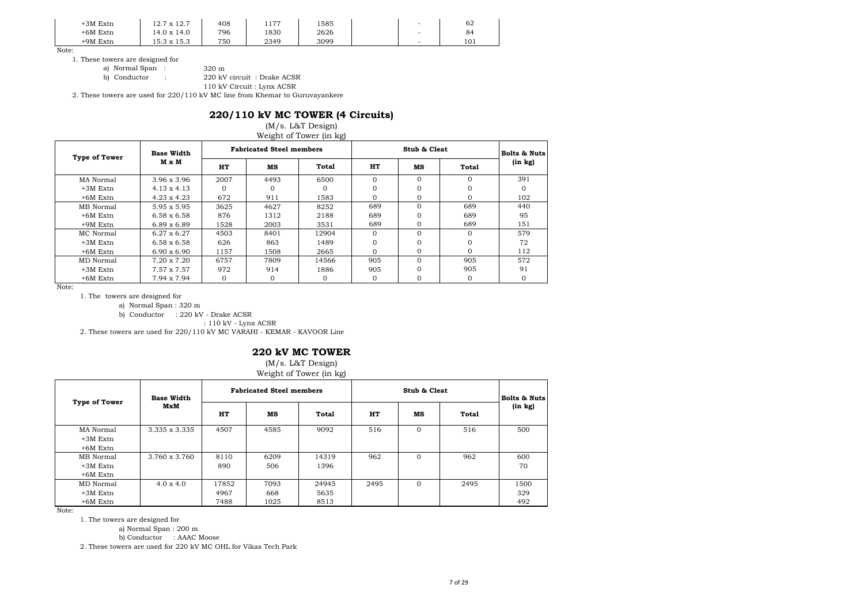| +3M Extn | 12.7 x 12.7                                                         | 408 | 177<br>1 1 <i>1 1</i> | 1585 | - | 62  |
|----------|---------------------------------------------------------------------|-----|-----------------------|------|---|-----|
| +6M Extn | 14.0 x 14.0                                                         | 796 | 1830                  | 2626 | - | 84  |
| +9M Extn | $15.3 \times 15.3$<br>$\mathbf{1} \in \mathbf{2}$ with $\mathbf{1}$ | 750 | 2349                  | 3099 | - | 101 |

1. These towers are designed for

a) Normal Span : 320 m<br>b) Conductor : 220 kV

220 kV circuit : Drake ACSR

110 kV Circuit : Lynx ACSR

2. These towers are used for 220/110 kV MC line from Khemar to Guruvayankere

#### **220/110 kV MC TOWER (4 Circuits)**

#### (M/s. L&T Design) Weight of Tower (in kg)

| <b>Type of Tower</b> | <b>Base Width</b>  |          | <b>Fabricated Steel members</b> |          |          | Stub & Cleat | <b>Bolts &amp; Nuts</b> |         |
|----------------------|--------------------|----------|---------------------------------|----------|----------|--------------|-------------------------|---------|
|                      | M x M              | HT       | мs                              | Total    | HT       | мs           | Total                   | (in kg) |
| MA Normal            | $3.96 \times 3.96$ | 2007     | 4493                            | 6500     | $\Omega$ | $\Omega$     | $\Omega$                | 391     |
| $+3M$ Extn           | $4.13 \times 4.13$ |          |                                 |          | $\Omega$ |              |                         |         |
| $+6M$ Extn           | $4.23 \times 4.23$ | 672      | 911                             | 1583     | $\Omega$ | $\Omega$     | $\Omega$                | 102     |
| MB Normal            | $5.95 \times 5.95$ | 3625     | 4627                            | 8252     | 689      | $\Omega$     | 689                     | 440     |
| $+6M$ Extn           | $6.58 \times 6.58$ | 876      | 1312                            | 2188     | 689      |              | 689                     | 95      |
| $+9M$ Extn           | $6.89 \times 6.89$ | 1528     | 2003                            | 3531     | 689      | $\Omega$     | 689                     | 151     |
| MC Normal            | $6.27 \times 6.27$ | 4503     | 8401                            | 12904    | $\Omega$ | $\Omega$     | $\Omega$                | 579     |
| $+3M$ Extn           | $6.58 \times 6.58$ | 626      | 863                             | 1489     | $\Omega$ |              |                         | 72      |
| $+6M$ Extn           | $6.90 \times 6.90$ | 1157     | 1508                            | 2665     | $\Omega$ | $\Omega$     | $\Omega$                | 112     |
| MD Normal            | 7.20 x 7.20        | 6757     | 7809                            | 14566    | 905      | $\Omega$     | 905                     | 572     |
| $+3M$ Extn           | 7.57 x 7.57        | 972      | 914                             | 1886     | 905      |              | 905                     | 91      |
| $+6M$ Extn           | 7.94 x 7.94        | $\Omega$ |                                 | $\Omega$ | $\Omega$ |              | $\Omega$                |         |

Note:

1. The towers are designed for

a) Normal Span : 320 m

b) Conductor : 220 kV - Drake ACSR

: 110 kV - Lynx ACSR

2. These towers are used for 220/110 kV MC VARAHI - KEMAR - KAVOOR Line

#### **220 kV MC TOWER**

(M/s. L&T Design)

Weight of Tower (in kg)

| <b>Type of Tower</b>    | <b>Base Width</b> |       | <b>Fabricated Steel members</b> |       |      | Stub & Cleat |       | <b>Bolts &amp; Nuts</b> |
|-------------------------|-------------------|-------|---------------------------------|-------|------|--------------|-------|-------------------------|
|                         | MxM               | HT    | MS                              | Total | HT   | мs           | Total | (in kg)                 |
| MA Normal<br>$+3M$ Extn | 3.335 x 3.335     | 4507  | 4585                            | 9092  | 516  | $\Omega$     | 516   | 500                     |
| $+6M$ Extn              |                   |       |                                 |       |      |              |       |                         |
| MB Normal               | 3.760 x 3.760     | 8110  | 6209                            | 14319 | 962  | $\Omega$     | 962   | 600                     |
| $+3M$ Extn              |                   | 890   | 506                             | 1396  |      |              |       | 70                      |
| $+6M$ Extn              |                   |       |                                 |       |      |              |       |                         |
| MD Normal               | $4.0 \times 4.0$  | 17852 | 7093                            | 24945 | 2495 | $\Omega$     | 2495  | 1500                    |
| $+3M$ Extn              |                   | 4967  | 668                             | 5635  |      |              |       | 329                     |
| $+6M$ Extn              |                   | 7488  | 1025                            | 8513  |      |              |       | 492                     |

Note:

1. The towers are designed for

a) Normal Span : 200 m

b) Conductor : AAAC Moose

2. These towers are used for 220 kV MC OHL for Vikas Tech Park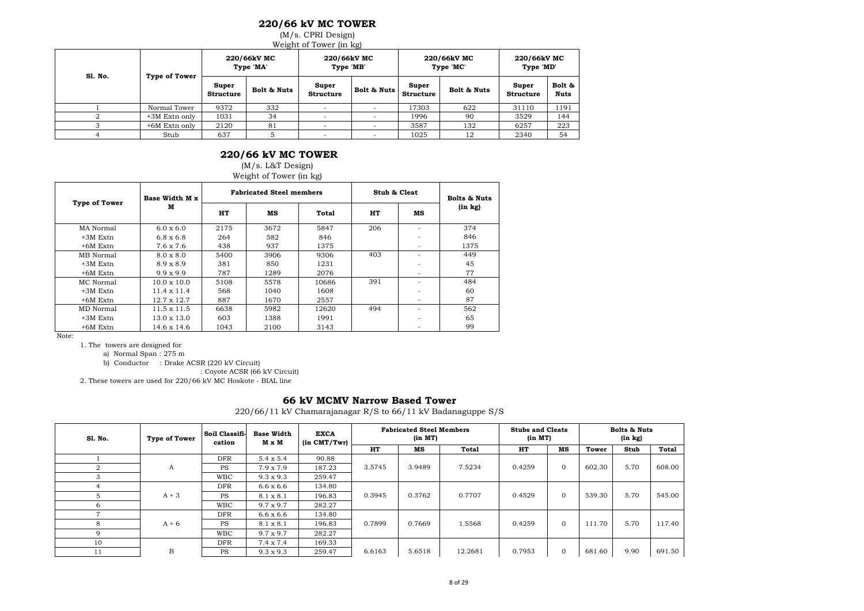### **220/66 kV MC TOWER**

(M/s. CPRI Design)

Weight of Tower (in kg)

| Sl. No. | Type of Tower |                           | 220/66kV MC<br>Type 'MA' | 220/66kV MC<br>Type 'MB'  |             |                           | 220/66kV MC<br>Type 'MC' | 220/66kV MC<br>Type 'MD'  |                       |  |
|---------|---------------|---------------------------|--------------------------|---------------------------|-------------|---------------------------|--------------------------|---------------------------|-----------------------|--|
|         |               | Super<br><b>Structure</b> | Bolt & Nuts              | Super<br><b>Structure</b> | Bolt & Nuts | Super<br><b>Structure</b> | Bolt & Nuts              | Super<br><b>Structure</b> | Bolt &<br><b>Nuts</b> |  |
|         | Normal Tower  | 9372                      | 332                      |                           |             | 17303                     | 622                      | 31110                     | 1191                  |  |
|         | +3M Extn only | 1031                      | 34                       |                           |             | 1996                      | 90                       | 3529                      | 144                   |  |
|         | +6M Extn only | 2120                      | 81                       |                           |             | 3587                      | 132                      | 6257                      | 223                   |  |
|         | Stub          | 637                       |                          |                           |             | 1025<br>12                |                          | 2340                      | 54                    |  |

#### **220/66 kV MC TOWER**

(M/s. L&T Design)

Weight of Tower (in kg)

| <b>Type of Tower</b> | Base Width M x     |      | <b>Fabricated Steel members</b> |       | Stub & Cleat |                          | <b>Bolts &amp; Nuts</b> |  |
|----------------------|--------------------|------|---------------------------------|-------|--------------|--------------------------|-------------------------|--|
|                      | M                  | HT   | мs                              | Total | HT           | мs                       | (in kg)                 |  |
| MA Normal            | $6.0 \times 6.0$   | 2175 | 3672                            | 5847  | 206          |                          | 374                     |  |
| $+3M$ Extn           | $6.8 \times 6.8$   | 264  | 582                             | 846   |              |                          | 846                     |  |
| $+6M$ Extn           | 7.6 x 7.6          | 438  | 937                             | 1375  |              | $\overline{\phantom{0}}$ | 1375                    |  |
| MB Normal            | $8.0 \times 8.0$   | 5400 | 3906                            | 9306  | 403          |                          | 449                     |  |
| $+3M$ Extn           | $8.9 \times 8.9$   | 381  | 850                             | 1231  |              |                          | 45                      |  |
| +6M Extn             | $9.9 \times 9.9$   | 787  | 1289                            | 2076  |              |                          | 77                      |  |
| MC Normal            | $10.0 \times 10.0$ | 5108 | 5578                            | 10686 | 391          |                          | 484                     |  |
| $+3M$ Extn           | $11.4 \times 11.4$ | 568  | 1040                            | 1608  |              |                          | 60                      |  |
| +6M Extn             | $12.7 \times 12.7$ | 887  | 1670                            | 2557  |              | $\overline{\phantom{0}}$ | 87                      |  |
| MD Normal            | $11.5 \times 11.5$ | 6638 | 5982                            | 12620 | 494          | -                        | 562                     |  |
| $+3M$ Extn           | $13.0 \times 13.0$ | 603  | 1388                            | 1991  |              |                          | 65                      |  |
| $+6M$ Extn           | 14.6 x 14.6        | 1043 | 2100                            | 3143  |              |                          | 99                      |  |

Note:

1. The towers are designed for

a) Normal Span : 275 m

b) Conductor : Drake ACSR (220 kV Circuit)

: Coyote ACSR (66 kV Circuit)

2. These towers are used for 220/66 kV MC Hoskote - BIAL line

#### **66 kV MCMV Narrow Based Tower**

220/66/11 kV Chamarajanagar R/S to 66/11 kV Badanaguppe S/S

| Sl. No. | <b>Type of Tower</b> | Soil Classifi-<br>cation | <b>Base Width</b><br>M x M | <b>EXCA</b><br>$(in$ $CMT/Twr)$ | <b>Fabricated Steel Members</b><br>(in MT) |        | <b>Bolts &amp; Nuts</b><br><b>Stubs and Cleats</b><br>(in kg)<br>(in MT) |        |                |        |      |        |
|---------|----------------------|--------------------------|----------------------------|---------------------------------|--------------------------------------------|--------|--------------------------------------------------------------------------|--------|----------------|--------|------|--------|
|         |                      |                          |                            |                                 | HT                                         | MS     | Total                                                                    | HT     | мs             | Tower  | Stub | Total  |
|         |                      | <b>DFR</b>               | $5.4 \times 5.4$           | 90.88                           |                                            |        |                                                                          |        |                |        |      |        |
|         | А                    | <b>PS</b>                | $7.9 \times 7.9$           | 187.23                          | 3.5745                                     | 3.9489 | 7.5234                                                                   | 0.4259 | $\mathbf{0}$   | 602.30 | 5.70 | 608.00 |
|         |                      | <b>WBC</b>               | $9.3 \times 9.3$           | 259.47                          |                                            |        |                                                                          |        |                |        |      |        |
|         |                      | DFR                      | $6.6 \times 6.6$           | 134.80                          |                                            |        |                                                                          |        |                |        |      |        |
|         | $A + 3$              | <b>PS</b>                | 8.1 x 8.1                  | 196.83                          | 0.3945                                     | 0.3762 | 0.7707                                                                   | 0.4529 | $\overline{0}$ | 539.30 | 5.70 | 545.00 |
| 6       |                      | <b>WBC</b>               | $9.7 \times 9.7$           | 282.27                          |                                            |        |                                                                          |        |                |        |      |        |
|         |                      | DFR                      | $6.6 \times 6.6$           | 134.80                          |                                            |        |                                                                          |        |                |        |      |        |
| 8       | $A + 6$              | <b>PS</b>                | 8.1 x 8.1                  | 196.83                          | 0.7899                                     | 0.7669 | 1.5568                                                                   | 0.4259 | $\mathbf{0}$   | 111.70 | 5.70 | 117.40 |
| Q       |                      | <b>WBC</b>               | $9.7 \times 9.7$           | 282.27                          |                                            |        |                                                                          |        |                |        |      |        |
| 10      |                      | <b>DFR</b>               | $7.4 \times 7.4$           | 169.33                          |                                            |        |                                                                          |        |                |        |      |        |
| 11      | B                    | <b>PS</b>                | $9.3 \times 9.3$           | 259.47                          | 6.6163                                     | 5.6518 | 12.2681                                                                  | 0.7953 | $\mathbf{0}$   | 681.60 | 9.90 | 691.50 |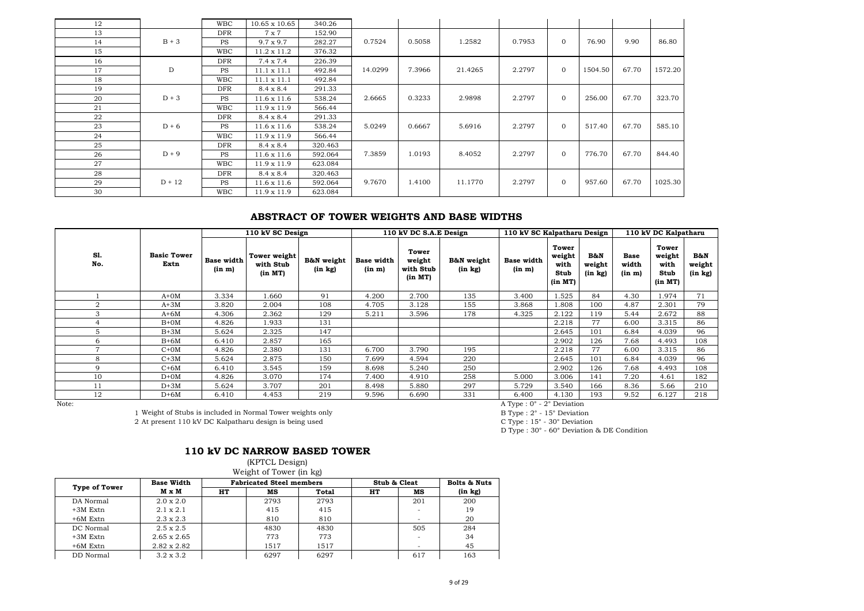| 12 |          | <b>WBC</b> | 10.65 x 10.65      | 340.26  |         |        |         |        |              |         |       |         |
|----|----------|------------|--------------------|---------|---------|--------|---------|--------|--------------|---------|-------|---------|
| 13 |          | <b>DFR</b> | 7 x 7              | 152.90  |         |        |         |        |              |         |       |         |
| 14 | $B + 3$  | <b>PS</b>  | $9.7 \times 9.7$   | 282.27  | 0.7524  | 0.5058 | 1.2582  | 0.7953 | $\mathbf{0}$ | 76.90   | 9.90  | 86.80   |
| 15 |          | <b>WBC</b> | $11.2 \times 11.2$ | 376.32  |         |        |         |        |              |         |       |         |
| 16 |          | <b>DFR</b> | $7.4 \times 7.4$   | 226.39  |         |        |         |        |              |         |       |         |
| 17 | D        | <b>PS</b>  | $11.1 \times 11.1$ | 492.84  | 14.0299 | 7.3966 | 21.4265 | 2.2797 | $\mathbf{0}$ | 1504.50 | 67.70 | 1572.20 |
| 18 |          | <b>WBC</b> | $11.1 \times 11.1$ | 492.84  |         |        |         |        |              |         |       |         |
| 19 |          | <b>DFR</b> | 8.4 x 8.4          | 291.33  |         |        |         |        |              |         |       |         |
| 20 | $D + 3$  | <b>PS</b>  | $11.6 \times 11.6$ | 538.24  | 2.6665  | 0.3233 | 2.9898  | 2.2797 | $\mathbf{0}$ | 256.00  | 67.70 | 323.70  |
| 21 |          | <b>WBC</b> | $11.9 \times 11.9$ | 566.44  |         |        |         |        |              |         |       |         |
| 22 |          | <b>DFR</b> | 8.4 x 8.4          | 291.33  |         |        |         |        |              |         |       |         |
| 23 | $D + 6$  | <b>PS</b>  | $11.6 \times 11.6$ | 538.24  | 5.0249  | 0.6667 | 5.6916  | 2.2797 | $\mathbf{0}$ | 517.40  | 67.70 | 585.10  |
| 24 |          | <b>WBC</b> | $11.9 \times 11.9$ | 566.44  |         |        |         |        |              |         |       |         |
| 25 |          | <b>DFR</b> | 8.4 x 8.4          | 320.463 |         |        |         |        |              |         |       |         |
| 26 | $D + 9$  | <b>PS</b>  | $11.6 \times 11.6$ | 592.064 | 7.3859  | 1.0193 | 8.4052  | 2.2797 | $\mathbf{0}$ | 776.70  | 67.70 | 844.40  |
| 27 |          | <b>WBC</b> | $11.9 \times 11.9$ | 623.084 |         |        |         |        |              |         |       |         |
| 28 |          | <b>DFR</b> | 8.4 x 8.4          | 320.463 |         |        |         |        |              |         |       |         |
| 29 | $D + 12$ | <b>PS</b>  | $11.6 \times 11.6$ | 592.064 | 9.7670  | 1.4100 | 11.1770 | 2.2797 | $\mathbf{0}$ | 957.60  | 67.70 | 1025.30 |
| 30 |          | <b>WBC</b> | $11.9 \times 11.9$ | 623.084 |         |        |         |        |              |         |       |         |

## **ABSTRACT OF TOWER WEIGHTS AND BASE WIDTHS**

|                |                                                            |                             | 110 kV SC Design                     |                       |                             | 110 kV DC S.A.E Design                  |                       | 110 kV SC Kalpatharu Design                                                                |                                            |                                     | 110 kV DC Kalpatharu           |                                            |                                     |
|----------------|------------------------------------------------------------|-----------------------------|--------------------------------------|-----------------------|-----------------------------|-----------------------------------------|-----------------------|--------------------------------------------------------------------------------------------|--------------------------------------------|-------------------------------------|--------------------------------|--------------------------------------------|-------------------------------------|
| S1.<br>No.     | <b>Basic Tower</b><br>Extn                                 | <b>Base width</b><br>(in m) | Tower weight<br>with Stub<br>(in MT) | B&N weight<br>(in kg) | <b>Base width</b><br>(in m) | Tower<br>weight<br>with Stub<br>(in MT) | B&N weight<br>(in kg) | <b>Base width</b><br>(in m)                                                                | Tower<br>weight<br>with<br>Stub<br>(in MT) | <b>B&amp;N</b><br>weight<br>(in kg) | <b>Base</b><br>width<br>(in m) | Tower<br>weight<br>with<br>Stub<br>(in MT) | <b>B&amp;N</b><br>weight<br>(in kg) |
|                | $A+OM$                                                     | 3.334                       | 1.660                                | 91                    | 4.200                       | 2.700                                   | 135                   | 3.400                                                                                      | 1.525                                      | 84                                  | 4.30                           | 1.974                                      | 71                                  |
| $\overline{2}$ | $A+3M$                                                     | 3.820                       | 2.004                                | 108                   | 4.705                       | 3.128                                   | 155                   | 3.868                                                                                      | 1.808                                      | 100                                 | 4.87                           | 2.301                                      | 79                                  |
| 3              | $A+6M$                                                     | 4.306                       | 2.362                                | 129                   | 5.211                       | 3.596                                   | 178                   | 4.325                                                                                      | 2.122                                      | 119                                 | 5.44                           | 2.672                                      | 88                                  |
|                | $B+OM$                                                     | 4.826                       | 1.933                                | 131                   |                             |                                         |                       |                                                                                            | 2.218                                      | 77                                  | 6.00                           | 3.315                                      | 86                                  |
|                | $B+3M$                                                     | 5.624                       | 2.325                                | 147                   |                             |                                         |                       |                                                                                            | 2.645                                      | 101                                 | 6.84                           | 4.039                                      | 96                                  |
| 6              | $B+6M$                                                     | 6.410                       | 2.857                                | 165                   |                             |                                         |                       |                                                                                            | 2.902                                      | 126                                 | 7.68                           | 4.493                                      | 108                                 |
|                | $C+OM$                                                     | 4.826                       | 2.380                                | 131                   | 6.700                       | 3.790                                   | 195                   |                                                                                            | 2.218                                      | 77                                  | 6.00                           | 3.315                                      | 86                                  |
| 8              | $C+3M$                                                     | 5.624                       | 2.875                                | 150                   | 7.699                       | 4.594                                   | 220                   |                                                                                            | 2.645                                      | 101                                 | 6.84                           | 4.039                                      | 96                                  |
| <sup>Q</sup>   | $C+6M$                                                     | 6.410                       | 3.545                                | 159                   | 8.698                       | 5.240                                   | 250                   |                                                                                            | 2.902                                      | 126                                 | 7.68                           | 4.493                                      | 108                                 |
| 10             | $D+OM$                                                     | 4.826                       | 3.070                                | 174                   | 7.400                       | 4.910                                   | 258                   | 5.000                                                                                      | 3.006                                      | 141                                 | 7.20                           | 4.61                                       | 182                                 |
| 11             | $D+3M$                                                     | 5.624                       | 3.707                                | 201                   | 8.498                       | 5.880                                   | 297                   | 5.729                                                                                      | 3.540                                      | 166                                 | 8.36                           | 5.66                                       | 210                                 |
| 12             | $D+6M$                                                     | 6.410                       | 4.453                                | 219                   | 9.596                       | 6.690                                   | 331                   | 6.400                                                                                      | 4.130                                      | 193                                 | 9.52                           | 6.127                                      | 218                                 |
| Note:          | 1 Weight of Stubs is included in Normal Tower weights only |                             |                                      |                       |                             |                                         |                       | A Type : $0^\circ$ - $2^\circ$ Deviation<br>B Type : $2^{\circ}$ - 15 $^{\circ}$ Deviation |                                            |                                     |                                |                                            |                                     |

1 Weight of Stubs is included in Normal Tower weights only **B** Type : 2° - 15° Deviation<br>
2 At present 110 kV DC Kalpatharu design is being used **B** C Type : 15° - 30° Deviation 2 At present 110 kV DC Kalpatharu design is being used

D Type : 30° - 60° Deviation & DE Condition

## **110 kV DC NARROW BASED TOWER**

(KPTCL Design) Weight of Tower (in kg)

|                      |                    |    |                                 | .     |              |     |                         |  |  |
|----------------------|--------------------|----|---------------------------------|-------|--------------|-----|-------------------------|--|--|
|                      | <b>Base Width</b>  |    | <b>Fabricated Steel members</b> |       | Stub & Cleat |     | <b>Bolts &amp; Nuts</b> |  |  |
| <b>Type of Tower</b> | M x M              | HT | мs                              | Total | HT           | мs  | $(in \; kg)$            |  |  |
| DA Normal            | $2.0 \times 2.0$   |    | 2793                            | 2793  |              | 201 | 200                     |  |  |
| $+3M$ Extn           | $2.1 \times 2.1$   |    | 415                             | 415   |              |     | 19                      |  |  |
| $+6M$ Extn           | $2.3 \times 2.3$   |    | 810                             | 810   |              |     | 20                      |  |  |
| DC Normal            | $2.5 \times 2.5$   |    | 4830                            | 4830  |              | 505 | 284                     |  |  |
| $+3M$ Extn           | $2.65 \times 2.65$ |    | 773                             | 773   |              |     | 34                      |  |  |
| $+6M$ Extn           | $2.82 \times 2.82$ |    | 1517                            | 1517  |              |     | 45                      |  |  |
| DD Normal            | $3.2 \times 3.2$   |    | 6297                            | 6297  |              | 617 | 163                     |  |  |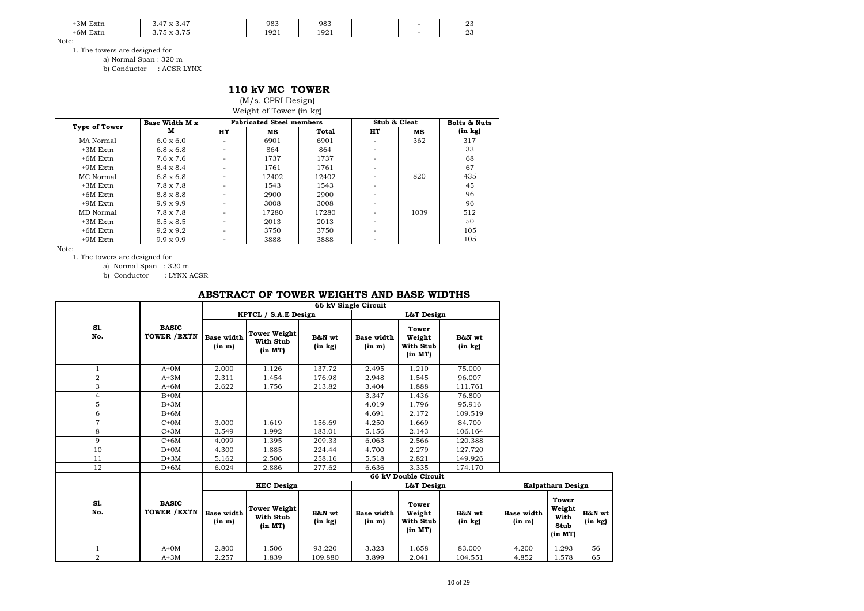| 3M Ext<br>Extn  | 47<br>$\overline{a}$<br>$\cdot$<br>$\prime$            | 983  | 983  |  | $\sim$<br>ں ک |
|-----------------|--------------------------------------------------------|------|------|--|---------------|
| $+6M$ F<br>Extn | $\sim$ $\sim$ $\sim$<br>$\overline{a}$<br>$\mathbf{r}$ | 1921 | 1921 |  | $\sim$<br>ں∠  |

1. The towers are designed for

a) Normal Span : 320 m

b) Conductor : ACSR LYNX

### **110 kV MC TOWER**

(M/s. CPRI Design) Weight of Tower (in kg)

| <b>Type of Tower</b> | Base Width M x   |                          | <b>Fabricated Steel members</b> |       | Stub & Cleat |      | <b>Bolts &amp; Nuts</b> |
|----------------------|------------------|--------------------------|---------------------------------|-------|--------------|------|-------------------------|
|                      | м                | HT                       | мs                              | Total | HT           | мs   | (in kg)                 |
| MA Normal            | $6.0 \times 6.0$ |                          | 6901                            | 6901  |              | 362  | 317                     |
| $+3M$ Extn           | $6.8 \times 6.8$ |                          | 864                             | 864   |              |      | 33                      |
| $+6M$ Extn           | 7.6 x 7.6        | $\sim$                   | 1737                            | 1737  |              |      | 68                      |
| $+9M$ Extn           | $8.4 \times 8.4$ | $\overline{\phantom{0}}$ | 1761                            | 1761  | ۰            |      | 67                      |
| MC Normal            | $6.8 \times 6.8$ |                          | 12402                           | 12402 |              | 820  | 435                     |
| $+3M$ Extn           | $7.8 \times 7.8$ |                          | 1543                            | 1543  |              |      | 45                      |
| $+6M$ Extn           | $8.8 \times 8.8$ |                          | 2900                            | 2900  |              |      | 96                      |
| $+9M$ Extn           | $9.9 \times 9.9$ | -                        | 3008                            | 3008  |              |      | 96                      |
| MD Normal            | $7.8 \times 7.8$ | $\sim$                   | 17280                           | 17280 |              | 1039 | 512                     |
| $+3M$ Extn           | $8.5 \times 8.5$ |                          | 2013                            | 2013  |              |      | 50                      |
| $+6M$ Extn           | $9.2 \times 9.2$ |                          | 3750                            | 3750  |              |      | 105                     |
| $+9M$ Extn           | $9.9 \times 9.9$ |                          | 3888                            | 3888  |              |      | 105                     |

Note:

1. The towers are designed for

a) Normal Span : 320 m

b) Conductor : LYNX ACSR

### **ABSTRACT OF TOWER WEIGHTS AND BASE WIDTHS**

|                  |                                     |                             |                                                    |                        | 66 kV Single Circuit        |                                                |                        |                             |                                            |             |
|------------------|-------------------------------------|-----------------------------|----------------------------------------------------|------------------------|-----------------------------|------------------------------------------------|------------------------|-----------------------------|--------------------------------------------|-------------|
|                  |                                     |                             | KPTCL / S.A.E Design                               |                        |                             | L&T Design                                     |                        |                             |                                            |             |
| SI.<br>No.       | <b>BASIC</b><br><b>TOWER / EXTN</b> | <b>Base width</b><br>(in m) | <b>Tower Weight</b><br>With Stub<br>(in MT)        | B&N wt<br>$(in \; kg)$ | <b>Base width</b><br>(in m) | Tower<br>Weight<br>With Stub<br>(in MT)        | B&N wt<br>$(in \; kg)$ |                             |                                            |             |
| 1                | $A+OM$                              | 2.000                       | 1.126                                              | 137.72                 | 2.495                       | 1.210                                          | 75.000                 |                             |                                            |             |
| $\boldsymbol{2}$ | $A+3M$                              | 2.311                       | 1.454                                              | 176.98                 | 2.948                       | 1.545                                          | 96.007                 |                             |                                            |             |
| 3                | $A+6M$                              | 2.622                       | 1.756                                              | 213.82                 | 3.404                       | 1.888                                          | 111.761                |                             |                                            |             |
| $\overline{4}$   | $B+0M$                              |                             |                                                    |                        | 3.347                       | 1.436                                          | 76.800                 |                             |                                            |             |
| 5                | $B+3M$                              |                             |                                                    |                        | 4.019                       | 1.796                                          | 95.916                 |                             |                                            |             |
| 6                | $B+6M$                              |                             |                                                    |                        | 4.691                       | 2.172                                          | 109.519                |                             |                                            |             |
| $\overline{7}$   | $C+OM$                              | 3.000                       | 1.619                                              | 156.69                 | 4.250                       | 1.669                                          | 84.700                 |                             |                                            |             |
| 8                | $C+3M$                              | 3.549                       | 1.992                                              | 183.01                 | 5.156                       | 2.143                                          | 106.164                |                             |                                            |             |
| 9                | $C+6M$                              | 4.099                       | 1.395                                              | 209.33                 | 6.063                       | 2.566                                          | 120.388                |                             |                                            |             |
| 10               | $D+OM$                              | 4.300                       | 1.885                                              | 224.44                 | 4.700                       | 2.279                                          | 127.720                |                             |                                            |             |
| 11               | $D+3M$                              | 5.162                       | 2.506                                              | 258.16                 | 5.518                       | 2.821                                          | 149.926                |                             |                                            |             |
| 12               | $D+6M$                              | 6.024                       | 2.886                                              | 277.62                 | 6.636                       | 3.335                                          | 174.170                |                             |                                            |             |
|                  |                                     |                             |                                                    |                        |                             | 66 kV Double Circuit                           |                        |                             |                                            |             |
|                  |                                     |                             | <b>KEC Design</b>                                  |                        |                             | L&T Design                                     |                        |                             | Kalpatharu Design                          |             |
| SI.<br>No.       | <b>BASIC</b><br><b>TOWER / EXTN</b> | <b>Base width</b><br>(in m) | <b>Tower Weight</b><br><b>With Stub</b><br>(in MT) | B&N wt<br>$(in \; kg)$ | <b>Base width</b><br>(in m) | <b>Tower</b><br>Weight<br>With Stub<br>(in MT) | B&N wt<br>$(in \; kg)$ | <b>Base width</b><br>(in m) | Tower<br>Weight<br>With<br>Stub<br>(in MT) | B&N<br>(in) |
| 1                | $A+OM$                              | 2.800                       | 1.506                                              | 93.220                 | 3.323                       | 1.658                                          | 83.000                 | 4.200                       | 1.293                                      | 56          |
| $\overline{2}$   | $A+3M$                              | 2.257                       | 1.839                                              | 109.880                | 3.899                       | 2.041                                          | 104.551                | 4.852                       | 1.578                                      | 65          |

**B&N wt (in kg)**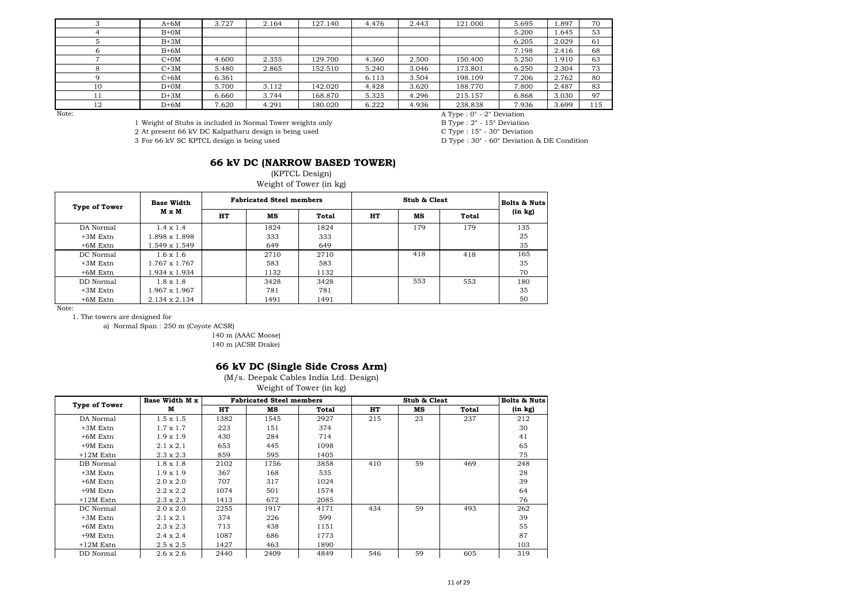|                 | $A+6M$ | 3.727 | 2.164 | 127.140 | 4.476 | 2.443 | 121.000 | 5.695 | 897   | 70  |
|-----------------|--------|-------|-------|---------|-------|-------|---------|-------|-------|-----|
|                 | $B+OM$ |       |       |         |       |       |         | 5.200 | 1.645 | 53  |
|                 | $B+3M$ |       |       |         |       |       |         | 6.205 | 2.029 | 61  |
|                 | $B+6M$ |       |       |         |       |       |         | 7.198 | 2.416 | 68  |
|                 | $C+OM$ | 4.600 | 2.355 | 129.700 | 4.360 | 2.500 | 150.400 | 5.250 | 1.910 | 63  |
|                 | $C+3M$ | 5.480 | 2.865 | 152.510 | 5.240 | 3.046 | 173.801 | 6.250 | 2.304 | 73  |
|                 | $C+6M$ | 6.361 |       |         | 6.113 | 3.504 | 198.109 | 7.206 | 2.762 | 80  |
| 10              | $D+OM$ | 5.700 | 3.112 | 142.020 | 4.428 | 3.620 | 188.770 | 7.800 | 2.487 | 83  |
|                 | $D+3M$ | 6.660 | 3.744 | 168.870 | 5.325 | 4.296 | 215.157 | 6.868 | 3.030 | 97  |
| $1 \cap$<br>τZ. | $D+6M$ | 7.620 | 4.291 | 180.020 | 6.222 | 4.936 | 238.838 | 7.936 | 3.699 | 115 |

Note:<br>
1 Weight of Stubs is included in Normal Tower weights only<br>
1 Weight of Stubs is included in Normal Tower weights only<br>
B Type : 2° - 15° Deviation<br>
B Type : 2° - 15° Deviation

2 At present 66 kV DC Kalpatharu design is being used 3 For 66 kV SC KPTCL design is being used

1 Weight of Stubs is included in Normal Tower weights only B Type : 2° - 15° Deviation<br>
2 At present 66 kV DC Kalpatharu design is being used C Type : 15° - 30° Deviation

D Type : 30° - 60° Deviation & DE Condition

## **66 kV DC (NARROW BASED TOWER)**

(KPTCL Design)

Weight of Tower (in kg)

| <b>Type of Tower</b> | <b>Base Width</b><br>M x M |    | <b>Fabricated Steel members</b> |       |    | <b>Bolts &amp; Nuts</b> |       |         |
|----------------------|----------------------------|----|---------------------------------|-------|----|-------------------------|-------|---------|
|                      |                            | HT | мs                              | Total | HT | мs                      | Total | (in kg) |
| DA Normal            | $1.4 \times 1.4$           |    | 1824                            | 1824  |    | 179                     | 179   | 135     |
| $+3M$ Extn           | 1.898 x 1.898              |    | 333                             | 333   |    |                         |       | 25      |
| $+6M$ Extn           | 1.549 x 1.549              |    | 649                             | 649   |    |                         |       | 35      |
| DC Normal            | $1.6 \times 1.6$           |    | 2710                            | 2710  |    | 418                     | 418   | 165     |
| $+3M$ Extn           | $1.767 \times 1.767$       |    | 583                             | 583   |    |                         |       | 35      |
| $+6M$ Extn           | 1.934 x 1.934              |    | 1132                            | 1132  |    |                         |       | 70      |
| DD Normal            | $1.8 \times 1.8$           |    | 3428                            | 3428  |    | 553                     | 553   | 180     |
| $+3M$ Extn           | 1.967 x 1.967              |    | 781                             | 781   |    |                         |       | 35      |
| $+6M$ Extn           | $2.134 \times 2.134$       |    | 1491                            | 1491  |    |                         |       | 50      |

Note:

1. The towers are designed for

a) Normal Span : 250 m (Coyote ACSR)

140 m (AAAC Moose) 140 m (ACSR Drake)

#### **66 kV DC (Single Side Cross Arm)**

(M/s. Deepak Cables India Ltd. Design)

Weight of Tower (in kg)

| <b>Type of Tower</b> | Base Width M x   |      | <b>Fabricated Steel members</b> |       |     | Stub & Cleat |       | <b>Bolts &amp; Nuts</b> |
|----------------------|------------------|------|---------------------------------|-------|-----|--------------|-------|-------------------------|
|                      | м                | HT   | мs                              | Total | HT  | мs           | Total | (in kg)                 |
| DA Normal            | $1.5 \times 1.5$ | 1382 | 1545                            | 2927  | 215 | 23           | 237   | 212                     |
| $+3M$ Extn           | $1.7 \times 1.7$ | 223  | 151                             | 374   |     |              |       | 30                      |
| $+6M$ Extn           | $1.9 \times 1.9$ | 430  | 284                             | 714   |     |              |       | 41                      |
| $+9M$ Extn           | $2.1 \times 2.1$ | 653  | 445                             | 1098  |     |              |       | 65                      |
| $+12M$ Extn          | $2.3 \times 2.3$ | 859  | 595                             | 1405  |     |              |       | 75                      |
| DB Normal            | $1.8 \times 1.8$ | 2102 | 1756                            | 3858  | 410 | 59           | 469   | 248                     |
| $+3M$ Extn           | $1.9 \times 1.9$ | 367  | 168                             | 535   |     |              |       | 28                      |
| $+6M$ Extn           | $2.0 \times 2.0$ | 707  | 317                             | 1024  |     |              |       | 39                      |
| $+9M$ Extn           | $2.2 \times 2.2$ | 1074 | 501                             | 1574  |     |              |       | 64                      |
| $+12M$ Extn          | $2.3 \times 2.3$ | 1413 | 672                             | 2085  |     |              |       | 76                      |
| DC Normal            | $2.0 \times 2.0$ | 2255 | 1917                            | 4171  | 434 | 59           | 493   | 262                     |
| $+3M$ Extn           | $2.1 \times 2.1$ | 374  | 226                             | 599   |     |              |       | 39                      |
| $+6M$ Extn           | $2.3 \times 2.3$ | 713  | 438                             | 1151  |     |              |       | 55                      |
| $+9M$ Extn           | $2.4 \times 2.4$ | 1087 | 686                             | 1773  |     |              |       | 87                      |
| $+12M$ Extn          | $2.5 \times 2.5$ | 1427 | 463                             | 1890  |     |              |       | 103                     |
| DD Normal            | $2.6 \times 2.6$ | 2440 | 2409                            | 4849  | 546 | 59           | 605   | 319                     |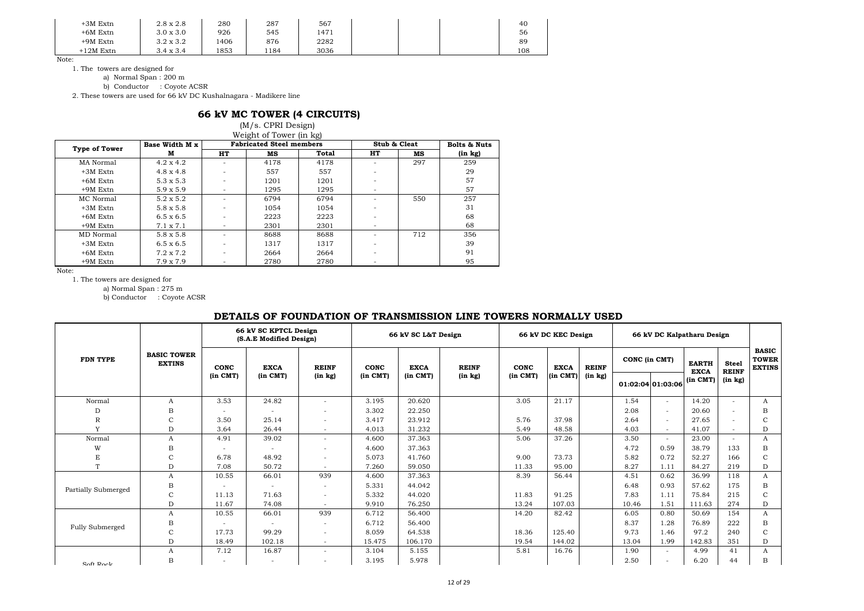| $+3M$ Extn  | $2.8 \times 2.8$ | 280  | 287  | 567  |  | 40  |
|-------------|------------------|------|------|------|--|-----|
| $+6M$ Extn  | $3.0 \times 3.0$ | 926  | 545  | 1471 |  | 56  |
| $+9M$ Extn  | $3.2 \times 3.2$ | 1406 | 876  | 2282 |  | 89  |
| $+12M$ Extn | $3.4 \times 3.4$ | 1853 | 1184 | 3036 |  | 108 |

1. The towers are designed for

a) Normal Span : 200 m

b) Conductor : Coyote ACSR

2. These towers are used for 66 kV DC Kushalnagara - Madikere line

## **66 kV MC TOWER (4 CIRCUITS)**

(M/s. CPRI Design) Weight of Tower (in kg)

| <b>Type of Tower</b> | Base Width M x   |                          | <b>Fabricated Steel members</b> |       | Stub & Cleat |     | <b>Bolts &amp; Nuts</b> |
|----------------------|------------------|--------------------------|---------------------------------|-------|--------------|-----|-------------------------|
|                      | м                | HT                       | мs                              | Total | HT           | мs  | $(in \; kg)$            |
| MA Normal            | $4.2 \times 4.2$ |                          | 4178                            | 4178  |              | 297 | 259                     |
| $+3M$ Extn           | $4.8 \times 4.8$ |                          | 557                             | 557   |              |     | 29                      |
| $+6M$ Extn           | $5.3 \times 5.3$ |                          | 1201                            | 1201  |              |     | 57                      |
| +9M Extn             | $5.9 \times 5.9$ | -                        | 1295                            | 1295  |              |     | 57                      |
| MC Normal            | $5.2 \times 5.2$ |                          | 6794                            | 6794  |              | 550 | 257                     |
| $+3M$ Extn           | $5.8 \times 5.8$ |                          | 1054                            | 1054  |              |     | 31                      |
| $+6M$ Extn           | $6.5 \times 6.5$ |                          | 2223                            | 2223  |              |     | 68                      |
| +9M Extn             | $7.1 \times 7.1$ | $\overline{\phantom{0}}$ | 2301                            | 2301  |              |     | 68                      |
| MD Normal            | $5.8 \times 5.8$ |                          | 8688                            | 8688  |              | 712 | 356                     |
| $+3M$ Extn           | $6.5 \times 6.5$ |                          | 1317                            | 1317  |              |     | 39                      |
| $+6M$ Extn           | $7.2 \times 7.2$ |                          | 2664                            | 2664  |              |     | 91                      |
| $+9M$ Extn           | $7.9 \times 7.9$ |                          | 2780                            | 2780  |              |     | 95                      |

Note:

1. The towers are designed for

a) Normal Span : 275 m

b) Conductor : Coyote ACSR

### **DETAILS OF FOUNDATION OF TRANSMISSION LINE TOWERS NORMALLY USED**

|                     |                                     |              | 66 kV SC KPTCL Design<br>(S.A.E Modified Design) |                | 66 kV SC L&T Design |              |              | 66 kV DC KEC Design |             |              | 66 kV DC Kalpatharu Design |                   |                             |                              |                                               |
|---------------------|-------------------------------------|--------------|--------------------------------------------------|----------------|---------------------|--------------|--------------|---------------------|-------------|--------------|----------------------------|-------------------|-----------------------------|------------------------------|-----------------------------------------------|
| <b>FDN TYPE</b>     | <b>BASIC TOWER</b><br><b>EXTINS</b> | CONC         | <b>EXCA</b>                                      | <b>REINF</b>   | CONC                | <b>EXCA</b>  | <b>REINF</b> | CONC                | <b>EXCA</b> | <b>REINF</b> | CONC (in CMT)              |                   | <b>EARTH</b><br><b>EXCA</b> | <b>Steel</b><br><b>REINF</b> | <b>BASIC</b><br><b>TOWER</b><br><b>EXTINS</b> |
|                     |                                     | $(in$ $CMT)$ | $(in$ $CMT)$                                     | (in kg)        | (in CMT)            | $(in$ $CMT)$ | (in kg)      | $(in$ $CMT)$        | (in CMT)    | (in kg)      |                            | 01:02:04 01:03:06 | (in CMT)                    | (in kg)                      |                                               |
| Normal              | A                                   | 3.53         | 24.82                                            |                | 3.195               | 20.620       |              | 3.05                | 21.17       |              | 1.54                       | $\sim$            | 14.20                       | $\sim$                       | A                                             |
| D                   | В                                   | ٠            |                                                  |                | 3.302               | 22.250       |              |                     |             |              | 2.08                       | $\sim$            | 20.60                       |                              | B                                             |
| $\mathbb R$         | Ċ                                   | 3.50         | 25.14                                            |                | 3.417               | 23.912       |              | 5.76                | 37.98       |              | 2.64                       | $\sim$            | 27.65                       |                              | C                                             |
| Y                   | D                                   | 3.64         | 26.44                                            | $\overline{a}$ | 4.013               | 31.232       |              | 5.49                | 48.58       |              | 4.03                       | $\sim$            | 41.07                       |                              | D                                             |
| Normal              | A                                   | 4.91         | 39.02                                            |                | 4.600               | 37.363       |              | 5.06                | 37.26       |              | 3.50                       | $\sim$            | 23.00                       | $\sim$                       | A                                             |
| W                   | в                                   |              |                                                  |                | 4.600               | 37.363       |              |                     |             |              | 4.72                       | 0.59              | 38.79                       | 133                          | B                                             |
| E                   | C                                   | 6.78         | 48.92                                            |                | 5.073               | 41.760       |              | 9.00                | 73.73       |              | 5.82                       | 0.72              | 52.27                       | 166                          | $\mathsf{C}$                                  |
| T                   | D                                   | 7.08         | 50.72                                            |                | 7.260               | 59.050       |              | 11.33               | 95.00       |              | 8.27                       | 1.11              | 84.27                       | 219                          | D                                             |
|                     | A                                   | 10.55        | 66.01                                            | 939            | 4.600               | 37.363       |              | 8.39                | 56.44       |              | 4.51                       | 0.62              | 36.99                       | 118                          | A                                             |
| Partially Submerged | В                                   | ٠            | ٠                                                |                | 5.331               | 44.042       |              |                     |             |              | 6.48                       | 0.93              | 57.62                       | 175                          | B                                             |
|                     | $\mathbf C$                         | 11.13        | 71.63                                            |                | 5.332               | 44.020       |              | 11.83               | 91.25       |              | 7.83                       | 1.11              | 75.84                       | 215                          | $\mathcal{C}$                                 |
|                     | D                                   | 11.67        | 74.08                                            |                | 9.910               | 76.250       |              | 13.24               | 107.03      |              | 10.46                      | 1.51              | 111.63                      | 274                          | D                                             |
|                     | A                                   | 10.55        | 66.01                                            | 939            | 6.712               | 56.400       |              | 14.20               | 82.42       |              | 6.05                       | 0.80              | 50.69                       | 154                          | A                                             |
| Fully Submerged     | В                                   |              |                                                  |                | 6.712               | 56.400       |              |                     |             |              | 8.37                       | 1.28              | 76.89                       | 222                          | B                                             |
|                     | $\mathbf C$                         | 17.73        | 99.29                                            |                | 8.059               | 64.538       |              | 18.36               | 125.40      |              | 9.73                       | 1.46              | 97.2                        | 240                          | $\mathcal{C}$                                 |
|                     | D                                   | 18.49        | 102.18                                           | $\sim$         | 15.475              | 106.170      |              | 19.54               | 144.02      |              | 13.04                      | 1.99              | 142.83                      | 351                          | D                                             |
|                     | A                                   | 7.12         | 16.87                                            |                | 3.104               | 5.155        |              | 5.81                | 16.76       |              | 1.90                       | $\sim$            | 4.99                        | 41                           | A                                             |
| Soft Rock           | B                                   |              | ٠                                                |                | 3.195               | 5.978        |              |                     |             |              | 2.50                       |                   | 6.20                        | 44                           | B                                             |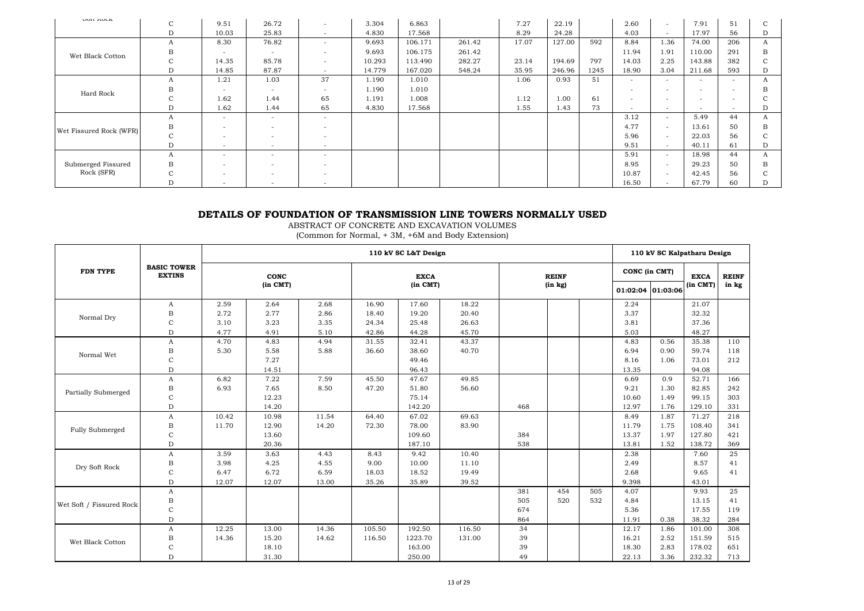| OUIL IVAL               | $\sim$<br>◡ | 9.51                     | 26.72                    |                          | 3.304  | 6.863   |        | 7.27  | 22.19  |      | 2.60                     | $\overline{a}$           | 7.91                     | 51                       | C |
|-------------------------|-------------|--------------------------|--------------------------|--------------------------|--------|---------|--------|-------|--------|------|--------------------------|--------------------------|--------------------------|--------------------------|---|
|                         | D           | 10.03                    | 25.83                    | $\overline{a}$           | 4.830  | 17.568  |        | 8.29  | 24.28  |      | 4.03                     | $\sim$                   | 17.97                    | 56                       | D |
|                         | А           | 8.30                     | 76.82                    |                          | 9.693  | 106.171 | 261.42 | 17.07 | 127.00 | 592  | 8.84                     | 1.36                     | 74.00                    | 206                      | A |
| Wet Black Cotton        | B           | $\overline{\phantom{a}}$ | $\overline{\phantom{a}}$ |                          | 9.693  | 106.175 | 261.42 |       |        |      | 11.94                    | 1.91                     | 110.00                   | 291                      | в |
|                         | $\sim$<br>U | 14.35                    | 85.78                    |                          | 10.293 | 113.490 | 282.27 | 23.14 | 194.69 | 797  | 14.03                    | 2.25                     | 143.88                   | 382                      | C |
|                         | D           | 14.85                    | 87.87                    | $\overline{\phantom{0}}$ | 14.779 | 167.020 | 548.24 | 35.95 | 246.96 | 1245 | 18.90                    | 3.04                     | 211.68                   | 593                      | D |
|                         | А           | 1.21                     | 1.03                     | 37                       | 1.190  | 1.010   |        | 1.06  | 0.93   | 51   | $\overline{\phantom{a}}$ | $\overline{a}$           | $\overline{\phantom{a}}$ | ۰                        | А |
| Hard Rock               | в           | $\overline{\phantom{a}}$ | $\sim$                   |                          | 1.190  | 1.010   |        |       |        |      | $\overline{\phantom{a}}$ | $\overline{\phantom{a}}$ | $\overline{\phantom{0}}$ | -                        | в |
|                         | $\sim$<br>Ü | 1.62                     | 1.44                     | 65                       | 1.191  | 1.008   |        | 1.12  | 1.00   | 61   | $\overline{\phantom{a}}$ | $\overline{a}$           | $\overline{\phantom{0}}$ | ۰                        |   |
|                         | D           | 1.62                     | 1.44                     | 65                       | 4.830  | 17.568  |        | 1.55  | 1.43   | 73   | $\sim$                   | $\sim$                   | $\overline{\phantom{0}}$ | $\overline{\phantom{0}}$ | D |
|                         | А           | $\overline{\phantom{a}}$ | $\overline{\phantom{a}}$ | -                        |        |         |        |       |        |      | 3.12                     | $\overline{a}$           | 5.49                     | 44                       | A |
| Wet Fissured Rock (WFR) | В           | $\overline{\phantom{a}}$ | $\overline{\phantom{a}}$ |                          |        |         |        |       |        |      | 4.77                     | $\sim$                   | 13.61                    | 50                       | в |
|                         | ι.          | $\overline{\phantom{a}}$ | -                        |                          |        |         |        |       |        |      | 5.96                     | $\sim$                   | 22.03                    | 56                       | C |
|                         | D           | $\overline{\phantom{a}}$ | $\overline{\phantom{a}}$ | $\overline{\phantom{0}}$ |        |         |        |       |        |      | 9.51                     | $\overline{a}$           | 40.11                    | 61                       | D |
|                         | A           | $\overline{\phantom{a}}$ | $\overline{\phantom{a}}$ |                          |        |         |        |       |        |      | 5.91                     | $\overline{\phantom{0}}$ | 18.98                    | 44                       | A |
| Submerged Fissured      | В           | $\overline{\phantom{a}}$ | -                        |                          |        |         |        |       |        |      | 8.95                     | $\overline{\phantom{a}}$ | 29.23                    | 50                       | В |
| Rock (SFR)              |             | $\overline{\phantom{a}}$ | $\overline{\phantom{a}}$ |                          |        |         |        |       |        |      | 10.87                    | $\sim$                   | 42.45                    | 56                       | C |
|                         | D           | $\overline{\phantom{a}}$ | $\overline{\phantom{a}}$ | $\overline{\phantom{a}}$ |        |         |        |       |        |      | 16.50                    | $\sim$                   | 67.79                    | 60                       | D |

## **DETAILS OF FOUNDATION OF TRANSMISSION LINE TOWERS NORMALLY USED**

ABSTRACT OF CONCRETE AND EXCAVATION VOLUMES

(Common for Normal, + 3M, +6M and Body Extension)

|                          |                                     |       |          |       |        | 110 kV SC L&T Design |        |     |              |     | 110 kV SC Kalpatharu Design |      |             |              |
|--------------------------|-------------------------------------|-------|----------|-------|--------|----------------------|--------|-----|--------------|-----|-----------------------------|------|-------------|--------------|
| <b>FDN TYPE</b>          | <b>BASIC TOWER</b><br><b>EXTINS</b> |       | CONC     |       |        | <b>EXCA</b>          |        |     | <b>REINF</b> |     | CONC (in CMT)               |      | <b>EXCA</b> | <b>REINF</b> |
|                          |                                     |       | (in CMT) |       |        | $(in$ $CMT)$         |        |     | (in kg)      |     | 01:02:04 01:03:06           |      | (in CMT)    | in kg        |
|                          | A                                   | 2.59  | 2.64     | 2.68  | 16.90  | 17.60                | 18.22  |     |              |     | 2.24                        |      | 21.07       |              |
| Normal Dry               | $_{\rm B}$                          | 2.72  | 2.77     | 2.86  | 18.40  | 19.20                | 20.40  |     |              |     | 3.37                        |      | 32.32       |              |
|                          | C                                   | 3.10  | 3.23     | 3.35  | 24.34  | 25.48                | 26.63  |     |              |     | 3.81                        |      | 37.36       |              |
|                          | $\mathbf D$                         | 4.77  | 4.91     | 5.10  | 42.86  | 44.28                | 45.70  |     |              |     | 5.03                        |      | 48.27       |              |
|                          | A                                   | 4.70  | 4.83     | 4.94  | 31.55  | 32.41                | 43.37  |     |              |     | 4.83                        | 0.56 | 35.38       | 110          |
| Normal Wet               | $_{\rm B}$                          | 5.30  | 5.58     | 5.88  | 36.60  | 38.60                | 40.70  |     |              |     | 6.94                        | 0.90 | 59.74       | 118          |
|                          | C                                   |       | 7.27     |       |        | 49.46                |        |     |              |     | 8.16                        | 1.06 | 73.01       | 212          |
|                          | D                                   |       | 14.51    |       |        | 96.43                |        |     |              |     | 13.35                       |      | 94.08       |              |
|                          | $\boldsymbol{A}$                    | 6.82  | 7.22     | 7.59  | 45.50  | 47.67                | 49.85  |     |              |     | 6.69                        | 0.9  | 52.71       | 166          |
| Partially Submerged      | $_{\rm B}$                          | 6.93  | 7.65     | 8.50  | 47.20  | 51.80                | 56.60  |     |              |     | 9.21                        | 1.30 | 82.85       | 242          |
|                          | $\rm{C}$                            |       | 12.23    |       |        | 75.14                |        |     |              |     | 10.60                       | 1.49 | 99.15       | 303          |
|                          | D                                   |       | 14.20    |       |        | 142.20               |        | 468 |              |     | 12.97                       | 1.76 | 129.10      | 331          |
|                          | A                                   | 10.42 | 10.98    | 11.54 | 64.40  | 67.02                | 69.63  |     |              |     | 8.49                        | 1.87 | 71.27       | 218          |
| Fully Submerged          | В                                   | 11.70 | 12.90    | 14.20 | 72.30  | 78.00                | 83.90  |     |              |     | 11.79                       | 1.75 | 108.40      | 341          |
|                          | $\mathsf{C}$                        |       | 13.60    |       |        | 109.60               |        | 384 |              |     | 13.37                       | 1.97 | 127.80      | 421          |
|                          | D                                   |       | 20.36    |       |        | 187.10               |        | 538 |              |     | 13.81                       | 1.52 | 138.72      | 369          |
|                          | A                                   | 3.59  | 3.63     | 4.43  | 8.43   | 9.42                 | 10.40  |     |              |     | 2.38                        |      | 7.60        | 25           |
| Dry Soft Rock            | $_{\rm B}$                          | 3.98  | 4.25     | 4.55  | 9.00   | 10.00                | 11.10  |     |              |     | 2.49                        |      | 8.57        | 41           |
|                          | C                                   | 6.47  | 6.72     | 6.59  | 18.03  | 18.52                | 19.49  |     |              |     | 2.68                        |      | 9.65        | 41           |
|                          | D                                   | 12.07 | 12.07    | 13.00 | 35.26  | 35.89                | 39.52  |     |              |     | 9.398                       |      | 43.01       |              |
|                          | A                                   |       |          |       |        |                      |        | 381 | 454          | 505 | 4.07                        |      | 9.93        | 25           |
|                          | $_{\rm B}$                          |       |          |       |        |                      |        | 505 | 520          | 532 | 4.84                        |      | 13.15       | 41           |
| Wet Soft / Fissured Rock | C                                   |       |          |       |        |                      |        | 674 |              |     | 5.36                        |      | 17.55       | 119          |
|                          | $\mathbf D$                         |       |          |       |        |                      |        | 864 |              |     | 11.91                       | 0.38 | 38.32       | 284          |
|                          | A                                   | 12.25 | 13.00    | 14.36 | 105.50 | 192.50               | 116.50 | 34  |              |     | 12.17                       | 1.86 | 101.00      | 308          |
| Wet Black Cotton         | B                                   | 14.36 | 15.20    | 14.62 | 116.50 | 1223.70              | 131.00 | 39  |              |     | 16.21                       | 2.52 | 151.59      | 515          |
|                          | $\mathsf{C}$                        |       | 18.10    |       |        | 163.00               |        | 39  |              |     | 18.30                       | 2.83 | 178.02      | 651          |
|                          | D                                   |       | 31.30    |       |        | 250.00               |        | 49  |              |     | 22.13                       | 3.36 | 232.32      | 713          |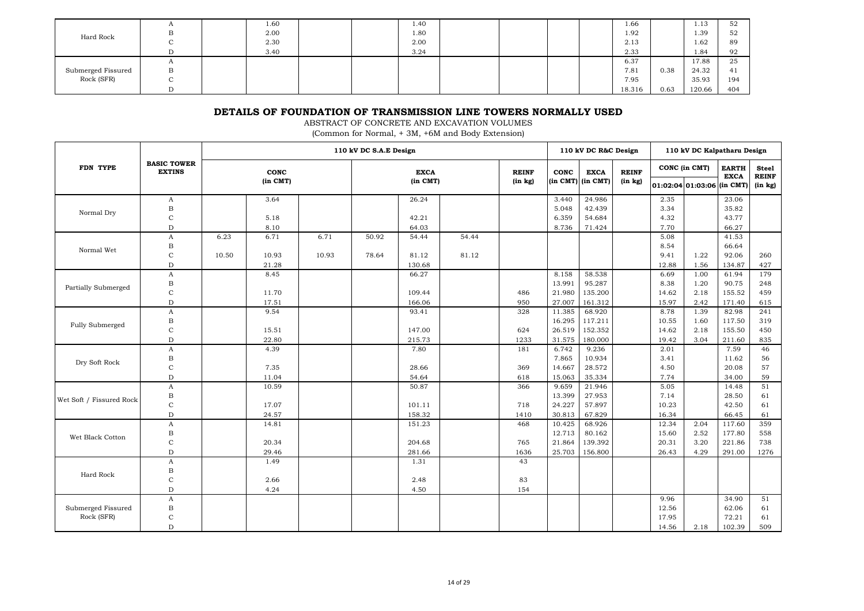|                    | $\overline{1}$ | 1.60 |  | 1.40 |  |  | 1.66   |      | 1.13   | 52  |
|--------------------|----------------|------|--|------|--|--|--------|------|--------|-----|
| Hard Rock          | . .            | 2.00 |  | 1.80 |  |  | 1.92   |      | 1.39   | 52  |
|                    | ◡              | 2.30 |  | 2.00 |  |  | 2.13   |      | 1.62   | 89  |
|                    |                | 3.40 |  | 3.24 |  |  | 2.33   |      | 1.84   | 92  |
|                    | л              |      |  |      |  |  | 6.37   |      | 17.88  | 25  |
| Submerged Fissured | В              |      |  |      |  |  | 7.81   | 0.38 | 24.32  | 41  |
| Rock (SFR)         |                |      |  |      |  |  | 7.95   |      | 35.93  | 194 |
|                    |                |      |  |      |  |  | 18.316 | 0.63 | 120.66 | 404 |

## **DETAILS OF FOUNDATION OF TRANSMISSION LINE TOWERS NORMALLY USED**

ABSTRACT OF CONCRETE AND EXCAVATION VOLUMES

(Common for Normal, + 3M, +6M and Body Extension)

|                          |                                     |       |                      |       | 110 kV DC S.A.E Design |                         |       |                         |        | 110 kV DC R&C Design               |                         | 110 kV DC Kalpatharu Design |                                             |                             |                                         |
|--------------------------|-------------------------------------|-------|----------------------|-------|------------------------|-------------------------|-------|-------------------------|--------|------------------------------------|-------------------------|-----------------------------|---------------------------------------------|-----------------------------|-----------------------------------------|
| FDN TYPE                 | <b>BASIC TOWER</b><br><b>EXTINS</b> |       | CONC<br>$(in$ $CMT)$ |       |                        | <b>EXCA</b><br>(in CMT) |       | <b>REINF</b><br>(in kg) | CONC   | <b>EXCA</b><br>$(in CMT)$ (in CMT) | <b>REINF</b><br>(in kg) |                             | CONC (in CMT)<br>01:02:04 01:03:06 (in CMT) | <b>EARTH</b><br><b>EXCA</b> | <b>Steel</b><br><b>REINF</b><br>(in kg) |
|                          | A                                   |       | 3.64                 |       |                        | 26.24                   |       |                         | 3.440  | 24.986                             |                         | 2.35                        |                                             | 23.06                       |                                         |
| Normal Dry               | $\mathbf B$                         |       |                      |       |                        |                         |       |                         | 5.048  | 42.439                             |                         | 3.34                        |                                             | 35.82                       |                                         |
|                          | $\mathbf C$                         |       | 5.18                 |       |                        | 42.21                   |       |                         | 6.359  | 54.684                             |                         | 4.32                        |                                             | 43.77                       |                                         |
|                          | $\mathbf D$                         |       | 8.10                 |       |                        | 64.03                   |       |                         | 8.736  | 71.424                             |                         | 7.70                        |                                             | 66.27                       |                                         |
|                          | A                                   | 6.23  | 6.71                 | 6.71  | 50.92                  | 54.44                   | 54.44 |                         |        |                                    |                         | 5.08                        |                                             | 41.53                       |                                         |
| Normal Wet               | В                                   |       |                      |       |                        |                         |       |                         |        |                                    |                         | 8.54                        |                                             | 66.64                       |                                         |
|                          | $\mathbf C$                         | 10.50 | 10.93                | 10.93 | 78.64                  | 81.12                   | 81.12 |                         |        |                                    |                         | 9.41                        | 1.22                                        | 92.06                       | 260                                     |
|                          | D                                   |       | 21.28                |       |                        | 130.68                  |       |                         |        |                                    |                         | 12.88                       | 1.56                                        | 134.87                      | 427                                     |
|                          | A                                   |       | 8.45                 |       |                        | 66.27                   |       |                         | 8.158  | 58.538                             |                         | 6.69                        | 1.00                                        | 61.94                       | 179                                     |
| Partially Submerged      | В                                   |       |                      |       |                        |                         |       |                         | 13.991 | 95.287                             |                         | 8.38                        | 1.20                                        | 90.75                       | 248                                     |
|                          | C                                   |       | 11.70                |       |                        | 109.44                  |       | 486                     | 21.980 | 135.200                            |                         | 14.62                       | 2.18                                        | 155.52                      | 459                                     |
|                          | $\mathbf D$                         |       | 17.51                |       |                        | 166.06                  |       | 950                     | 27.007 | 161.312                            |                         | 15.97                       | 2.42                                        | 171.40                      | 615                                     |
|                          | $\mathbf{A}$                        |       | 9.54                 |       |                        | 93.41                   |       | 328                     | 11.385 | 68.920                             |                         | 8.78                        | 1.39                                        | 82.98                       | 241                                     |
| Fully Submerged          | $_{\rm B}$                          |       |                      |       |                        |                         |       |                         | 16.295 | 117.211                            |                         | 10.55                       | 1.60                                        | 117.50                      | 319                                     |
|                          | $\mathbf C$                         |       | 15.51                |       |                        | 147.00                  |       | 624                     | 26.519 | 152.352                            |                         | 14.62                       | 2.18                                        | 155.50                      | 450                                     |
|                          | $\mathbf D$                         |       | 22.80                |       |                        | 215.73                  |       | 1233                    | 31.575 | 180.000                            |                         | 19.42                       | 3.04                                        | 211.60                      | 835                                     |
|                          | $\mathbf{A}$                        |       | 4.39                 |       |                        | 7.80                    |       | 181                     | 6.742  | 9.236                              |                         | 2.01                        |                                             | 7.59                        | 46                                      |
| Dry Soft Rock            | $_{\rm B}$                          |       |                      |       |                        |                         |       |                         | 7.865  | 10.934                             |                         | 3.41                        |                                             | 11.62                       | 56                                      |
|                          | $\rm{C}$                            |       | 7.35                 |       |                        | 28.66                   |       | 369                     | 14.667 | 28.572                             |                         | 4.50                        |                                             | 20.08                       | 57                                      |
|                          | $\mathbf D$                         |       | 11.04                |       |                        | 54.64                   |       | 618                     | 15.063 | 35.334                             |                         | 7.74                        |                                             | 34.00                       | 59                                      |
|                          | A                                   |       | 10.59                |       |                        | 50.87                   |       | 366                     | 9.659  | 21.946                             |                         | 5.05                        |                                             | 14.48                       | 51                                      |
| Wet Soft / Fissured Rock | $\mathbf B$                         |       |                      |       |                        |                         |       |                         | 13.399 | 27.953                             |                         | 7.14                        |                                             | 28.50                       | 61                                      |
|                          | $\mathbf C$                         |       | 17.07                |       |                        | 101.11                  |       | 718                     | 24.227 | 57.897                             |                         | 10.23                       |                                             | 42.50                       | 61                                      |
|                          | $\mathbf D$                         |       | 24.57                |       |                        | 158.32                  |       | 1410                    | 30.813 | 67.829                             |                         | 16.34                       |                                             | 66.45                       | 61                                      |
|                          | A                                   |       | 14.81                |       |                        | 151.23                  |       | 468                     | 10.425 | 68.926                             |                         | 12.34                       | 2.04                                        | 117.60                      | 359                                     |
| Wet Black Cotton         | В                                   |       |                      |       |                        |                         |       |                         | 12.713 | 80.162                             |                         | 15.60                       | 2.52                                        | 177.80                      | 558                                     |
|                          | $\mathbf C$                         |       | 20.34                |       |                        | 204.68                  |       | 765                     | 21.864 | 139.392                            |                         | 20.31                       | 3.20                                        | 221.86                      | 738                                     |
|                          | D                                   |       | 29.46                |       |                        | 281.66                  |       | 1636                    | 25.703 | 156.800                            |                         | 26.43                       | 4.29                                        | 291.00                      | 1276                                    |
|                          | A                                   |       | 1.49                 |       |                        | 1.31                    |       | 43                      |        |                                    |                         |                             |                                             |                             |                                         |
| Hard Rock                | B                                   |       |                      |       |                        |                         |       |                         |        |                                    |                         |                             |                                             |                             |                                         |
|                          | $\rm{C}$                            |       | 2.66                 |       |                        | 2.48                    |       | 83                      |        |                                    |                         |                             |                                             |                             |                                         |
|                          | $\mathbf D$                         |       | 4.24                 |       |                        | 4.50                    |       | 154                     |        |                                    |                         |                             |                                             |                             |                                         |
|                          | A                                   |       |                      |       |                        |                         |       |                         |        |                                    |                         | 9.96                        |                                             | 34.90                       | 51                                      |
| Submerged Fissured       | $_{\rm B}$                          |       |                      |       |                        |                         |       |                         |        |                                    |                         | 12.56                       |                                             | 62.06                       | 61                                      |
| Rock (SFR)               | $\mathbf C$                         |       |                      |       |                        |                         |       |                         |        |                                    |                         | 17.95                       |                                             | 72.21                       | 61                                      |
|                          | D                                   |       |                      |       |                        |                         |       |                         |        |                                    |                         | 14.56                       | 2.18                                        | 102.39                      | 509                                     |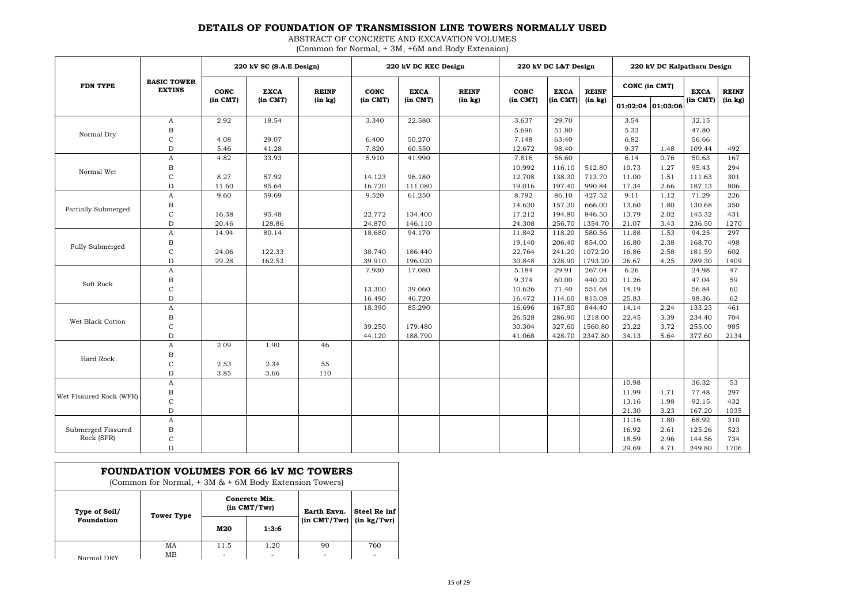### **DETAILS OF FOUNDATION OF TRANSMISSION LINE TOWERS NORMALLY USED**

ABSTRACT OF CONCRETE AND EXCAVATION VOLUMES (Common for Normal, + 3M, +6M and Body Extension)

|                         |                                     |             | 220 kV SC (S.A.E Design) |              |                 | 220 kV DC KEC Design |              |                 | 220 kV DC L&T Design |                   |               |          | 220 kV DC Kalpatharu Design |              |
|-------------------------|-------------------------------------|-------------|--------------------------|--------------|-----------------|----------------------|--------------|-----------------|----------------------|-------------------|---------------|----------|-----------------------------|--------------|
| <b>FDN TYPE</b>         | <b>BASIC TOWER</b><br><b>EXTINS</b> | <b>CONC</b> | <b>EXCA</b>              | <b>REINF</b> | <b>CONC</b>     | <b>EXCA</b>          | <b>REINF</b> | <b>CONC</b>     | <b>EXCA</b>          | <b>REINF</b>      | CONC (in CMT) |          | <b>EXCA</b>                 | <b>REINF</b> |
|                         |                                     | (in CMT)    | (in CMT)                 | (in kg)      | (in CMT)        | (in CMT)             | (in kg)      | (in CMT)        | (in CMT)             | (in kg)           | 01:02:04      | 01:03:06 | (in CMT)                    | (in kg)      |
|                         | A                                   | 2.92        | 18.54                    |              | 3.340           | 22.580               |              | 3.637           | 29.70                |                   | 3.54          |          | 32.15                       |              |
| Normal Dry              | $_{\rm B}$                          |             |                          |              |                 |                      |              | 5.696           | 51.80                |                   | 5.33          |          | 47.80                       |              |
|                         | $\mathsf{C}$                        | 4.08        | 29.07                    |              | 6.400           | 50.270               |              | 7.148           | 63.40                |                   | 6.82          |          | 56.66                       |              |
|                         | D                                   | 5.46        | 41.28                    |              | 7.820           | 60.550               |              | 12.672          | 98.40                |                   | 9.37          | 1.48     | 109.44                      | 492          |
|                         | A                                   | 4.82        | 33.93                    |              | 5.910           | 41.990               |              | 7.816           | 56.60                |                   | 6.14          | 0.76     | 50.63                       | 167          |
| Normal Wet              | B                                   |             |                          |              |                 |                      |              | 10.992          | 116.10               | 512.80            | 10.73         | 1.27     | 95.43                       | 294          |
|                         | $\mathbf C$                         | 8.27        | 57.92                    |              | 14.123          | 96.180               |              | 12.708          | 138.30               | 713.70            | 11.00         | 1.51     | 111.63                      | 301          |
|                         | D                                   | 11.60       | 85.64                    |              | 16.720          | 111.080              |              | 19.016          | 197.40               | 990.84            | 17.34         | 2.66     | 187.13                      | 806          |
|                         | A                                   | 9.60        | 59.69                    |              | 9.520           | 61.250               |              | 8.792           | 86.10                | 427.52            | 9.11          | 1.12     | 71.29                       | 226          |
| Partially Submerged     | $_{\rm B}$                          |             |                          |              |                 |                      |              | 14.620          | 157.20               | 666.00            | 13.60         | 1.80     | 130.68                      | 350          |
|                         | C                                   | 16.38       | 95.48                    |              | 22.772          | 134.400              |              | 17.212          | 194.80               | 846.50            | 13.79         | 2.02     | 145.32                      | 431          |
|                         | $\mathbf D$                         | 20.46       | 128.86                   |              | 24.870          | 146.110              |              | 24.308          | 256.70               | 1354.70           | 21.07         | 3.43     | 236.50                      | 1270         |
|                         | $\mathbf A$                         | 14.94       | 80.14                    |              | 18.680          | 94.170               |              | 11.842          | 118.20               | 580.56            | 11.88         | 1.53     | 94.25                       | 297          |
| Fully Submerged         | $_{\rm B}$                          |             |                          |              |                 |                      |              | 19.140          | 206.40               | 854.00            | 16.80         | 2.38     | 168.70                      | 498          |
|                         | C                                   | 24.06       | 122.33                   |              | 38.740          | 186.440<br>196.020   |              | 22.764          | 241.20               | 1072.20           | 16.86         | 2.58     | 181.59                      | 602          |
|                         | $\mathbf D$<br>$\mathbf A$          | 29.28       | 162.53                   |              | 39.910<br>7.930 | 17.080               |              | 30.848<br>5.184 | 328.90<br>29.91      | 1793.20<br>267.04 | 26.67<br>6.26 | 4.25     | 289.30<br>24.98             | 1409<br>47   |
|                         |                                     |             |                          |              |                 |                      |              | 9.374           | 60.00                | 440.20            | 11.26         |          | 47.04                       | 59           |
| Soft Rock               | B<br>$\mathbf C$                    |             |                          |              | 13.300          | 39.060               |              | 10.626          | 71.40                | 551.68            | 14.19         |          | 56.84                       | 60           |
|                         | $\mathbf D$                         |             |                          |              | 16.490          | 46.720               |              | 16.472          | 114.60               | 815.08            | 25.83         |          | 98.36                       | 62           |
|                         | A                                   |             |                          |              | 18.390          | 85.290               |              | 16.696          | 167.80               | 844.40            | 14.14         | 2.24     | 133.23                      | 461          |
|                         | $_{\rm B}$                          |             |                          |              |                 |                      |              | 26.528          | 286.90               | 1218.00           | 22.45         | 3.39     | 234.40                      | 704          |
| Wet Black Cotton        | $\mathbf C$                         |             |                          |              | 39.250          | 179.480              |              | 30.304          | 327.60               | 1560.80           | 23.22         | 3.72     | 255.00                      | 985          |
|                         | $\mathbf D$                         |             |                          |              | 44.120          | 188.790              |              | 41.068          | 428.70               | 2347.80           | 34.13         | 5.64     | 377.60                      | 2134         |
|                         | A                                   | 2.09        | 1.90                     | 46           |                 |                      |              |                 |                      |                   |               |          |                             |              |
|                         | B                                   |             |                          |              |                 |                      |              |                 |                      |                   |               |          |                             |              |
| Hard Rock               | $\mathbf C$                         | 2.53        | 2.34                     | 55           |                 |                      |              |                 |                      |                   |               |          |                             |              |
|                         | $\mathbf D$                         | 3.85        | 3.66                     | 110          |                 |                      |              |                 |                      |                   |               |          |                             |              |
|                         | A                                   |             |                          |              |                 |                      |              |                 |                      |                   | 10.98         |          | 36.32                       | 53           |
|                         | B                                   |             |                          |              |                 |                      |              |                 |                      |                   | 11.99         | 1.71     | 77.48                       | 297          |
| Wet Fissured Rock (WFR) | $\mathbf C$                         |             |                          |              |                 |                      |              |                 |                      |                   | 13.16         | 1.98     | 92.15                       | 432          |
|                         | $\mathbf D$                         |             |                          |              |                 |                      |              |                 |                      |                   | 21.30         | 3.23     | 167.20                      | 1035         |
|                         | A                                   |             |                          |              |                 |                      |              |                 |                      |                   | 11.16         | 1.80     | 68.92                       | 310          |
| Submerged Fissured      | B                                   |             |                          |              |                 |                      |              |                 |                      |                   | 16.92         | 2.61     | 125.26                      | 523          |
| Rock (SFR)              | C                                   |             |                          |              |                 |                      |              |                 |                      |                   | 18.59         | 2.96     | 144.56                      | 734          |
|                         | $\mathbf D$                         |             |                          |              |                 |                      |              |                 |                      |                   | 29.69         | 4.71     | 249.80                      | 1706         |

| FOUNDATION VOLUMES FOR 66 kV MC TOWERS<br>(Common for Normal, $+3M \& +6M$ Body Extension Towers) |                 |      |                                   |                  |                 |  |  |  |  |
|---------------------------------------------------------------------------------------------------|-----------------|------|-----------------------------------|------------------|-----------------|--|--|--|--|
| Type of Soil/                                                                                     | Tower Type      |      | Concrete Mix.<br>$(in$ $CMT/Twr)$ | Earth Exvn.      | Steel Re inf    |  |  |  |  |
| Foundation                                                                                        |                 | M20  | 1:3:6                             | $(in$ $CMT/Twr)$ | $(in \ kg/Twr)$ |  |  |  |  |
| Normal DRV                                                                                        | MA<br><b>MB</b> | 11.5 | 1.20                              | 90               | 760             |  |  |  |  |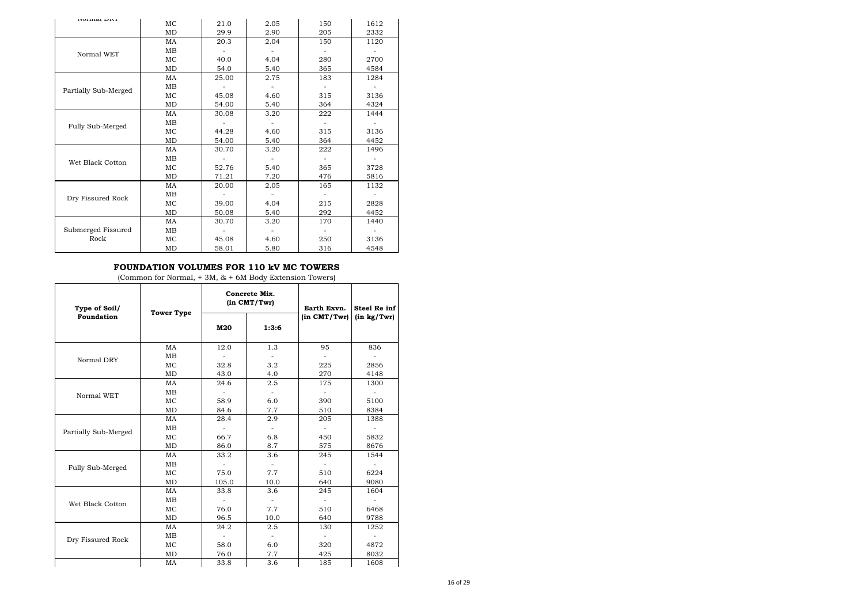| noman Din            | MC | 21.0  | 2.05 | 150 | 1612 |
|----------------------|----|-------|------|-----|------|
|                      | MD | 29.9  | 2.90 | 205 | 2332 |
|                      | MA | 20.3  | 2.04 | 150 | 1120 |
| Normal WET           | MB |       |      |     |      |
|                      | MC | 40.0  | 4.04 | 280 | 2700 |
|                      | MD | 54.0  | 5.40 | 365 | 4584 |
|                      | MA | 25.00 | 2.75 | 183 | 1284 |
| Partially Sub-Merged | MB |       |      |     |      |
|                      | MC | 45.08 | 4.60 | 315 | 3136 |
|                      | MD | 54.00 | 5.40 | 364 | 4324 |
|                      | MA | 30.08 | 3.20 | 222 | 1444 |
| Fully Sub-Merged     | MB |       |      |     |      |
|                      | MC | 44.28 | 4.60 | 315 | 3136 |
|                      | MD | 54.00 | 5.40 | 364 | 4452 |
|                      | MA | 30.70 | 3.20 | 222 | 1496 |
| Wet Black Cotton     | MB |       |      |     |      |
|                      | MC | 52.76 | 5.40 | 365 | 3728 |
|                      | MD | 71.21 | 7.20 | 476 | 5816 |
|                      | MA | 20.00 | 2.05 | 165 | 1132 |
| Dry Fissured Rock    | MB |       |      |     |      |
|                      | MC | 39.00 | 4.04 | 215 | 2828 |
|                      | MD | 50.08 | 5.40 | 292 | 4452 |
|                      | MA | 30.70 | 3.20 | 170 | 1440 |
| Submerged Fissured   | MB |       |      |     |      |
| Rock                 | MC | 45.08 | 4.60 | 250 | 3136 |
|                      | MD | 58.01 | 5.80 | 316 | 4548 |

#### **FOUNDATION VOLUMES FOR 110 kV MC TOWERS**

(Common for Normal, + 3M, & + 6M Body Extension Towers)

| Type of Soil/        | <b>Tower Type</b> |                          | Concrete Mix.<br>$(in$ $CMT/Twr)$ | Earth Exvn.      | <b>Steel Re inf</b>      |
|----------------------|-------------------|--------------------------|-----------------------------------|------------------|--------------------------|
| <b>Foundation</b>    |                   | M20                      | 1:3:6                             | $(in$ $CMT/Twr)$ | (in kg/Twr)              |
|                      | MA                | 12.0                     | 1.3                               | 95               | 836                      |
| Normal DRY           | MB                |                          |                                   |                  |                          |
|                      | MC                | 32.8                     | 3.2                               | 225              | 2856                     |
|                      | MD                | 43.0                     | 4.0                               | 270              | 4148                     |
|                      | MA                | 24.6                     | 2.5                               | 175              | 1300                     |
| Normal WET           | MB                |                          | $\blacksquare$                    |                  |                          |
|                      | MC                | 58.9                     | 6.0                               | 390              | 5100                     |
|                      | MD                | 84.6                     | 7.7                               | 510              | 8384                     |
|                      | MA                | 28.4                     | 2.9                               | 205              | 1388                     |
| Partially Sub-Merged | MB                |                          |                                   |                  |                          |
|                      | MC                | 66.7                     | 6.8                               | 450              | 5832                     |
|                      | <b>MD</b>         | 86.0                     | 8.7                               | 575              | 8676                     |
|                      | MA                | 33.2                     | 3.6                               | 245              | 1544                     |
| Fully Sub-Merged     | MB                |                          |                                   |                  |                          |
|                      | MC                | 75.0                     | 7.7                               | 510              | 6224                     |
|                      | MD                | 105.0                    | 10.0                              | 640              | 9080                     |
|                      | MA                | 33.8                     | 3.6                               | 245              | 1604                     |
| Wet Black Cotton     | MB                |                          |                                   |                  |                          |
|                      | MC                | 76.0                     | 7.7                               | 510              | 6468                     |
|                      | MD                | 96.5                     | 10.0                              | 640              | 9788                     |
|                      | MA                | 24.2                     | 2.5                               | 130              | 1252                     |
| Dry Fissured Rock    | MB                | $\overline{\phantom{a}}$ | $\sim$                            |                  | $\overline{\phantom{a}}$ |
|                      | MC                | 58.0                     | 6.0                               | 320              | 4872                     |
|                      | MD                | 76.0                     | 7.7                               | 425              | 8032                     |
|                      | MA                | 33.8                     | 3.6                               | 185              | 1608                     |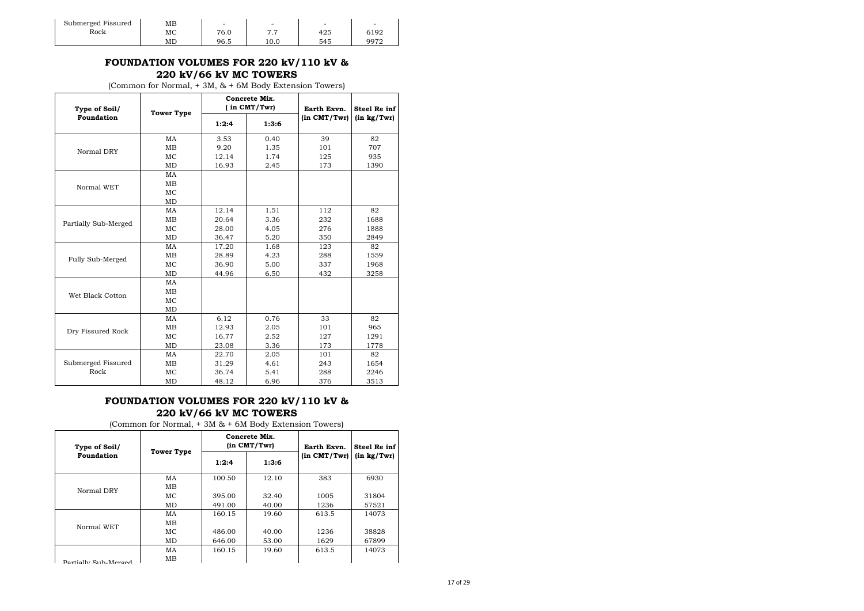| Submerged Fissured | ΜВ | $\overline{\phantom{0}}$ | $\sim$   | -   | $\overline{\phantom{0}}$ |  |
|--------------------|----|--------------------------|----------|-----|--------------------------|--|
| Rock               | МC | 76.0                     | ,,,<br>. | 425 | 6192                     |  |
|                    | MD | 96.5                     | 10.0     | 545 | 9972                     |  |

### **FOUNDATION VOLUMES FOR 220 kV/110 kV & 220 kV/66 kV MC TOWERS**

(Common for Normal, + 3M, & + 6M Body Extension Towers)

| Type of Soil/        | <b>Tower Type</b> |       | Concrete Mix.<br>(in CMT/Twr) | Earth Exvn.  | <b>Steel Re inf</b> |
|----------------------|-------------------|-------|-------------------------------|--------------|---------------------|
| Foundation           |                   | 1:2:4 | 1:3:6                         | (in CMT/Twr) | (in kg/Twr)         |
|                      | MA                | 3.53  | 0.40                          | 39           | 82                  |
| Normal DRY           | MB                | 9.20  | 1.35                          | 101          | 707                 |
|                      | MC                | 12.14 | 1.74                          | 125          | 935                 |
|                      | MD                | 16.93 | 2.45                          | 173          | 1390                |
|                      | MA                |       |                               |              |                     |
| Normal WET           | MВ                |       |                               |              |                     |
|                      | MC                |       |                               |              |                     |
|                      | MD                |       |                               |              |                     |
|                      | MA                | 12.14 | 1.51                          | 112          | 82                  |
|                      | MB                | 20.64 | 3.36                          | 232          | 1688                |
| Partially Sub-Merged | MC                | 28.00 | 4.05                          | 276          | 1888                |
|                      | MD                | 36.47 | 5.20                          | 350          | 2849                |
|                      | MA                | 17.20 | 1.68                          | 123          | 82                  |
| Fully Sub-Merged     | MB                | 28.89 | 4.23                          | 288          | 1559                |
|                      | MC                | 36.90 | 5.00                          | 337          | 1968                |
|                      | MD                | 44.96 | 6.50                          | 432          | 3258                |
|                      | MA                |       |                               |              |                     |
| Wet Black Cotton     | MB                |       |                               |              |                     |
|                      | MC                |       |                               |              |                     |
|                      | MD                |       |                               |              |                     |
|                      | MA                | 6.12  | 0.76                          | 33           | 82                  |
| Dry Fissured Rock    | MB                | 12.93 | 2.05                          | 101          | 965                 |
|                      | MC                | 16.77 | 2.52                          | 127          | 1291                |
|                      | MD                | 23.08 | 3.36                          | 173          | 1778                |
|                      | MA                | 22.70 | 2.05                          | 101          | 82                  |
| Submerged Fissured   | MB                | 31.29 | 4.61                          | 243          | 1654                |
| Rock                 | MC                | 36.74 | 5.41                          | 288          | 2246                |
|                      | MD                | 48.12 | 6.96                          | 376          | 3513                |

## **FOUNDATION VOLUMES FOR 220 kV/110 kV & 220 kV/66 kV MC TOWERS**

| Type of Soil/        | <b>Tower Type</b> |        | Concrete Mix.<br>$(in$ $CMT/Twr)$ | Earth Exvn.  | Steel Re inf    |
|----------------------|-------------------|--------|-----------------------------------|--------------|-----------------|
| Foundation           |                   | 1:2:4  | 1:3:6                             | (in CMT/Twr) | $(in \ kg/Twr)$ |
|                      | MA                | 100.50 | 12.10                             | 383          | 6930            |
| Normal DRY           | MВ                |        |                                   |              |                 |
|                      | MC.               | 395.00 | 32.40                             | 1005         | 31804           |
|                      | MD                | 491.00 | 40.00                             | 1236         | 57521           |
|                      | MA                | 160.15 | 19.60                             | 613.5        | 14073           |
| Normal WET           | <b>MB</b>         |        |                                   |              |                 |
|                      | MC.               | 486.00 | 40.00                             | 1236         | 38828           |
|                      | MD                | 646.00 | 53.00                             | 1629         | 67899           |
|                      | MA                | 160.15 | 19.60                             | 613.5        | 14073           |
| Portially Sub-Merged | MB                |        |                                   |              |                 |

(Common for Normal, + 3M & + 6M Body Extension Towers)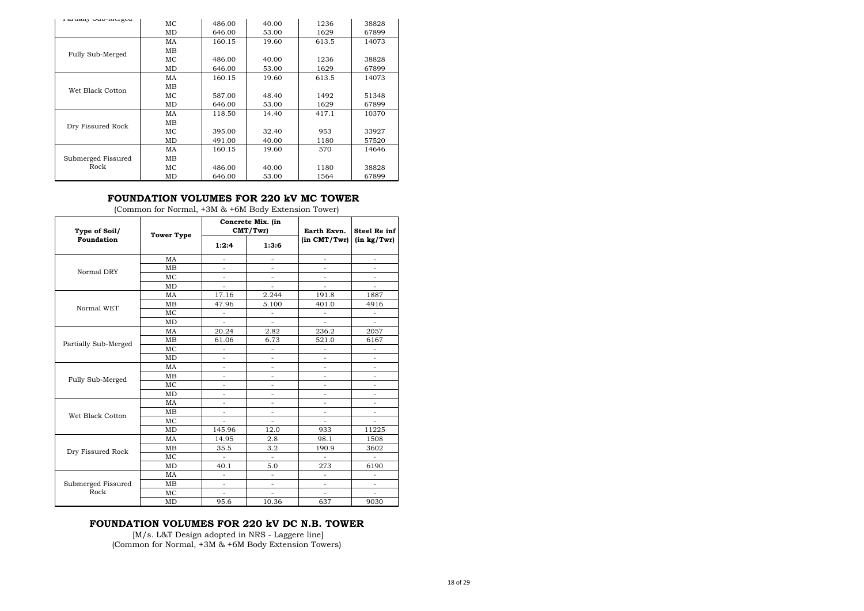| Lalually OUD-INCISCU | MC.       | 486.00 | 40.00 | 1236  | 38828 |
|----------------------|-----------|--------|-------|-------|-------|
|                      | MD        | 646.00 | 53.00 | 1629  | 67899 |
|                      | MA        | 160.15 | 19.60 | 613.5 | 14073 |
| Fully Sub-Merged     | MВ        |        |       |       |       |
|                      | MC        | 486.00 | 40.00 | 1236  | 38828 |
|                      | MD        | 646.00 | 53.00 | 1629  | 67899 |
|                      | MA        | 160.15 | 19.60 | 613.5 | 14073 |
| Wet Black Cotton     | <b>MB</b> |        |       |       |       |
|                      | MC.       | 587.00 | 48.40 | 1492  | 51348 |
|                      | MD        | 646.00 | 53.00 | 1629  | 67899 |
|                      | MA        | 118.50 | 14.40 | 417.1 | 10370 |
| Dry Fissured Rock    | MВ        |        |       |       |       |
|                      | МC        | 395.00 | 32.40 | 953   | 33927 |
|                      | MD        | 491.00 | 40.00 | 1180  | 57520 |
|                      | MA        | 160.15 | 19.60 | 570   | 14646 |
| Submerged Fissured   | MВ        |        |       |       |       |
| Rock                 | МC        | 486.00 | 40.00 | 1180  | 38828 |
|                      | MD        | 646.00 | 53.00 | 1564  | 67899 |

## **FOUNDATION VOLUMES FOR 220 kV MC TOWER**

| Type of Soil/        | <b>Tower Type</b> |                          | Concrete Mix. (in<br>CMT/Twr | Earth Exvn.         | Steel Re inf        |
|----------------------|-------------------|--------------------------|------------------------------|---------------------|---------------------|
| <b>Foundation</b>    |                   | 1:2:4                    | 1:3:6                        | (in CMT/Twr)        | (in kg/Twr)         |
|                      | MA                | $\equiv$                 | $\equiv$                     | $\sim$              | $\equiv$            |
| Normal DRY           | <b>MB</b>         |                          |                              |                     |                     |
|                      | MC                | $\overline{a}$           | $\overline{a}$               | $\sim$              | ÷,                  |
|                      | MD                | $\equiv$                 | $\blacksquare$               | $\equiv$            | $\bar{\phantom{a}}$ |
|                      | MA                | 17.16                    | 2.244                        | 191.8               | 1887                |
| Normal WET           | MB                | 47.96                    | 5.100                        | 401.0               | 4916                |
|                      | MC                | $\equiv$                 | $\bar{a}$                    | ÷.                  | $\equiv$            |
|                      | <b>MD</b>         | $\overline{a}$           | $\equiv$                     | $\sim$              |                     |
|                      | MA                | 20.24                    | 2.82                         | 236.2               | 2057                |
|                      | <b>MB</b>         | 61.06                    | 6.73                         | 521.0               | 6167                |
| Partially Sub-Merged | MC                |                          | ÷                            |                     |                     |
|                      | MD                | $\equiv$                 | $\equiv$                     | $\overline{a}$      | $\overline{a}$      |
|                      | MA                | $\equiv$                 | $\equiv$                     | $\overline{a}$      | L.                  |
| Fully Sub-Merged     | MB                | $\equiv$                 | $\equiv$                     | $\equiv$            | $\equiv$            |
|                      | MC                |                          |                              |                     |                     |
|                      | MD                | $\overline{\phantom{a}}$ | $\equiv$                     | ÷.                  | ä,                  |
|                      | MA                | $\equiv$                 | $\equiv$                     | $\bar{\phantom{a}}$ | $\bar{\phantom{a}}$ |
| Wet Black Cotton     | <b>MB</b>         | ä,                       |                              | ÷.                  |                     |
|                      | MC                | $\sim$                   | $\equiv$                     | ÷.                  | ÷,                  |
|                      | MD                | 145.96                   | 12.0                         | 933                 | 11225               |
|                      | MA                | 14.95                    | 2.8                          | 98.1                | 1508                |
| Dry Fissured Rock    | <b>MB</b>         | 35.5                     | 3.2                          | 190.9               | 3602                |
|                      | MC                | $\overline{\phantom{a}}$ | $\overline{\phantom{a}}$     | $\bar{\phantom{a}}$ | ÷,                  |
|                      | <b>MD</b>         | 40.1                     | 5.0                          | 273                 | 6190                |
|                      | MA                |                          | $\equiv$                     | $\overline{a}$      |                     |
| Submerged Fissured   | MB                | $\equiv$                 | $\overline{a}$               | $\sim$              | ÷,                  |
| Rock                 | MC                | $\sim$                   | $\bar{a}$                    | $\sim$              | $\equiv$            |
|                      | MD                | 95.6                     | 10.36                        | 637                 | 9030                |

(Common for Normal, +3M & +6M Body Extension Tower)

#### **FOUNDATION VOLUMES FOR 220 kV DC N.B. TOWER**

 [M/s. L&T Design adopted in NRS - Laggere line] (Common for Normal, +3M & +6M Body Extension Towers)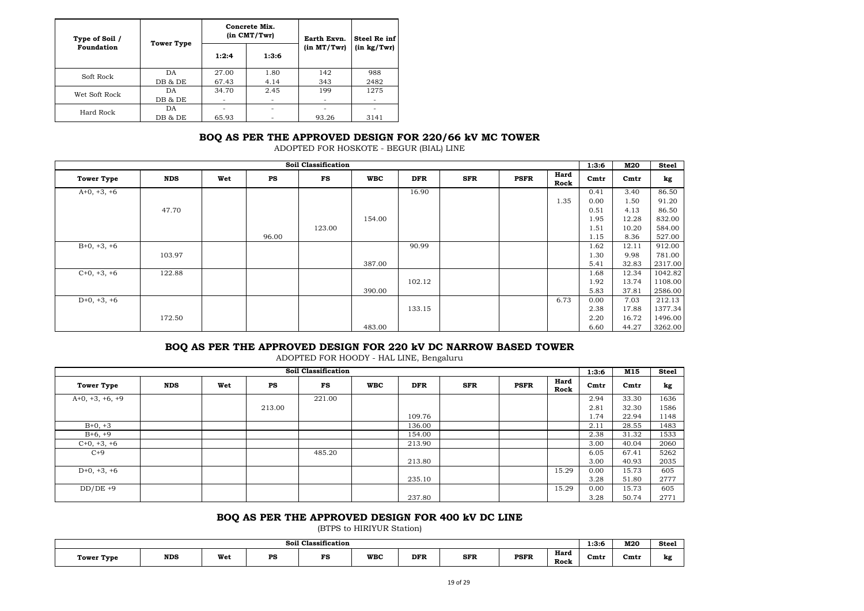| Type of Soil / | <b>Tower Type</b> |       | Concrete Mix.<br>$(in$ $CMT/Twr)$ | Earth Exvn. | Steel Re inf |  |
|----------------|-------------------|-------|-----------------------------------|-------------|--------------|--|
| Foundation     |                   | 1:2:4 | 1:3:6                             | (in MT/Twr) | (in kg/Twr)  |  |
| Soft Rock      | DA                | 27.00 | 1.80                              | 142         | 988          |  |
|                | DB & DE           | 67.43 | 4.14                              | 343         | 2482         |  |
| Wet Soft Rock  | DA.               | 34.70 | 2.45                              | 199         | 1275         |  |
|                | DB & DE           |       |                                   |             |              |  |
| Hard Rock      | DА                |       |                                   |             |              |  |
|                | DB & DE           | 65.93 |                                   | 93.26       | 3141         |  |

### **BOQ AS PER THE APPROVED DESIGN FOR 220/66 kV MC TOWER**

ADOPTED FOR HOSKOTE - BEGUR (BIAL) LINE

|                   |            |     |       | <b>Soil Classification</b> |            |            |            |             |              | 1:3:6 | M20   | <b>Steel</b> |
|-------------------|------------|-----|-------|----------------------------|------------|------------|------------|-------------|--------------|-------|-------|--------------|
| <b>Tower Type</b> | <b>NDS</b> | Wet | PS    | FS                         | <b>WBC</b> | <b>DFR</b> | <b>SFR</b> | <b>PSFR</b> | Hard<br>Rock | Cmtr  | Cmtr  | kg           |
| $A+0, +3, +6$     |            |     |       |                            |            | 16.90      |            |             |              | 0.41  | 3.40  | 86.50        |
|                   |            |     |       |                            |            |            |            |             | 1.35         | 0.00  | 1.50  | 91.20        |
|                   | 47.70      |     |       |                            |            |            |            |             |              | 0.51  | 4.13  | 86.50        |
|                   |            |     |       |                            | 154.00     |            |            |             |              | 1.95  | 12.28 | 832.00       |
|                   |            |     |       | 123.00                     |            |            |            |             |              | 1.51  | 10.20 | 584.00       |
|                   |            |     | 96.00 |                            |            |            |            |             |              | 1.15  | 8.36  | 527.00       |
| $B+0, +3, +6$     |            |     |       |                            |            | 90.99      |            |             |              | 1.62  | 12.11 | 912.00       |
|                   | 103.97     |     |       |                            |            |            |            |             |              | 1.30  | 9.98  | 781.00       |
|                   |            |     |       |                            | 387.00     |            |            |             |              | 5.41  | 32.83 | 2317.00      |
| $C+0, +3, +6$     | 122.88     |     |       |                            |            |            |            |             |              | 1.68  | 12.34 | 1042.82      |
|                   |            |     |       |                            |            | 102.12     |            |             |              | 1.92  | 13.74 | 1108.00      |
|                   |            |     |       |                            | 390.00     |            |            |             |              | 5.83  | 37.81 | 2586.00      |
| $D+0, +3, +6$     |            |     |       |                            |            |            |            |             | 6.73         | 0.00  | 7.03  | 212.13       |
|                   |            |     |       |                            |            | 133.15     |            |             |              | 2.38  | 17.88 | 1377.34      |
|                   | 172.50     |     |       |                            |            |            |            |             |              | 2.20  | 16.72 | 1496.00      |
|                   |            |     |       |                            | 483.00     |            |            |             |              | 6.60  | 44.27 | 3262.00      |

#### **BOQ AS PER THE APPROVED DESIGN FOR 220 kV DC NARROW BASED TOWER**

ADOPTED FOR HOODY - HAL LINE, Bengaluru

|                   |            |     |        | <b>Soil Classification</b> |            |            |            |             |              | 1:3:6            | M15   | <b>Steel</b> |
|-------------------|------------|-----|--------|----------------------------|------------|------------|------------|-------------|--------------|------------------|-------|--------------|
| <b>Tower Type</b> | <b>NDS</b> | Wet | PS     | FS                         | <b>WBC</b> | <b>DFR</b> | <b>SFR</b> | <b>PSFR</b> | Hard<br>Rock | C <sub>mtr</sub> | Cmtr  | kg           |
| $A+0, +3, +6, +9$ |            |     |        | 221.00                     |            |            |            |             |              | 2.94             | 33.30 | 1636         |
|                   |            |     | 213.00 |                            |            |            |            |             |              | 2.81             | 32.30 | 1586         |
|                   |            |     |        |                            |            | 109.76     |            |             |              | 1.74             | 22.94 | 1148         |
| $B+0, +3$         |            |     |        |                            |            | 136.00     |            |             |              | 2.11             | 28.55 | 1483         |
| $B+6, +9$         |            |     |        |                            |            | 154.00     |            |             |              | 2.38             | 31.32 | 1533         |
| $C+0, +3, +6$     |            |     |        |                            |            | 213.90     |            |             |              | 3.00             | 40.04 | 2060         |
| $C+9$             |            |     |        | 485.20                     |            |            |            |             |              | 6.05             | 67.41 | 5262         |
|                   |            |     |        |                            |            | 213.80     |            |             |              | 3.00             | 40.93 | 2035         |
| $D+0, +3, +6$     |            |     |        |                            |            |            |            |             | 15.29        | 0.00             | 15.73 | 605          |
|                   |            |     |        |                            |            | 235.10     |            |             |              | 3.28             | 51.80 | 2777         |
| $DD/DE +9$        |            |     |        |                            |            |            |            |             | 15.29        | 0.00             | 15.73 | 605          |
|                   |            |     |        |                            |            | 237.80     |            |             |              | 3.28             | 50.74 | 2771         |

## **BOQ AS PER THE APPROVED DESIGN FOR 400 kV DC LINE**

(BTPS to HIRIYUR Station)

| <b>Soil Classification</b> |            |     |          |           |            |            |                             |             |              |      |      | <b>Steel</b> |
|----------------------------|------------|-----|----------|-----------|------------|------------|-----------------------------|-------------|--------------|------|------|--------------|
| Tower Type<br>. .          | <b>NDS</b> | Wet | DС<br>ro | TС<br>- 5 | <b>WBC</b> | <b>DFR</b> | <b>SFR</b><br>$\sim$ $\sim$ | <b>PSFR</b> | Hard<br>Rock | Cmt1 | Cmtr | kg           |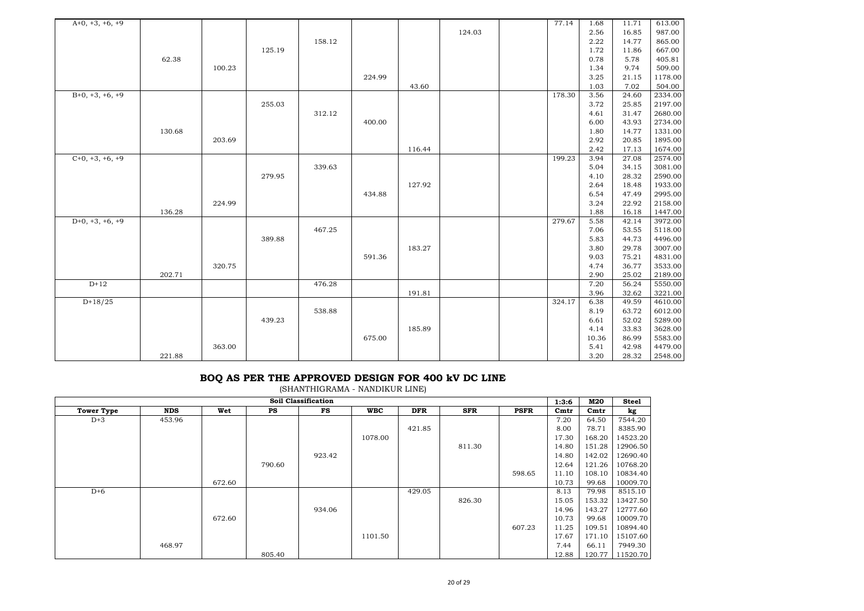| $A+0, +3, +6, +9$ |        |        |        |        |        |        |        | 77.14  | 1.68         | 11.71          | 613.00             |
|-------------------|--------|--------|--------|--------|--------|--------|--------|--------|--------------|----------------|--------------------|
|                   |        |        |        |        |        |        | 124.03 |        | 2.56         | 16.85          | 987.00             |
|                   |        |        | 125.19 | 158.12 |        |        |        |        | 2.22<br>1.72 | 14.77          | 865.00<br>667.00   |
|                   | 62.38  |        |        |        |        |        |        |        | 0.78         | 11.86<br>5.78  | 405.81             |
|                   |        | 100.23 |        |        |        |        |        |        | 1.34         | 9.74           | 509.00             |
|                   |        |        |        |        | 224.99 |        |        |        | 3.25         | 21.15          | 1178.00            |
|                   |        |        |        |        |        | 43.60  |        |        | 1.03         | 7.02           | 504.00             |
| $B+0, +3, +6, +9$ |        |        |        |        |        |        |        | 178.30 | 3.56         | 24.60          | 2334.00            |
|                   |        |        | 255.03 |        |        |        |        |        | 3.72         | 25.85          | 2197.00            |
|                   |        |        |        | 312.12 |        |        |        |        | 4.61         | 31.47          | 2680.00            |
|                   |        |        |        |        | 400.00 |        |        |        | 6.00         | 43.93          | 2734.00            |
|                   | 130.68 |        |        |        |        |        |        |        | 1.80         | 14.77          | 1331.00            |
|                   |        | 203.69 |        |        |        |        |        |        | 2.92         | 20.85          | 1895.00            |
|                   |        |        |        |        |        | 116.44 |        |        | 2.42         | 17.13          | 1674.00            |
| $C+0, +3, +6, +9$ |        |        |        |        |        |        |        | 199.23 | 3.94         | 27.08          | 2574.00            |
|                   |        |        |        | 339.63 |        |        |        |        | 5.04         | 34.15          | 3081.00            |
|                   |        |        | 279.95 |        |        |        |        |        | 4.10         | 28.32          | 2590.00            |
|                   |        |        |        |        |        | 127.92 |        |        | 2.64         | 18.48          | 1933.00            |
|                   |        |        |        |        | 434.88 |        |        |        | 6.54         | 47.49          | 2995.00            |
|                   |        | 224.99 |        |        |        |        |        |        | 3.24         | 22.92          | 2158.00            |
|                   | 136.28 |        |        |        |        |        |        |        | 1.88         | 16.18          | 1447.00            |
| $D+0, +3, +6, +9$ |        |        |        |        |        |        |        | 279.67 | 5.58         | 42.14          | 3972.00            |
|                   |        |        |        | 467.25 |        |        |        |        | 7.06         | 53.55          | 5118.00            |
|                   |        |        | 389.88 |        |        |        |        |        | 5.83         | 44.73          | 4496.00            |
|                   |        |        |        |        |        | 183.27 |        |        | 3.80         | 29.78          | 3007.00            |
|                   |        |        |        |        | 591.36 |        |        |        | 9.03<br>4.74 | 75.21          | 4831.00<br>3533.00 |
|                   | 202.71 | 320.75 |        |        |        |        |        |        | 2.90         | 36.77<br>25.02 |                    |
| $D+12$            |        |        |        | 476.28 |        |        |        |        | 7.20         | 56.24          | 2189.00<br>5550.00 |
|                   |        |        |        |        |        | 191.81 |        |        | 3.96         | 32.62          | 3221.00            |
| $D+18/25$         |        |        |        |        |        |        |        | 324.17 | 6.38         | 49.59          | 4610.00            |
|                   |        |        |        | 538.88 |        |        |        |        | 8.19         | 63.72          | 6012.00            |
|                   |        |        | 439.23 |        |        |        |        |        | 6.61         | 52.02          | 5289.00            |
|                   |        |        |        |        |        | 185.89 |        |        | 4.14         | 33.83          | 3628.00            |
|                   |        |        |        |        | 675.00 |        |        |        | 10.36        | 86.99          | 5583.00            |
|                   |        | 363.00 |        |        |        |        |        |        | 5.41         | 42.98          | 4479.00            |
|                   | 221.88 |        |        |        |        |        |        |        | 3.20         | 28.32          | 2548.00            |

#### **BOQ AS PER THE APPROVED DESIGN FOR 400 kV DC LINE**

(SHANTHIGRAMA - NANDIKUR LINE)

|                   |            |        |           | Soil Classification |            |            |            |             | 1:3:6 | M20    | <b>Steel</b> |
|-------------------|------------|--------|-----------|---------------------|------------|------------|------------|-------------|-------|--------|--------------|
| <b>Tower Type</b> | <b>NDS</b> | Wet    | <b>PS</b> | FS                  | <b>WBC</b> | <b>DFR</b> | <b>SFR</b> | <b>PSFR</b> | Cmtr  | Cmtr   | kg           |
| $D+3$             | 453.96     |        |           |                     |            |            |            |             | 7.20  | 64.50  | 7544.20      |
|                   |            |        |           |                     |            | 421.85     |            |             | 8.00  | 78.71  | 8385.90      |
|                   |            |        |           |                     | 1078.00    |            |            |             | 17.30 | 168.20 | 14523.20     |
|                   |            |        |           |                     |            |            | 811.30     |             | 14.80 | 151.28 | 12906.50     |
|                   |            |        |           | 923.42              |            |            |            |             | 14.80 | 142.02 | 12690.40     |
|                   |            |        | 790.60    |                     |            |            |            |             | 12.64 | 121.26 | 10768.20     |
|                   |            |        |           |                     |            |            |            | 598.65      | 11.10 | 108.10 | 10834.40     |
|                   |            | 672.60 |           |                     |            |            |            |             | 10.73 | 99.68  | 10009.70     |
| $D+6$             |            |        |           |                     |            | 429.05     |            |             | 8.13  | 79.98  | 8515.10      |
|                   |            |        |           |                     |            |            | 826.30     |             | 15.05 | 153.32 | 13427.50     |
|                   |            |        |           | 934.06              |            |            |            |             | 14.96 | 143.27 | 12777.60     |
|                   |            | 672.60 |           |                     |            |            |            |             | 10.73 | 99.68  | 10009.70     |
|                   |            |        |           |                     |            |            |            | 607.23      | 11.25 | 109.51 | 10894.40     |
|                   |            |        |           |                     | 1101.50    |            |            |             | 17.67 | 171.10 | 15107.60     |
|                   | 468.97     |        |           |                     |            |            |            |             | 7.44  | 66.11  | 7949.30      |
|                   |            |        | 805.40    |                     |            |            |            |             | 12.88 | 120.77 | 11520.70     |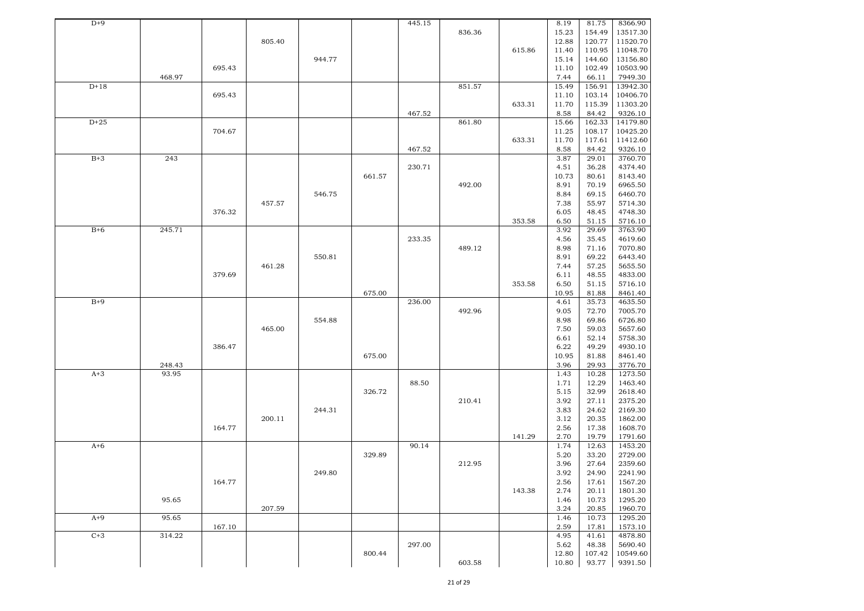| $D+9$  |        |        |        |        |        | 445.15 |        |        | 8.19  | 81.75  | 8366.90  |
|--------|--------|--------|--------|--------|--------|--------|--------|--------|-------|--------|----------|
|        |        |        |        |        |        |        | 836.36 |        | 15.23 | 154.49 | 13517.30 |
|        |        |        | 805.40 |        |        |        |        |        | 12.88 | 120.77 | 11520.70 |
|        |        |        |        |        |        |        |        | 615.86 | 11.40 | 110.95 | 11048.70 |
|        |        |        |        | 944.77 |        |        |        |        | 15.14 | 144.60 | 13156.80 |
|        |        |        |        |        |        |        |        |        |       |        |          |
|        |        | 695.43 |        |        |        |        |        |        | 11.10 | 102.49 | 10503.90 |
|        | 468.97 |        |        |        |        |        |        |        | 7.44  | 66.11  | 7949.30  |
| $D+18$ |        |        |        |        |        |        | 851.57 |        | 15.49 | 156.91 | 13942.30 |
|        |        | 695.43 |        |        |        |        |        |        | 11.10 | 103.14 | 10406.70 |
|        |        |        |        |        |        |        |        | 633.31 | 11.70 | 115.39 | 11303.20 |
|        |        |        |        |        |        | 467.52 |        |        | 8.58  | 84.42  | 9326.10  |
| $D+25$ |        |        |        |        |        |        | 861.80 |        | 15.66 | 162.33 | 14179.80 |
|        |        | 704.67 |        |        |        |        |        |        | 11.25 | 108.17 | 10425.20 |
|        |        |        |        |        |        |        |        | 633.31 | 11.70 | 117.61 | 11412.60 |
|        |        |        |        |        |        | 467.52 |        |        | 8.58  | 84.42  | 9326.10  |
| $B+3$  | 243    |        |        |        |        |        |        |        | 3.87  | 29.01  | 3760.70  |
|        |        |        |        |        |        | 230.71 |        |        | 4.51  | 36.28  | 4374.40  |
|        |        |        |        |        |        |        |        |        |       |        |          |
|        |        |        |        |        | 661.57 |        |        |        | 10.73 | 80.61  | 8143.40  |
|        |        |        |        |        |        |        | 492.00 |        | 8.91  | 70.19  | 6965.50  |
|        |        |        |        | 546.75 |        |        |        |        | 8.84  | 69.15  | 6460.70  |
|        |        |        | 457.57 |        |        |        |        |        | 7.38  | 55.97  | 5714.30  |
|        |        | 376.32 |        |        |        |        |        |        | 6.05  | 48.45  | 4748.30  |
|        |        |        |        |        |        |        |        | 353.58 | 6.50  | 51.15  | 5716.10  |
| $B+6$  | 245.71 |        |        |        |        |        |        |        | 3.92  | 29.69  | 3763.90  |
|        |        |        |        |        |        | 233.35 |        |        | 4.56  | 35.45  | 4619.60  |
|        |        |        |        |        |        |        | 489.12 |        | 8.98  | 71.16  | 7070.80  |
|        |        |        |        | 550.81 |        |        |        |        | 8.91  | 69.22  | 6443.40  |
|        |        |        | 461.28 |        |        |        |        |        | 7.44  | 57.25  | 5655.50  |
|        |        |        |        |        |        |        |        |        |       |        |          |
|        |        | 379.69 |        |        |        |        |        |        | 6.11  | 48.55  | 4833.00  |
|        |        |        |        |        |        |        |        | 353.58 | 6.50  | 51.15  | 5716.10  |
|        |        |        |        |        | 675.00 |        |        |        | 10.95 | 81.88  | 8461.40  |
| $B+9$  |        |        |        |        |        | 236.00 |        |        | 4.61  | 35.73  | 4635.50  |
|        |        |        |        |        |        |        | 492.96 |        | 9.05  | 72.70  | 7005.70  |
|        |        |        |        | 554.88 |        |        |        |        | 8.98  | 69.86  | 6726.80  |
|        |        |        | 465.00 |        |        |        |        |        | 7.50  | 59.03  | 5657.60  |
|        |        |        |        |        |        |        |        |        | 6.61  | 52.14  | 5758.30  |
|        |        | 386.47 |        |        |        |        |        |        | 6.22  | 49.29  | 4930.10  |
|        |        |        |        |        | 675.00 |        |        |        | 10.95 | 81.88  | 8461.40  |
|        | 248.43 |        |        |        |        |        |        |        | 3.96  | 29.93  | 3776.70  |
| $A+3$  | 93.95  |        |        |        |        |        |        |        | 1.43  | 10.28  | 1273.50  |
|        |        |        |        |        |        | 88.50  |        |        | 1.71  | 12.29  | 1463.40  |
|        |        |        |        |        |        |        |        |        |       |        |          |
|        |        |        |        |        | 326.72 |        |        |        | 5.15  | 32.99  | 2618.40  |
|        |        |        |        |        |        |        | 210.41 |        | 3.92  | 27.11  | 2375.20  |
|        |        |        |        | 244.31 |        |        |        |        | 3.83  | 24.62  | 2169.30  |
|        |        |        | 200.11 |        |        |        |        |        | 3.12  | 20.35  | 1862.00  |
|        |        | 164.77 |        |        |        |        |        |        | 2.56  | 17.38  | 1608.70  |
|        |        |        |        |        |        |        |        | 141.29 | 2.70  | 19.79  | 1791.60  |
| $A+6$  |        |        |        |        |        | 90.14  |        |        | 1.74  | 12.63  | 1453.20  |
|        |        |        |        |        | 329.89 |        |        |        | 5.20  | 33.20  | 2729.00  |
|        |        |        |        |        |        |        | 212.95 |        | 3.96  | 27.64  | 2359.60  |
|        |        |        |        | 249.80 |        |        |        |        | 3.92  | 24.90  | 2241.90  |
|        |        | 164.77 |        |        |        |        |        |        | 2.56  | 17.61  | 1567.20  |
|        |        |        |        |        |        |        |        | 143.38 | 2.74  | 20.11  | 1801.30  |
|        | 95.65  |        |        |        |        |        |        |        | 1.46  | 10.73  | 1295.20  |
|        |        |        |        |        |        |        |        |        |       |        | 1960.70  |
|        |        |        | 207.59 |        |        |        |        |        | 3.24  | 20.85  |          |
| $A+9$  | 95.65  |        |        |        |        |        |        |        | 1.46  | 10.73  | 1295.20  |
|        |        | 167.10 |        |        |        |        |        |        | 2.59  | 17.81  | 1573.10  |
| $C+3$  | 314.22 |        |        |        |        |        |        |        | 4.95  | 41.61  | 4878.80  |
|        |        |        |        |        |        | 297.00 |        |        | 5.62  | 48.38  | 5690.40  |
|        |        |        |        |        | 800.44 |        |        |        | 12.80 | 107.42 | 10549.60 |
|        |        |        |        |        |        |        |        |        |       |        |          |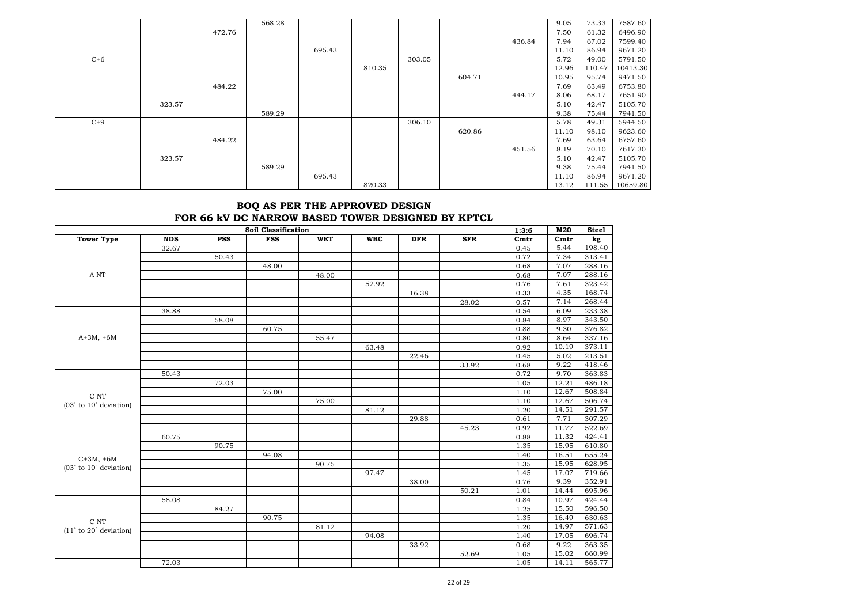|       |        |        | 568.28 |        |        |        |        |        | 9.05  | 73.33  | 7587.60  |
|-------|--------|--------|--------|--------|--------|--------|--------|--------|-------|--------|----------|
|       |        | 472.76 |        |        |        |        |        |        | 7.50  | 61.32  | 6496.90  |
|       |        |        |        |        |        |        |        | 436.84 | 7.94  | 67.02  | 7599.40  |
|       |        |        |        | 695.43 |        |        |        |        | 11.10 | 86.94  | 9671.20  |
| $C+6$ |        |        |        |        |        | 303.05 |        |        | 5.72  | 49.00  | 5791.50  |
|       |        |        |        |        | 810.35 |        |        |        | 12.96 | 110.47 | 10413.30 |
|       |        |        |        |        |        |        | 604.71 |        | 10.95 | 95.74  | 9471.50  |
|       |        | 484.22 |        |        |        |        |        |        | 7.69  | 63.49  | 6753.80  |
|       |        |        |        |        |        |        |        | 444.17 | 8.06  | 68.17  | 7651.90  |
|       | 323.57 |        |        |        |        |        |        |        | 5.10  | 42.47  | 5105.70  |
|       |        |        | 589.29 |        |        |        |        |        | 9.38  | 75.44  | 7941.50  |
| $C+9$ |        |        |        |        |        | 306.10 |        |        | 5.78  | 49.31  | 5944.50  |
|       |        |        |        |        |        |        | 620.86 |        | 11.10 | 98.10  | 9623.60  |
|       |        | 484.22 |        |        |        |        |        |        | 7.69  | 63.64  | 6757.60  |
|       |        |        |        |        |        |        |        | 451.56 | 8.19  | 70.10  | 7617.30  |
|       | 323.57 |        |        |        |        |        |        |        | 5.10  | 42.47  | 5105.70  |
|       |        |        | 589.29 |        |        |        |        |        | 9.38  | 75.44  | 7941.50  |
|       |        |        |        | 695.43 |        |        |        |        | 11.10 | 86.94  | 9671.20  |
|       |        |        |        |        | 820.33 |        |        |        | 13.12 | 111.55 | 10659.80 |

## **BOQ AS PER THE APPROVED DESIGN FOR 66 kV DC NARROW BASED TOWER DESIGNED BY KPTCL**

|                             |            |            | <b>Soil Classification</b> |            |            |            |            | 1:3:6            | M20     | <b>Steel</b> |
|-----------------------------|------------|------------|----------------------------|------------|------------|------------|------------|------------------|---------|--------------|
| <b>Tower Type</b>           | <b>NDS</b> | <b>PSS</b> | <b>FSS</b>                 | <b>WET</b> | <b>WBC</b> | <b>DFR</b> | <b>SFR</b> | C <sub>mtr</sub> | $Cm$ tr | kg           |
|                             | 32.67      |            |                            |            |            |            |            | 0.45             | 5.44    | 198.40       |
|                             |            | 50.43      |                            |            |            |            |            | 0.72             | 7.34    | 313.41       |
|                             |            |            | 48.00                      |            |            |            |            | 0.68             | 7.07    | 288.16       |
| A NT                        |            |            |                            | 48.00      |            |            |            | 0.68             | 7.07    | 288.16       |
|                             |            |            |                            |            | 52.92      |            |            | 0.76             | 7.61    | 323.42       |
|                             |            |            |                            |            |            | 16.38      |            | 0.33             | 4.35    | 168.74       |
|                             |            |            |                            |            |            |            | 28.02      | 0.57             | 7.14    | 268.44       |
|                             | 38.88      |            |                            |            |            |            |            | 0.54             | 6.09    | 233.38       |
|                             |            | 58.08      |                            |            |            |            |            | 0.84             | 8.97    | 343.50       |
|                             |            |            | 60.75                      |            |            |            |            | 0.88             | 9.30    | 376.82       |
| $A+3M, +6M$                 |            |            |                            | 55.47      |            |            |            | 0.80             | 8.64    | 337.16       |
|                             |            |            |                            |            | 63.48      |            |            | 0.92             | 10.19   | 373.11       |
|                             |            |            |                            |            |            | 22.46      |            | 0.45             | 5.02    | 213.51       |
|                             |            |            |                            |            |            |            | 33.92      | 0.68             | 9.22    | 418.46       |
|                             | 50.43      |            |                            |            |            |            |            | 0.72             | 9.70    | 363.83       |
|                             |            | 72.03      |                            |            |            |            |            | 1.05             | 12.21   | 486.18       |
| C NT                        |            |            | 75.00                      |            |            |            |            | 1.10             | 12.67   | 508.84       |
| $(03°$ to $10°$ deviation)  |            |            |                            | 75.00      |            |            |            | 1.10             | 12.67   | 506.74       |
|                             |            |            |                            |            | 81.12      |            |            | 1.20             | 14.51   | 291.57       |
|                             |            |            |                            |            |            | 29.88      |            | 0.61             | 7.71    | 307.29       |
|                             |            |            |                            |            |            |            | 45.23      | 0.92             | 11.77   | 522.69       |
|                             | 60.75      |            |                            |            |            |            |            | 0.88             | 11.32   | 424.41       |
|                             |            | 90.75      |                            |            |            |            |            | 1.35             | 15.95   | 610.80       |
| $C+3M, +6M$                 |            |            | 94.08                      |            |            |            |            | 1.40             | 16.51   | 655.24       |
| $(03°$ to $10°$ deviation)  |            |            |                            | 90.75      |            |            |            | 1.35             | 15.95   | 628.95       |
|                             |            |            |                            |            | 97.47      |            |            | 1.45             | 17.07   | 719.66       |
|                             |            |            |                            |            |            | 38.00      |            | 0.76             | 9.39    | 352.91       |
|                             |            |            |                            |            |            |            | 50.21      | 1.01             | 14.44   | 695.96       |
|                             | 58.08      |            |                            |            |            |            |            | 0.84             | 10.97   | 424.44       |
|                             |            | 84.27      |                            |            |            |            |            | 1.25             | 15.50   | 596.50       |
| $\rm C$ NT                  |            |            | 90.75                      |            |            |            |            | 1.35             | 16.49   | 630.63       |
| $(11°$ to 20 $°$ deviation) |            |            |                            | 81.12      |            |            |            | 1.20             | 14.97   | 571.63       |
|                             |            |            |                            |            | 94.08      |            |            | 1.40             | 17.05   | 696.74       |
|                             |            |            |                            |            |            | 33.92      |            | 0.68             | 9.22    | 363.35       |
|                             |            |            |                            |            |            |            | 52.69      | 1.05             | 15.02   | 660.99       |
|                             | 72.03      |            |                            |            |            |            |            | 1.05             | 14.11   | 565.77       |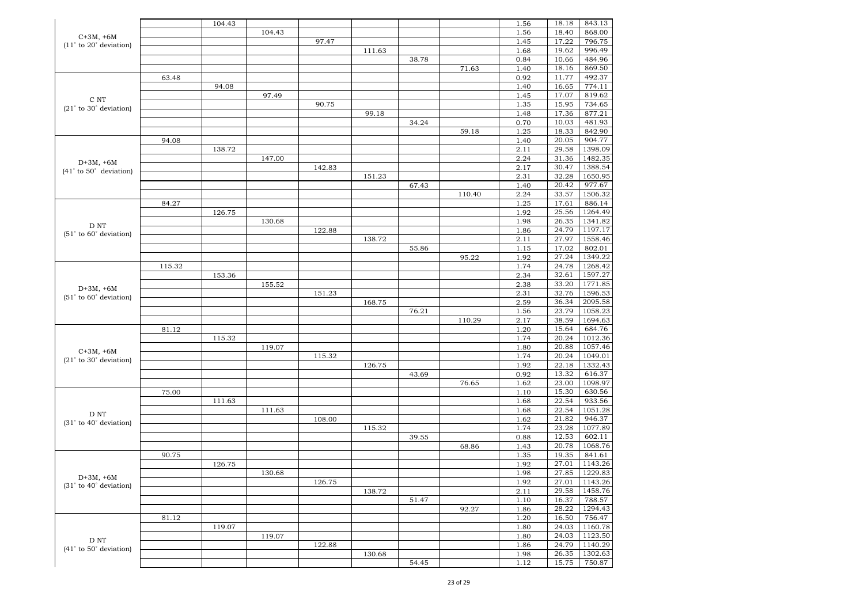|                             |        | 104.43 |        |        |        |       |        | 1.56 | 18.18 | 843.13  |
|-----------------------------|--------|--------|--------|--------|--------|-------|--------|------|-------|---------|
| $C+3M, +6M$                 |        |        | 104.43 |        |        |       |        | 1.56 | 18.40 | 868.00  |
|                             |        |        |        | 97.47  |        |       |        | 1.45 | 17.22 | 796.75  |
| $(11°$ to 20 $°$ deviation) |        |        |        |        | 111.63 |       |        | 1.68 | 19.62 | 996.49  |
|                             |        |        |        |        |        | 38.78 |        | 0.84 | 10.66 | 484.96  |
|                             |        |        |        |        |        |       | 71.63  | 1.40 | 18.16 | 869.50  |
|                             | 63.48  |        |        |        |        |       |        | 0.92 | 11.77 | 492.37  |
|                             |        | 94.08  |        |        |        |       |        | 1.40 | 16.65 | 774.11  |
|                             |        |        | 97.49  |        |        |       |        | 1.45 | 17.07 | 819.62  |
| C NT                        |        |        |        | 90.75  |        |       |        | 1.35 | 15.95 | 734.65  |
| $(21°$ to 30 $°$ deviation) |        |        |        |        | 99.18  |       |        | 1.48 | 17.36 | 877.21  |
|                             |        |        |        |        |        |       |        |      | 10.03 | 481.93  |
|                             |        |        |        |        |        | 34.24 |        | 0.70 |       |         |
|                             |        |        |        |        |        |       | 59.18  | 1.25 | 18.33 | 842.90  |
|                             | 94.08  |        |        |        |        |       |        | 1.40 | 20.05 | 904.77  |
|                             |        | 138.72 |        |        |        |       |        | 2.11 | 29.58 | 1398.09 |
| $D+3M, +6M$                 |        |        | 147.00 |        |        |       |        | 2.24 | 31.36 | 1482.35 |
| $(41°$ to 50 $°$ deviation) |        |        |        | 142.83 |        |       |        | 2.17 | 30.47 | 1388.54 |
|                             |        |        |        |        | 151.23 |       |        | 2.31 | 32.28 | 1650.95 |
|                             |        |        |        |        |        | 67.43 |        | 1.40 | 20.42 | 977.67  |
|                             |        |        |        |        |        |       | 110.40 | 2.24 | 33.57 | 1506.32 |
|                             | 84.27  |        |        |        |        |       |        | 1.25 | 17.61 | 886.14  |
|                             |        | 126.75 |        |        |        |       |        | 1.92 | 25.56 | 1264.49 |
| D NT                        |        |        | 130.68 |        |        |       |        | 1.98 | 26.35 | 1341.82 |
| $(51°$ to $60°$ deviation)  |        |        |        | 122.88 |        |       |        | 1.86 | 24.79 | 1197.17 |
|                             |        |        |        |        | 138.72 |       |        | 2.11 | 27.97 | 1558.46 |
|                             |        |        |        |        |        | 55.86 |        | 1.15 | 17.02 | 802.01  |
|                             |        |        |        |        |        |       | 95.22  | 1.92 | 27.24 | 1349.22 |
|                             | 115.32 |        |        |        |        |       |        | 1.74 | 24.78 | 1268.42 |
|                             |        | 153.36 |        |        |        |       |        | 2.34 | 32.61 | 1597.27 |
|                             |        |        | 155.52 |        |        |       |        | 2.38 | 33.20 | 1771.85 |
| $D+3M$ , $+6M$              |        |        |        | 151.23 |        |       |        | 2.31 | 32.76 | 1596.53 |
| $(51°$ to $60°$ deviation)  |        |        |        |        | 168.75 |       |        | 2.59 | 36.34 | 2095.58 |
|                             |        |        |        |        |        | 76.21 |        | 1.56 | 23.79 | 1058.23 |
|                             |        |        |        |        |        |       | 110.29 | 2.17 | 38.59 | 1694.63 |
|                             | 81.12  |        |        |        |        |       |        | 1.20 | 15.64 | 684.76  |
|                             |        |        |        |        |        |       |        |      | 20.24 | 1012.36 |
|                             |        | 115.32 |        |        |        |       |        | 1.74 |       |         |
| $C+3M, +6M$                 |        |        | 119.07 |        |        |       |        | 1.80 | 20.88 | 1057.46 |
| $(21°$ to 30 $°$ deviation) |        |        |        | 115.32 |        |       |        | 1.74 | 20.24 | 1049.01 |
|                             |        |        |        |        | 126.75 |       |        | 1.92 | 22.18 | 1332.43 |
|                             |        |        |        |        |        | 43.69 |        | 0.92 | 13.32 | 616.37  |
|                             |        |        |        |        |        |       | 76.65  | 1.62 | 23.00 | 1098.97 |
|                             | 75.00  |        |        |        |        |       |        | 1.10 | 15.30 | 630.56  |
|                             |        | 111.63 |        |        |        |       |        | 1.68 | 22.54 | 933.56  |
| D NT                        |        |        | 111.63 |        |        |       |        | 1.68 | 22.54 | 1051.28 |
| $(31°$ to 40 $°$ deviation) |        |        |        | 108.00 |        |       |        | 1.62 | 21.82 | 946.37  |
|                             |        |        |        |        | 115.32 |       |        | 1.74 | 23.28 | 1077.89 |
|                             |        |        |        |        |        | 39.55 |        | 0.88 | 12.53 | 602.11  |
|                             |        |        |        |        |        |       | 68.86  | 1.43 | 20.78 | 1068.76 |
|                             | 90.75  |        |        |        |        |       |        | 1.35 | 19.35 | 841.61  |
|                             |        | 126.75 |        |        |        |       |        | 1.92 | 27.01 | 1143.26 |
|                             |        |        | 130.68 |        |        |       |        | 1.98 | 27.85 | 1229.83 |
| $D+3M, +6M$                 |        |        |        | 126.75 |        |       |        | 1.92 | 27.01 | 1143.26 |
| $(31°$ to 40 $°$ deviation) |        |        |        |        | 138.72 |       |        | 2.11 | 29.58 | 1458.76 |
|                             |        |        |        |        |        | 51.47 |        | 1.10 | 16.37 | 788.57  |
|                             |        |        |        |        |        |       | 92.27  | 1.86 | 28.22 | 1294.43 |
|                             | 81.12  |        |        |        |        |       |        | 1.20 | 16.50 | 756.47  |
|                             |        | 119.07 |        |        |        |       |        | 1.80 | 24.03 | 1160.78 |
|                             |        |        | 119.07 |        |        |       |        | 1.80 | 24.03 | 1123.50 |
| D NT                        |        |        |        | 122.88 |        |       |        |      | 24.79 | 1140.29 |
| $(41°$ to 50 $°$ deviation) |        |        |        |        |        |       |        | 1.86 |       |         |
|                             |        |        |        |        | 130.68 |       |        | 1.98 | 26.35 | 1302.63 |
|                             |        |        |        |        |        | 54.45 |        | 1.12 | 15.75 | 750.87  |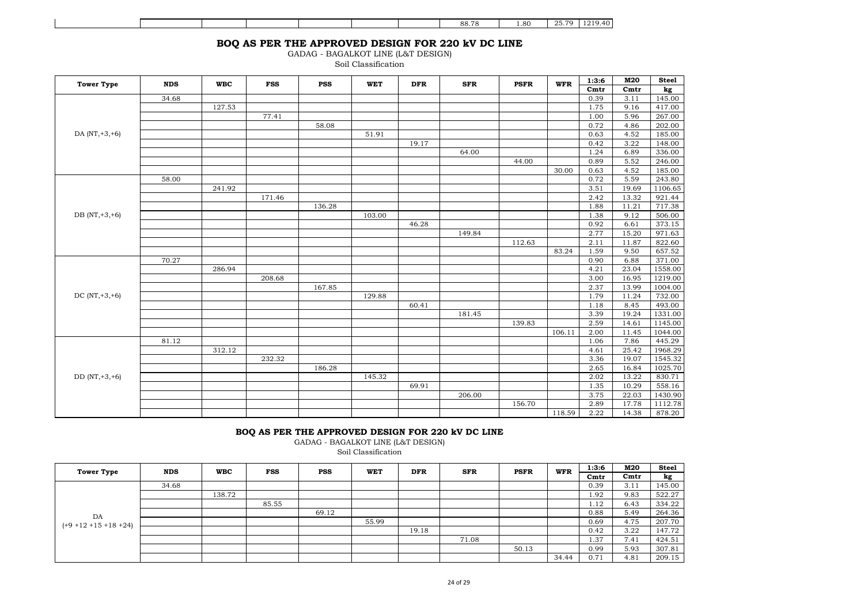|  |  |  | 88.78 | 1.80 | $\Omega E$ 70<br>. د ب | $\sqrt{10}$<br>, ונ<br>. 40. |
|--|--|--|-------|------|------------------------|------------------------------|

# **BOQ AS PER THE APPROVED DESIGN FOR 220 kV DC LINE**

GADAG - BAGALKOT LINE (L&T DESIGN)

Soil Classification

| <b>Tower Type</b> | <b>NDS</b> | <b>WBC</b> | <b>FSS</b> | <b>PSS</b> | <b>WET</b> | <b>DFR</b> | <b>SFR</b> | <b>PSFR</b> | <b>WFR</b> | 1:3:6            | M20              | <b>Steel</b> |
|-------------------|------------|------------|------------|------------|------------|------------|------------|-------------|------------|------------------|------------------|--------------|
|                   |            |            |            |            |            |            |            |             |            | C <sub>mtr</sub> | C <sub>mtr</sub> | kg           |
|                   | 34.68      |            |            |            |            |            |            |             |            | 0.39             | 3.11             | 145.00       |
|                   |            | 127.53     |            |            |            |            |            |             |            | 1.75             | 9.16             | 417.00       |
|                   |            |            | 77.41      |            |            |            |            |             |            | 1.00             | 5.96             | 267.00       |
|                   |            |            |            | 58.08      |            |            |            |             |            | 0.72             | 4.86             | 202.00       |
| DA $(NT, +3, +6)$ |            |            |            |            | 51.91      |            |            |             |            | 0.63             | 4.52             | 185.00       |
|                   |            |            |            |            |            | 19.17      |            |             |            | 0.42             | 3.22             | 148.00       |
|                   |            |            |            |            |            |            | 64.00      |             |            | 1.24             | 6.89             | 336.00       |
|                   |            |            |            |            |            |            |            | 44.00       |            | 0.89             | 5.52             | 246.00       |
|                   |            |            |            |            |            |            |            |             | 30.00      | 0.63             | 4.52             | 185.00       |
|                   | 58.00      |            |            |            |            |            |            |             |            | 0.72             | 5.59             | 243.80       |
|                   |            | 241.92     |            |            |            |            |            |             |            | 3.51             | 19.69            | 1106.65      |
|                   |            |            | 171.46     |            |            |            |            |             |            | 2.42             | 13.32            | 921.44       |
|                   |            |            |            | 136.28     |            |            |            |             |            | 1.88             | 11.21            | 717.38       |
| DB (NT, +3, +6)   |            |            |            |            | 103.00     |            |            |             |            | 1.38             | 9.12             | 506.00       |
|                   |            |            |            |            |            | 46.28      |            |             |            | 0.92             | 6.61             | 373.15       |
|                   |            |            |            |            |            |            | 149.84     |             |            | 2.77             | 15.20            | 971.63       |
|                   |            |            |            |            |            |            |            | 112.63      |            | 2.11             | 11.87            | 822.60       |
|                   |            |            |            |            |            |            |            |             | 83.24      | 1.59             | 9.50             | 657.52       |
|                   | 70.27      |            |            |            |            |            |            |             |            | 0.90             | 6.88             | 371.00       |
|                   |            | 286.94     |            |            |            |            |            |             |            | 4.21             | 23.04            | 1558.00      |
|                   |            |            | 208.68     |            |            |            |            |             |            | 3.00             | 16.95            | 1219.00      |
|                   |            |            |            | 167.85     |            |            |            |             |            | 2.37             | 13.99            | 1004.00      |
| DC $(NT, +3, +6)$ |            |            |            |            | 129.88     |            |            |             |            | 1.79             | 11.24            | 732.00       |
|                   |            |            |            |            |            | 60.41      |            |             |            | 1.18             | 8.45             | 493.00       |
|                   |            |            |            |            |            |            | 181.45     |             |            | 3.39             | 19.24            | 1331.00      |
|                   |            |            |            |            |            |            |            | 139.83      |            | 2.59             | 14.61            | 1145.00      |
|                   |            |            |            |            |            |            |            |             | 106.11     | 2.00             | 11.45            | 1044.00      |
|                   | 81.12      |            |            |            |            |            |            |             |            | 1.06             | 7.86             | 445.29       |
|                   |            | 312.12     |            |            |            |            |            |             |            | 4.61             | 25.42            | 1968.29      |
|                   |            |            | 232.32     |            |            |            |            |             |            | 3.36             | 19.07            | 1545.32      |
|                   |            |            |            | 186.28     |            |            |            |             |            | 2.65             | 16.84            | 1025.70      |
| $DD (NT, +3, +6)$ |            |            |            |            | 145.32     |            |            |             |            | 2.02             | 13.22            | 830.71       |
|                   |            |            |            |            |            | 69.91      |            |             |            | 1.35             | 10.29            | 558.16       |
|                   |            |            |            |            |            |            | 206.00     |             |            | 3.75             | 22.03            | 1430.90      |
|                   |            |            |            |            |            |            |            | 156.70      |            | 2.89             | 17.78            | 1112.78      |
|                   |            |            |            |            |            |            |            |             | 118.59     | 2.22             | 14.38            | 878.20       |

#### **BOQ AS PER THE APPROVED DESIGN FOR 220 kV DC LINE**

GADAG - BAGALKOT LINE (L&T DESIGN)

Soil Classification

| <b>Tower Type</b>                | <b>NDS</b> | <b>WBC</b> | <b>FSS</b> | <b>PSS</b> | <b>WET</b> | <b>DFR</b> | <b>SFR</b> | PSFR  | <b>WFR</b> | 1:3:6            | M20  | <b>Steel</b> |
|----------------------------------|------------|------------|------------|------------|------------|------------|------------|-------|------------|------------------|------|--------------|
|                                  |            |            |            |            |            |            |            |       |            | C <sub>mtr</sub> | Cmtr | kg           |
|                                  | 34.68      |            |            |            |            |            |            |       |            | 0.39             | 3.11 | 145.00       |
|                                  |            | 138.72     |            |            |            |            |            |       |            | 1.92             | 9.83 | 522.27       |
| DA<br>$(+9 + 12 + 15 + 18 + 24)$ |            |            | 85.55      |            |            |            |            |       |            | 1.12             | 6.43 | 334.22       |
|                                  |            |            |            | 69.12      |            |            |            |       |            | 0.88             | 5.49 | 264.36       |
|                                  |            |            |            |            | 55.99      |            |            |       |            | 0.69             | 4.75 | 207.70       |
|                                  |            |            |            |            |            | 19.18      |            |       |            | 0.42             | 3.22 | 147.72       |
|                                  |            |            |            |            |            |            | 71.08      |       |            | 1.37             | 7.41 | 424.51       |
|                                  |            |            |            |            |            |            |            | 50.13 |            | 0.99             | 5.93 | 307.81       |
|                                  |            |            |            |            |            |            |            |       | 34.44      | 0.71             | 4.81 | 209.15       |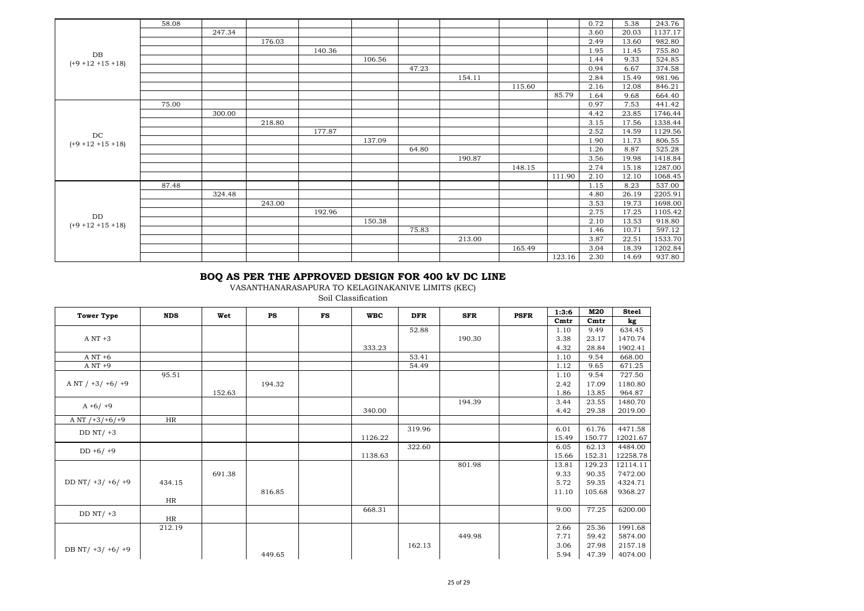|                       | 58.08 |        |        |        |        |       |        |        |        | 0.72 | 5.38  | 243.76  |
|-----------------------|-------|--------|--------|--------|--------|-------|--------|--------|--------|------|-------|---------|
|                       |       | 247.34 |        |        |        |       |        |        |        | 3.60 | 20.03 | 1137.17 |
|                       |       |        | 176.03 |        |        |       |        |        |        | 2.49 | 13.60 | 982.80  |
| DB                    |       |        |        | 140.36 |        |       |        |        |        | 1.95 | 11.45 | 755.80  |
| $(+9 + 12 + 15 + 18)$ |       |        |        |        | 106.56 |       |        |        |        | 1.44 | 9.33  | 524.85  |
|                       |       |        |        |        |        | 47.23 |        |        |        | 0.94 | 6.67  | 374.58  |
|                       |       |        |        |        |        |       | 154.11 |        |        | 2.84 | 15.49 | 981.96  |
|                       |       |        |        |        |        |       |        | 115.60 |        | 2.16 | 12.08 | 846.21  |
|                       |       |        |        |        |        |       |        |        | 85.79  | 1.64 | 9.68  | 664.40  |
|                       | 75.00 |        |        |        |        |       |        |        |        | 0.97 | 7.53  | 441.42  |
|                       |       | 300.00 |        |        |        |       |        |        |        | 4.42 | 23.85 | 1746.44 |
|                       |       |        | 218.80 |        |        |       |        |        |        | 3.15 | 17.56 | 1338.44 |
| $_{\mathrm{DC}}$      |       |        |        | 177.87 |        |       |        |        |        | 2.52 | 14.59 | 1129.56 |
| $(+9 + 12 + 15 + 18)$ |       |        |        |        | 137.09 |       |        |        |        | 1.90 | 11.73 | 806.55  |
|                       |       |        |        |        |        | 64.80 |        |        |        | 1.26 | 8.87  | 525.28  |
|                       |       |        |        |        |        |       | 190.87 |        |        | 3.56 | 19.98 | 1418.84 |
|                       |       |        |        |        |        |       |        | 148.15 |        | 2.74 | 15.18 | 1287.00 |
|                       |       |        |        |        |        |       |        |        | 111.90 | 2.10 | 12.10 | 1068.45 |
|                       | 87.48 |        |        |        |        |       |        |        |        | 1.15 | 8.23  | 537.00  |
|                       |       | 324.48 |        |        |        |       |        |        |        | 4.80 | 26.19 | 2205.91 |
|                       |       |        | 243.00 |        |        |       |        |        |        | 3.53 | 19.73 | 1698.00 |
| $\rm{DD}$             |       |        |        | 192.96 |        |       |        |        |        | 2.75 | 17.25 | 1105.42 |
| $(+9 + 12 + 15 + 18)$ |       |        |        |        | 150.38 |       |        |        |        | 2.10 | 13.53 | 918.80  |
|                       |       |        |        |        |        | 75.83 |        |        |        | 1.46 | 10.71 | 597.12  |
|                       |       |        |        |        |        |       | 213.00 |        |        | 3.87 | 22.51 | 1533.70 |
|                       |       |        |        |        |        |       |        | 165.49 |        | 3.04 | 18.39 | 1202.84 |
|                       |       |        |        |        |        |       |        |        | 123.16 | 2.30 | 14.69 | 937.80  |

## **BOQ AS PER THE APPROVED DESIGN FOR 400 kV DC LINE**

VASANTHANARASAPURA TO KELAGINAKANIVE LIMITS (KEC)

Soil Classification

| <b>Tower Type</b>   | <b>NDS</b> | Wet    | <b>PS</b> | <b>FS</b> | <b>WBC</b> | <b>DFR</b> | <b>SFR</b> | <b>PSFR</b> | 1:3:6            | M20               | <b>Steel</b> |
|---------------------|------------|--------|-----------|-----------|------------|------------|------------|-------------|------------------|-------------------|--------------|
|                     |            |        |           |           |            |            |            |             | C <sub>mtr</sub> | C <sub>m</sub> tr | kg           |
|                     |            |        |           |           |            | 52.88      |            |             | 1.10             | 9.49              | 634.45       |
| $A \, NT \, +3$     |            |        |           |           |            |            | 190.30     |             | 3.38             | 23.17             | 1470.74      |
|                     |            |        |           |           | 333.23     |            |            |             | 4.32             | 28.84             | 1902.41      |
| $A \, NT + 6$       |            |        |           |           |            | 53.41      |            |             | 1.10             | 9.54              | 668.00       |
| $A NT +9$           |            |        |           |           |            | 54.49      |            |             | 1.12             | 9.65              | 671.25       |
|                     | 95.51      |        |           |           |            |            |            |             | 1.10             | 9.54              | 727.50       |
| A NT $/ +3/ +6/ +9$ |            |        | 194.32    |           |            |            |            |             | 2.42             | 17.09             | 1180.80      |
|                     |            | 152.63 |           |           |            |            |            |             | 1.86             | 13.85             | 964.87       |
| $A + 6/ +9$         |            |        |           |           |            |            | 194.39     |             | 3.44             | 23.55             | 1480.70      |
|                     |            |        |           |           | 340.00     |            |            |             | 4.42             | 29.38             | 2019.00      |
| A NT $/+3/+6/+9$    | HR         |        |           |           |            |            |            |             |                  |                   |              |
| DD $NT/ +3$         |            |        |           |           |            | 319.96     |            |             | 6.01             | 61.76             | 4471.58      |
|                     |            |        |           |           | 1126.22    |            |            |             | 15.49            | 150.77            | 12021.67     |
| $DD + 6/ +9$        |            |        |           |           |            | 322.60     |            |             | 6.05             | 62.13             | 4484.00      |
|                     |            |        |           |           | 1138.63    |            |            |             | 15.66            | 152.31            | 12258.78     |
|                     |            |        |           |           |            |            | 801.98     |             | 13.81            | 129.23            | 12114.11     |
|                     |            | 691.38 |           |           |            |            |            |             | 9.33             | 90.35             | 7472.00      |
| DD NT/ $+3/ +6/ +9$ | 434.15     |        |           |           |            |            |            |             | 5.72             | 59.35             | 4324.71      |
|                     |            |        | 816.85    |           |            |            |            |             | 11.10            | 105.68            | 9368.27      |
|                     | HR         |        |           |           |            |            |            |             |                  |                   |              |
| DD $NT/ +3$         |            |        |           |           | 668.31     |            |            |             | 9.00             | 77.25             | 6200.00      |
|                     | HR         |        |           |           |            |            |            |             |                  |                   |              |
|                     | 212.19     |        |           |           |            |            |            |             | 2.66             | 25.36             | 1991.68      |
|                     |            |        |           |           |            |            | 449.98     |             | 7.71             | 59.42             | 5874.00      |
| DB NT/ +3/ +6/ +9   |            |        |           |           |            | 162.13     |            |             | 3.06             | 27.98             | 2157.18      |
|                     |            |        | 449.65    |           |            |            |            |             | 5.94             | 47.39             | 4074.00      |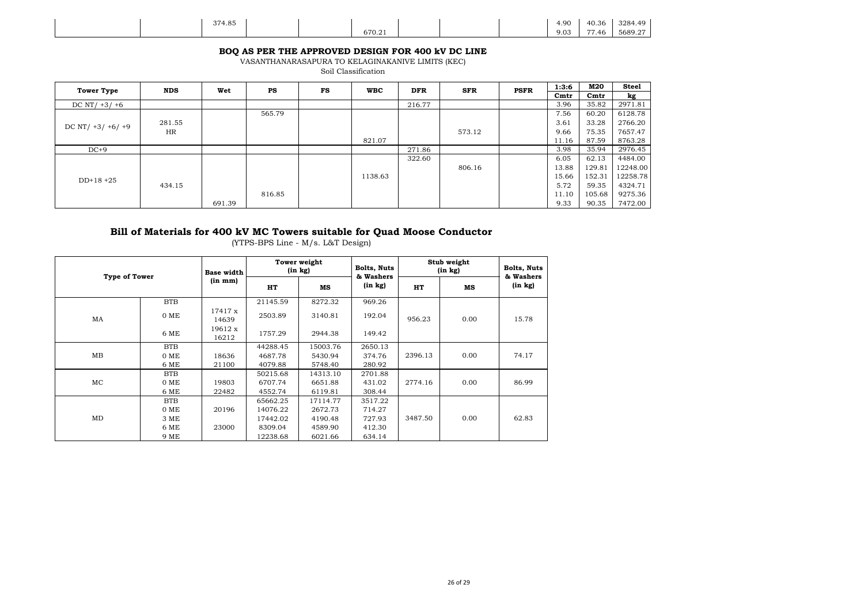| 374.85 |        | 4.90 | 40.36                   | 3284.49 |
|--------|--------|------|-------------------------|---------|
|        | 670.21 | 9.03 | $- -$<br>$^{\circ}$ .46 | 5689.27 |

#### **BOQ AS PER THE APPROVED DESIGN FOR 400 kV DC LINE**

VASANTHANARASAPURA TO KELAGINAKANIVE LIMITS (KEC) Soil Classification

| <b>Tower Type</b>   | <b>NDS</b> | Wet    | PS     | FS | <b>WBC</b> | <b>DFR</b> | <b>SFR</b> | <b>PSFR</b> | 1:3:6            | M20              | <b>Steel</b> |
|---------------------|------------|--------|--------|----|------------|------------|------------|-------------|------------------|------------------|--------------|
|                     |            |        |        |    |            |            |            |             | C <sub>mtr</sub> | C <sub>mtr</sub> | kg           |
| DC NT/ $+3/ +6$     |            |        |        |    |            | 216.77     |            |             | 3.96             | 35.82            | 2971.81      |
|                     |            |        | 565.79 |    |            |            |            |             | 7.56             | 60.20            | 6128.78      |
| DC NT/ $+3/ +6/ +9$ | 281.55     |        |        |    |            |            |            |             | 3.61             | 33.28            | 2766.20      |
|                     | HR         |        |        |    |            |            | 573.12     |             | 9.66             | 75.35            | 7657.47      |
|                     |            |        |        |    | 821.07     |            |            |             | 11.16            | 87.59            | 8763.28      |
| $DC+9$              |            |        |        |    |            | 271.86     |            |             | 3.98             | 35.94            | 2976.45      |
|                     |            |        |        |    |            | 322.60     |            |             | 6.05             | 62.13            | 4484.00      |
|                     |            |        |        |    |            |            | 806.16     |             | 13.88            | 129.81           | 12248.00     |
| $DD+18+25$          |            |        |        |    | 1138.63    |            |            |             | 15.66            | 152.31           | 12258.78     |
|                     | 434.15     |        |        |    |            |            |            |             | 5.72             | 59.35            | 4324.71      |
|                     |            |        | 816.85 |    |            |            |            |             | 11.10            | 105.68           | 9275.36      |
|                     |            | 691.39 |        |    |            |            |            |             | 9.33             | 90.35            | 7472.00      |

## **Bill of Materials for 400 kV MC Towers suitable for Quad Moose Conductor**

(YTPS-BPS Line - M/s. L&T Design)

|    |                      | <b>Base width</b> | Tower weight<br>(in kg) |          | <b>Bolts, Nuts</b><br>& Washers | Stub weight<br>$(in \; kg)$ |      | <b>Bolts, Nuts</b><br>& Washers |  |
|----|----------------------|-------------------|-------------------------|----------|---------------------------------|-----------------------------|------|---------------------------------|--|
|    | <b>Type of Tower</b> |                   | HT                      | мs       | (in kg)                         | HT                          | MS   | (in kg)                         |  |
|    | <b>BTB</b>           |                   | 21145.59                | 8272.32  | 969.26                          |                             |      |                                 |  |
| MA | 0 ME                 | 17417 x<br>14639  | 2503.89                 | 3140.81  | 192.04                          | 956.23                      | 0.00 | 15.78                           |  |
|    | 6 ME                 | 19612 x<br>16212  | 1757.29                 | 2944.38  | 149.42                          |                             |      |                                 |  |
|    | <b>BTB</b>           |                   | 44288.45                | 15003.76 | 2650.13                         |                             |      |                                 |  |
| MB | 0 ME                 | 18636             | 4687.78                 | 5430.94  | 374.76                          | 2396.13                     | 0.00 | 74.17                           |  |
|    | 6 ME                 | 21100             | 4079.88                 | 5748.40  | 280.92                          |                             |      |                                 |  |
|    | <b>BTB</b>           |                   | 50215.68                | 14313.10 | 2701.88                         |                             |      |                                 |  |
| MC | 0 ME                 | 19803             | 6707.74                 | 6651.88  | 431.02                          | 2774.16                     | 0.00 | 86.99                           |  |
|    | 6 ME                 | 22482             | 4552.74                 | 6119.81  | 308.44                          |                             |      |                                 |  |
|    | <b>BTB</b>           |                   | 65662.25                | 17114.77 | 3517.22                         |                             |      |                                 |  |
|    | 0 ME                 | 20196             | 14076.22                | 2672.73  | 714.27                          |                             |      |                                 |  |
| MD | 3 ME                 |                   | 17442.02                | 4190.48  | 727.93                          | 3487.50                     | 0.00 | 62.83                           |  |
|    | 6 ME                 | 23000             | 8309.04                 | 4589.90  | 412.30                          |                             |      |                                 |  |
|    | 9 ME                 |                   | 12238.68                | 6021.66  | 634.14                          |                             |      |                                 |  |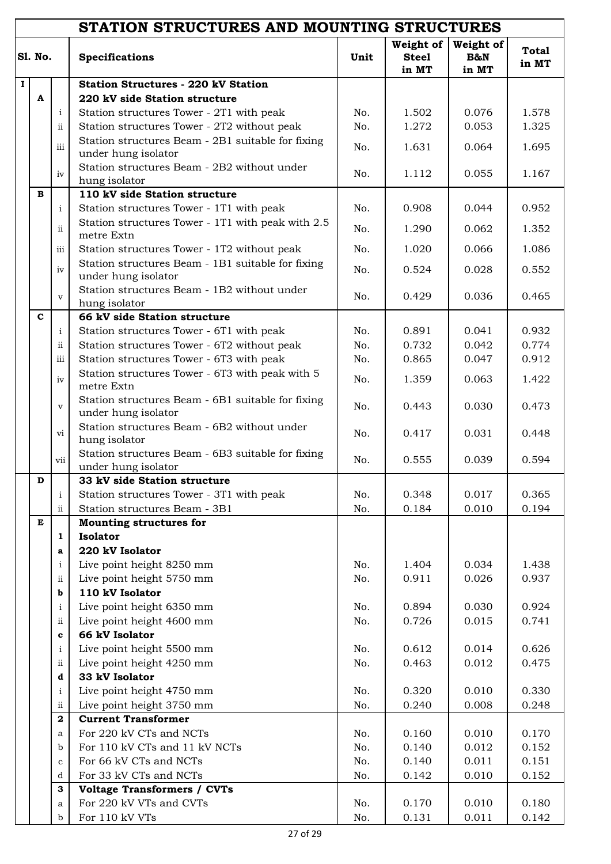|          |                |                             | STATION STRUCTURES AND MOUNTING STRUCTURES                               |      |                                    |                           |                       |
|----------|----------------|-----------------------------|--------------------------------------------------------------------------|------|------------------------------------|---------------------------|-----------------------|
|          | <b>S1. No.</b> |                             | <b>Specifications</b>                                                    | Unit | Weight of<br><b>Steel</b><br>in MT | Weight of<br>B&N<br>in MT | <b>Total</b><br>in MT |
| $\bf{I}$ |                |                             | <b>Station Structures - 220 kV Station</b>                               |      |                                    |                           |                       |
|          | $\mathbf{A}$   |                             | 220 kV side Station structure                                            |      |                                    |                           |                       |
|          |                | $\mathbf{i}$                | Station structures Tower - 2T1 with peak                                 | No.  | 1.502                              | 0.076                     | 1.578                 |
|          |                | $\mathbf{ii}$               | Station structures Tower - 2T2 without peak                              | No.  | 1.272                              | 0.053                     | 1.325                 |
|          |                | $\overline{\text{iii}}$     | Station structures Beam - 2B1 suitable for fixing                        | No.  | 1.631                              | 0.064                     | 1.695                 |
|          |                |                             | under hung isolator                                                      |      |                                    |                           |                       |
|          |                | iv                          | Station structures Beam - 2B2 without under                              | No.  | 1.112                              | 0.055                     | 1.167                 |
|          |                |                             | hung isolator                                                            |      |                                    |                           |                       |
|          | в              |                             | 110 kV side Station structure                                            |      |                                    |                           |                       |
|          |                | $\mathbf{i}$                | Station structures Tower - 1T1 with peak                                 | No.  | 0.908                              | 0.044                     | 0.952                 |
|          |                | $\mathbf{ii}$               | Station structures Tower - 1T1 with peak with 2.5                        | No.  | 1.290                              | 0.062                     | 1.352                 |
|          |                |                             | metre Extn                                                               |      |                                    | 0.066                     | 1.086                 |
|          |                | iii                         | Station structures Tower - 1T2 without peak                              | No.  | 1.020                              |                           |                       |
|          |                | iv                          | Station structures Beam - 1B1 suitable for fixing<br>under hung isolator | No.  | 0.524                              | 0.028                     | 0.552                 |
|          |                |                             | Station structures Beam - 1B2 without under                              |      |                                    |                           |                       |
|          |                | $\mathbf{v}$                | hung isolator                                                            | No.  | 0.429                              | 0.036                     | 0.465                 |
|          | $\mathbf{C}$   |                             | 66 kV side Station structure                                             |      |                                    |                           |                       |
|          |                | $\mathbf{i}$                | Station structures Tower - 6T1 with peak                                 | No.  | 0.891                              | 0.041                     | 0.932                 |
|          |                | $\rm ii$                    | Station structures Tower - 6T2 without peak                              | No.  | 0.732                              | 0.042                     | 0.774                 |
|          |                | $\rm iii$                   | Station structures Tower - 6T3 with peak                                 | No.  | 0.865                              | 0.047                     | 0.912                 |
|          |                |                             | Station structures Tower - 6T3 with peak with 5                          |      |                                    |                           |                       |
|          |                | iv                          | metre Extn                                                               | No.  | 1.359                              | 0.063                     | 1.422                 |
|          |                | $\mathbf{V}$                | Station structures Beam - 6B1 suitable for fixing                        | No.  | 0.443                              | 0.030                     | 0.473                 |
|          |                |                             | under hung isolator                                                      |      |                                    |                           |                       |
|          |                | $\overline{vi}$             | Station structures Beam - 6B2 without under                              | No.  | 0.417                              | 0.031                     | 0.448                 |
|          |                |                             | hung isolator<br>Station structures Beam - 6B3 suitable for fixing       |      |                                    |                           |                       |
|          |                | vii                         | under hung isolator                                                      | No.  | 0.555                              | 0.039                     | 0.594                 |
|          | $\mathbf D$    |                             | 33 kV side Station structure                                             |      |                                    |                           |                       |
|          |                | $\mathbf{i}$                | Station structures Tower - 3T1 with peak                                 | No.  | 0.348                              | 0.017                     | 0.365                 |
|          |                | ii                          | Station structures Beam - 3B1                                            | No.  | 0.184                              | 0.010                     | 0.194                 |
|          | E              |                             | <b>Mounting structures for</b>                                           |      |                                    |                           |                       |
|          |                | $\mathbf{1}$                | <b>Isolator</b>                                                          |      |                                    |                           |                       |
|          |                | a                           | 220 kV Isolator                                                          |      |                                    |                           |                       |
|          |                | $\mathbf{i}$                | Live point height 8250 mm                                                | No.  | 1.404                              | 0.034                     | 1.438                 |
|          |                | $\rm ii$                    | Live point height 5750 mm                                                | No.  | 0.911                              | 0.026                     | 0.937                 |
|          |                | b                           | 110 kV Isolator                                                          |      |                                    |                           |                       |
|          |                | $\mathbf{i}$                | Live point height 6350 mm                                                | No.  | 0.894                              | 0.030                     | 0.924                 |
|          |                | $\rm ii$                    | Live point height 4600 mm                                                | No.  | 0.726                              | 0.015                     | 0.741                 |
|          |                | $\mathbf{c}$                | 66 kV Isolator                                                           |      |                                    |                           |                       |
|          |                | $\mathbf{i}$                | Live point height 5500 mm                                                | No.  | 0.612                              | 0.014                     | 0.626                 |
|          |                | $\rm ii$                    | Live point height 4250 mm                                                | No.  | 0.463                              | 0.012                     | 0.475                 |
|          |                | d                           | 33 kV Isolator                                                           |      |                                    |                           |                       |
|          |                | $\mathbf{i}$                | Live point height 4750 mm                                                | No.  | 0.320                              | 0.010                     | 0.330                 |
|          |                | $\rm ii$                    | Live point height 3750 mm                                                | No.  | 0.240                              | 0.008                     | 0.248                 |
|          |                | $\overline{\mathbf{2}}$     | <b>Current Transformer</b>                                               |      |                                    |                           |                       |
|          |                | a                           | For 220 kV CTs and NCTs                                                  | No.  | 0.160                              | 0.010                     | 0.170                 |
|          |                | b                           | For 110 kV CTs and 11 kV NCTs                                            | No.  | 0.140                              | 0.012                     | 0.152                 |
|          |                | $\mathbf c$                 | For 66 kV CTs and NCTs                                                   | No.  | 0.140                              | 0.011                     | 0.151                 |
|          |                | d                           | For 33 kV CTs and NCTs                                                   | No.  | 0.142                              | 0.010                     | 0.152                 |
|          |                | 3                           | <b>Voltage Transformers / CVTs</b>                                       |      |                                    |                           |                       |
|          |                | $\mathbf{a}$<br>$\mathbf b$ | For 220 kV VTs and CVTs<br>For $110$ kV VTs                              | No.  | 0.170                              | 0.010                     | 0.180                 |
|          |                |                             |                                                                          | No.  | 0.131                              | 0.011                     | 0.142                 |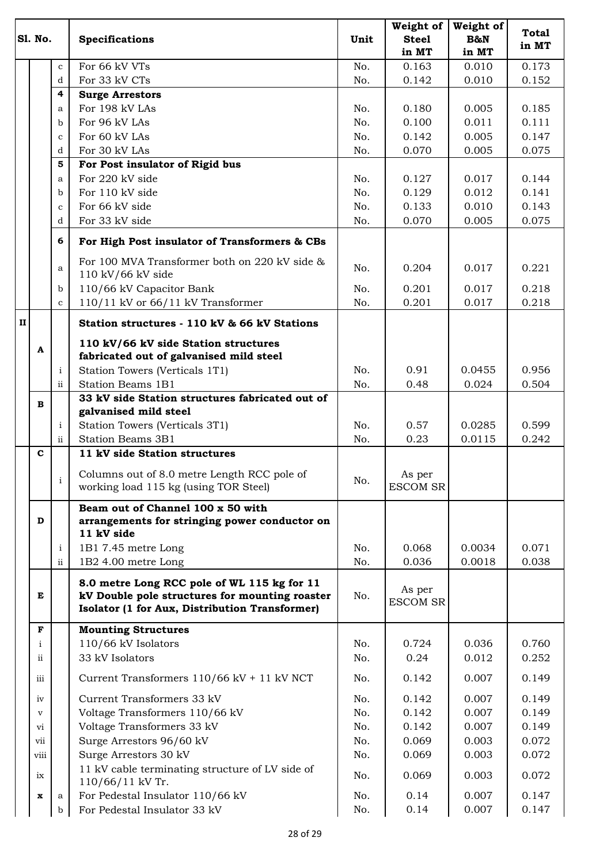|              | <b>S1. No.</b> |                     | <b>Specifications</b>                                                                                                                           | Unit | Weight of<br><b>Steel</b><br>in MT | Weight of<br>B&N<br>in MT | <b>Total</b><br>in MT |
|--------------|----------------|---------------------|-------------------------------------------------------------------------------------------------------------------------------------------------|------|------------------------------------|---------------------------|-----------------------|
|              |                | $\mathbf{c}$        | For 66 kV VTs                                                                                                                                   | No.  | 0.163                              | 0.010                     | 0.173                 |
|              |                | d                   | For 33 kV CTs                                                                                                                                   | No.  | 0.142                              | 0.010                     | 0.152                 |
|              |                | 4                   | <b>Surge Arrestors</b>                                                                                                                          |      |                                    |                           |                       |
|              |                | a                   | For 198 kV LAs                                                                                                                                  | No.  | 0.180                              | 0.005                     | 0.185                 |
|              |                | $\mathbf b$         | For 96 kV LAs                                                                                                                                   | No.  | 0.100                              | 0.011                     | 0.111                 |
|              |                | $\mathbf{C}$        | For 60 kV LAs                                                                                                                                   | No.  | 0.142                              | 0.005                     | 0.147                 |
|              |                | d                   | For 30 kV LAs                                                                                                                                   | No.  | 0.070                              | 0.005                     | 0.075                 |
|              |                | 5                   | For Post insulator of Rigid bus                                                                                                                 |      |                                    |                           |                       |
|              |                | a                   | For 220 kV side                                                                                                                                 | No.  | 0.127                              | 0.017                     | 0.144                 |
|              |                | $\mathbf b$         | For 110 kV side                                                                                                                                 | No.  | 0.129                              | 0.012                     | 0.141                 |
|              |                | $\mathbf c$         | For 66 kV side                                                                                                                                  | No.  | 0.133                              | 0.010                     | 0.143                 |
|              |                | d                   | For 33 kV side                                                                                                                                  | No.  | 0.070                              | 0.005                     | 0.075                 |
|              |                | 6                   | For High Post insulator of Transformers & CBs                                                                                                   |      |                                    |                           |                       |
|              |                | a                   | For 100 MVA Transformer both on 220 kV side &<br>110 kV/66 kV side                                                                              | No.  | 0.204                              | 0.017                     | 0.221                 |
|              |                | b                   | 110/66 kV Capacitor Bank                                                                                                                        | No.  | 0.201                              | 0.017                     | 0.218                 |
|              |                | $\mathbf{C}$        | 110/11 kV or 66/11 kV Transformer                                                                                                               | No.  | 0.201                              | 0.017                     | 0.218                 |
| $\mathbf{H}$ |                |                     | Station structures - 110 kV & 66 kV Stations                                                                                                    |      |                                    |                           |                       |
|              | A              |                     | 110 kV/66 kV side Station structures<br>fabricated out of galvanised mild steel                                                                 |      |                                    |                           |                       |
|              |                | $\mathbf{i}$        | Station Towers (Verticals 1T1)                                                                                                                  | No.  | 0.91                               | 0.0455                    | 0.956                 |
|              |                | $\ddot{\mathbf{i}}$ | <b>Station Beams 1B1</b>                                                                                                                        | No.  | 0.48                               | 0.024                     | 0.504                 |
|              | в              |                     | 33 kV side Station structures fabricated out of                                                                                                 |      |                                    |                           |                       |
|              |                |                     | galvanised mild steel                                                                                                                           |      |                                    |                           |                       |
|              |                | $\mathbf{i}$        | Station Towers (Verticals 3T1)                                                                                                                  | No.  | 0.57                               | 0.0285                    | 0.599                 |
|              | $\mathbf{C}$   | $\ddot{\mathbf{i}}$ | <b>Station Beams 3B1</b>                                                                                                                        | No.  | 0.23                               | 0.0115                    | 0.242                 |
|              |                |                     | 11 kV side Station structures                                                                                                                   |      |                                    |                           |                       |
|              |                |                     | Columns out of 8.0 metre Length RCC pole of<br>working load 115 kg (using TOR Steel)                                                            | No.  | As per<br><b>ESCOM SR</b>          |                           |                       |
|              | D              |                     | Beam out of Channel 100 x 50 with<br>arrangements for stringing power conductor on<br>11 kV side                                                |      |                                    |                           |                       |
|              |                | $\mathbf{i}$        | 1B1 7.45 metre Long                                                                                                                             | No.  | 0.068                              | 0.0034                    | 0.071                 |
|              |                | $\ddot{\mathbf{u}}$ | 1B2 4.00 metre Long                                                                                                                             | No.  | 0.036                              | 0.0018                    | 0.038                 |
|              | E              |                     | 8.0 metre Long RCC pole of WL 115 kg for 11<br>kV Double pole structures for mounting roaster<br>Isolator (1 for Aux, Distribution Transformer) | No.  | As per<br><b>ESCOM SR</b>          |                           |                       |
|              | $\mathbf F$    |                     | <b>Mounting Structures</b>                                                                                                                      |      |                                    |                           |                       |
|              | $\mathbf{i}$   |                     | 110/66 kV Isolators                                                                                                                             | No.  | 0.724                              | 0.036                     | 0.760                 |
|              | ü              |                     | 33 kV Isolators                                                                                                                                 | No.  | 0.24                               | 0.012                     | 0.252                 |
|              | iii            |                     | Current Transformers 110/66 kV + 11 kV NCT                                                                                                      | No.  | 0.142                              | 0.007                     | 0.149                 |
|              | iv             |                     | Current Transformers 33 kV                                                                                                                      | No.  | 0.142                              | 0.007                     | 0.149                 |
|              | $\mathbf{V}$   |                     | Voltage Transformers 110/66 kV                                                                                                                  | No.  | 0.142                              | 0.007                     | 0.149                 |
|              | vi             |                     | Voltage Transformers 33 kV                                                                                                                      | No.  | 0.142                              | 0.007                     | 0.149                 |
|              | vii            |                     | Surge Arrestors 96/60 kV                                                                                                                        | No.  | 0.069                              | 0.003                     | 0.072                 |
|              | viii           |                     | Surge Arrestors 30 kV                                                                                                                           | No.  | 0.069                              | 0.003                     | 0.072                 |
|              | ix             |                     | 11 kV cable terminating structure of LV side of<br>110/66/11 kV Tr.                                                                             | No.  | 0.069                              | 0.003                     | 0.072                 |
|              | x              | a                   | For Pedestal Insulator 110/66 kV                                                                                                                | No.  | 0.14                               | 0.007                     | 0.147                 |
|              |                | b                   | For Pedestal Insulator 33 kV                                                                                                                    | No.  | 0.14                               | 0.007                     | 0.147                 |